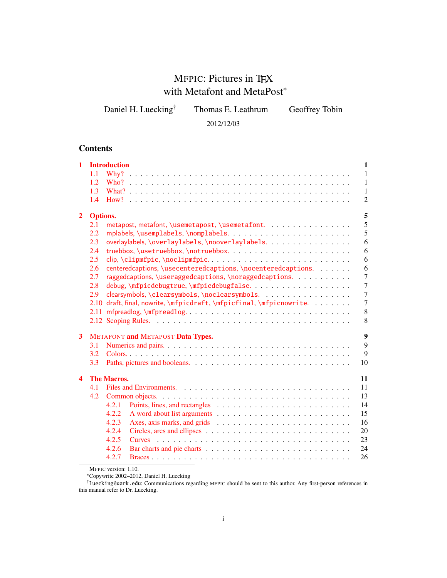# MFPIC: Pictures in TEX with Metafont and MetaPost<sup>\*</sup>

Daniel H. Luecking<sup>†</sup> Thomas E. Leathrum Geoffrey Tobin

2012/12/03

# **Contents**

| $\mathbf{1}$     |                 | <b>Introduction</b><br>1                                                                                      |
|------------------|-----------------|---------------------------------------------------------------------------------------------------------------|
|                  | 1.1             | $\mathbf{1}$                                                                                                  |
|                  | 1.2             | $\mathbf{1}$                                                                                                  |
|                  | 1.3             | 1                                                                                                             |
|                  | 1.4             | $\overline{2}$                                                                                                |
| $\overline{2}$   | <b>Options.</b> | 5                                                                                                             |
|                  | 2.1             | 5<br>metapost, metafont, \usemetapost, \usemetafont.                                                          |
|                  | 2.2             | 5                                                                                                             |
|                  | 2.3             | overlaylabels, \overlaylabels, \nooverlaylabels.<br>6                                                         |
|                  | 2.4             | 6                                                                                                             |
|                  | 2.5             | clip, \clipmfpic, \noclipmfpic<br>6                                                                           |
|                  | 2.6             | centeredcaptions, \usecenteredcaptions, \nocenteredcaptions.<br>6                                             |
|                  | 2.7             | raggedcaptions, \useraggedcaptions, \noraggedcaptions.<br>$\overline{7}$                                      |
|                  | 2.8             | $\overline{7}$                                                                                                |
|                  | 2.9             | $\overline{7}$<br>clearsymbols, \clearsymbols, \noclearsymbols.                                               |
|                  | 2.10            | $\overline{7}$<br>draft, final, nowrite, \mfpicdraft, \mfpicfinal, \mfpicnowrite.                             |
|                  | 2.11            | 8<br>mfpreadlog, $\langle \text{mfpreadlog}. \ldots \ldots \ldots \ldots \ldots \ldots \ldots \ldots \rangle$ |
|                  |                 | 8                                                                                                             |
|                  |                 |                                                                                                               |
| 3                |                 | 9<br><b>METAFONT and METAPOST Data Types.</b>                                                                 |
|                  | 3.1             | 9                                                                                                             |
|                  | 3.2             | 9                                                                                                             |
|                  | 3.3             | 10                                                                                                            |
| $\blacktriangle$ |                 | <b>The Macros.</b><br>11                                                                                      |
|                  | 4.1             | 11                                                                                                            |
|                  | 4.2             | 13                                                                                                            |
|                  |                 | 4.2.1<br>14                                                                                                   |
|                  |                 | 15<br>4.2.2                                                                                                   |
|                  |                 | 4.2.3<br>16                                                                                                   |
|                  |                 | 4.2.4<br>20                                                                                                   |
|                  |                 | 4.2.5<br>23                                                                                                   |
|                  |                 | 4.2.6<br>24                                                                                                   |
|                  |                 | 26<br>4.2.7                                                                                                   |
|                  |                 |                                                                                                               |

MFPIC version: 1.10.

<sup>∗</sup>Copywrite 2002–2012, Daniel H. Luecking

†luecking@uark.edu: Communications regarding MFPIC should be sent to this author. Any first-person references in this manual refer to Dr. Luecking.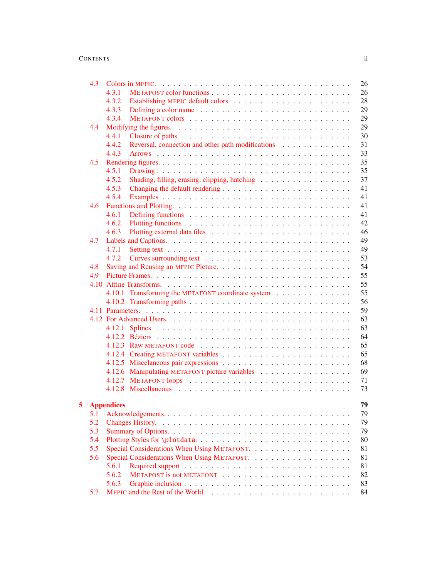# CONTENTS ii

|   | 4.3        |                                                            | 26 |
|---|------------|------------------------------------------------------------|----|
|   |            | 4.3.1                                                      | 26 |
|   |            | 4.3.2                                                      | 28 |
|   |            | 4.3.3                                                      | 29 |
|   |            | 4.3.4                                                      | 29 |
|   | 4.4        |                                                            | 29 |
|   |            | 4.4.1                                                      | 30 |
|   |            | Reversal, connection and other path modifications<br>4.4.2 | 31 |
|   |            | 4.4.3                                                      | 33 |
|   | 4.5        |                                                            | 35 |
|   |            | 4.5.1                                                      | 35 |
|   |            | 4.5.2<br>Shading, filling, erasing, clipping, hatching     | 37 |
|   |            | 4.5.3                                                      | 41 |
|   |            | 4.5.4                                                      | 41 |
|   | 4.6        |                                                            | 41 |
|   |            | 4.6.1                                                      | 41 |
|   |            | 4.6.2                                                      | 42 |
|   |            | 4.6.3                                                      | 46 |
|   | 4.7        |                                                            | 49 |
|   |            | 4.7.1                                                      | 49 |
|   |            | 4.7.2                                                      | 53 |
|   | 4.8        |                                                            | 54 |
|   | 4.9        |                                                            | 55 |
|   |            |                                                            | 55 |
|   |            | 4.10.1 Transforming the METAFONT coordinate system         | 55 |
|   |            |                                                            | 56 |
|   |            |                                                            | 59 |
|   |            |                                                            | 63 |
|   |            |                                                            |    |
|   |            |                                                            | 63 |
|   |            |                                                            | 64 |
|   |            |                                                            | 65 |
|   |            |                                                            | 65 |
|   |            |                                                            | 68 |
|   |            |                                                            | 69 |
|   |            |                                                            | 71 |
|   |            |                                                            | 73 |
| 5 |            | <b>Appendices</b>                                          | 79 |
|   | 5.1        |                                                            | 79 |
|   |            |                                                            | 79 |
|   | 5.2<br>5.3 |                                                            | 79 |
|   |            |                                                            |    |
|   | 5.4        |                                                            | 80 |
|   | 5.5        |                                                            | 81 |
|   | 5.6        |                                                            | 81 |
|   |            | 5.6.1                                                      | 81 |
|   |            | 5.6.2                                                      | 82 |
|   |            | 5.6.3                                                      | 83 |
|   | 5.7        |                                                            | 84 |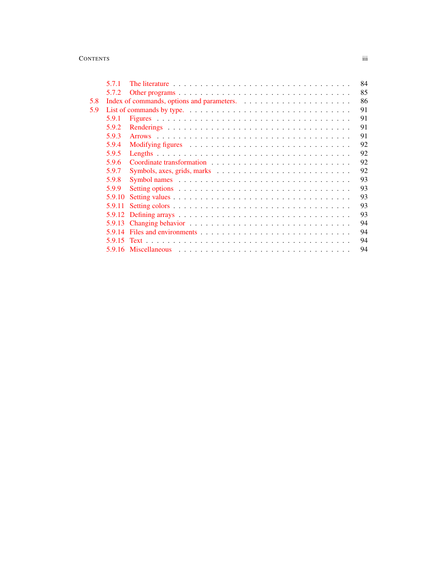# CONTENTS iii

|     | 5.7.1  | 84                                                                                                |  |
|-----|--------|---------------------------------------------------------------------------------------------------|--|
|     | 5.7.2  | 85                                                                                                |  |
| 5.8 |        | 86                                                                                                |  |
| 5.9 |        | 91                                                                                                |  |
|     | 5.9.1  | 91                                                                                                |  |
|     | 5.9.2  | 91                                                                                                |  |
|     | 5.9.3  | 91                                                                                                |  |
|     | 5.9.4  | 92                                                                                                |  |
|     | 5.9.5  | 92                                                                                                |  |
|     | 5.9.6  | 92                                                                                                |  |
|     | 5.9.7  | 92                                                                                                |  |
|     | 5.9.8  | 93<br>Symbol names $\ldots \ldots \ldots \ldots \ldots \ldots \ldots \ldots \ldots \ldots \ldots$ |  |
|     | 5.9.9  | 93                                                                                                |  |
|     | 5.9.10 | 93                                                                                                |  |
|     | 5.9.11 | 93                                                                                                |  |
|     |        | 93                                                                                                |  |
|     |        | 94                                                                                                |  |
|     |        | 94                                                                                                |  |
|     |        | 94                                                                                                |  |
|     |        | 94                                                                                                |  |
|     |        |                                                                                                   |  |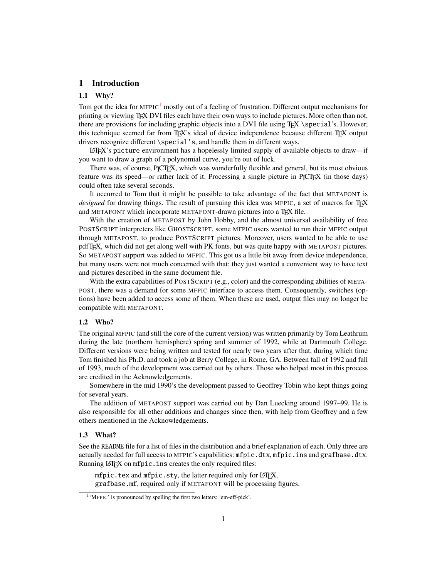# <span id="page-3-0"></span>1 Introduction

# <span id="page-3-1"></span>1.1 Why?

Tom got the idea for MFPIC<sup>[1](#page-3-4)</sup> mostly out of a feeling of frustration. Different output mechanisms for printing or viewing T<sub>EX</sub> DVI files each have their own ways to include pictures. More often than not, there are provisions for including graphic objects into a DVI file using TEX \special's. However, this technique seemed far from TEX's ideal of device independence because different TEX output drivers recognize different \special's, and handle them in different ways.

LATEX's picture environment has a hopelessly limited supply of available objects to draw—if you want to draw a graph of a polynomial curve, you're out of luck.

There was, of course, PICTEX, which was wonderfully flexible and general, but its most obvious feature was its speed—or rather lack of it. Processing a single picture in P<sub>ICTEX</sub> (in those days) could often take several seconds.

It occurred to Tom that it might be possible to take advantage of the fact that METAFONT is *designed* for drawing things. The result of pursuing this idea was MFPIC, a set of macros for TEX and METAFONT which incorporate METAFONT-drawn pictures into a TFX file.

With the creation of METAPOST by John Hobby, and the almost universal availability of free POSTSCRIPT interpreters like GHOSTSCRIPT, some MFPIC users wanted to run their MFPIC output through METAPOST, to produce POSTSCRIPT pictures. Moreover, users wanted to be able to use pdfTEX, which did not get along well with PK fonts, but was quite happy with METAPOST pictures. So METAPOST support was added to MFPIC. This got us a little bit away from device independence, but many users were not much concerned with that: they just wanted a convenient way to have text and pictures described in the same document file.

With the extra capabilities of POSTSCRIPT (e.g., color) and the corresponding abilities of META-POST, there was a demand for some MFPIC interface to access them. Consequently, switches (options) have been added to access some of them. When these are used, output files may no longer be compatible with METAFONT.

### <span id="page-3-2"></span>1.2 Who?

The original MFPIC (and still the core of the current version) was written primarily by Tom Leathrum during the late (northern hemisphere) spring and summer of 1992, while at Dartmouth College. Different versions were being written and tested for nearly two years after that, during which time Tom finished his Ph.D. and took a job at Berry College, in Rome, GA. Between fall of 1992 and fall of 1993, much of the development was carried out by others. Those who helped most in this process are credited in the Acknowledgements.

Somewhere in the mid 1990's the development passed to Geoffrey Tobin who kept things going for several years.

The addition of METAPOST support was carried out by Dan Luecking around 1997–99. He is also responsible for all other additions and changes since then, with help from Geoffrey and a few others mentioned in the Acknowledgements.

### <span id="page-3-3"></span>1.3 What?

See the README file for a list of files in the distribution and a brief explanation of each. Only three are actually needed for full access to MFPIC's capabilities: mfpic.dtx, mfpic.ins and grafbase.dtx. Running LAT<sub>E</sub>X on mfpic.ins creates the only required files:

mfpic.tex and mfpic.sty, the latter required only for LATEX. grafbase.mf, required only if METAFONT will be processing figures.

<span id="page-3-4"></span><sup>1</sup> 'MFPIC' is pronounced by spelling the first two letters: 'em-eff-pick'.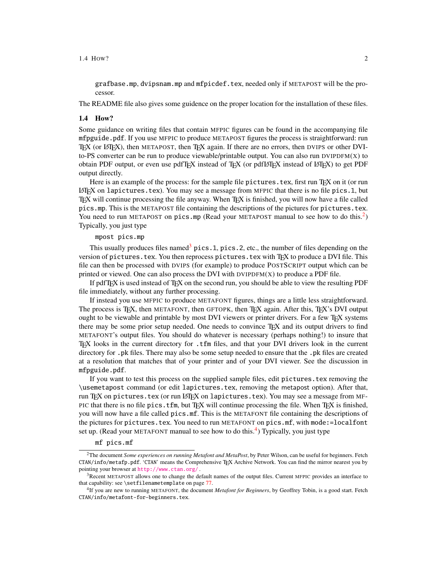#### $1.4$  How?  $2$

grafbase.mp, dvipsnam.mp and mfpicdef.tex, needed only if METAPOST will be the processor.

The README file also gives some guidence on the proper location for the installation of these files.

#### <span id="page-4-0"></span>1.4 How?

Some guidance on writing files that contain MFPIC figures can be found in the accompanying file mfpguide.pdf. If you use MFPIC to produce METAPOST figures the process is straightforward: run TEX (or LATEX), then METAPOST, then TEX again. If there are no errors, then DVIPS or other DVIto-PS converter can be run to produce viewable/printable output. You can also run DVIPDFM $(X)$  to obtain PDF output, or even use pdfTEX instead of TEX (or pdfLATEX instead of LATEX) to get PDF output directly.

Here is an example of the process: for the sample file pictures.tex, first run T<sub>EX</sub> on it (or run  $LATEX$  on lapictures.tex). You may see a message from MFPIC that there is no file pics.1, but TEX will continue processing the file anyway. When TEX is finished, you will now have a file called pics.mp. This is the METAPOST file containing the descriptions of the pictures for pictures.tex. You need to run METAPOST on pics.mp (Read your METAPOST manual to see how to do this.<sup>[2](#page-4-1)</sup>) Typically, you just type

### mpost pics.mp

This usually produces files named<sup>[3](#page-4-2)</sup> pics.1, pics.2, etc., the number of files depending on the version of pictures.tex. You then reprocess pictures.tex with TFX to produce a DVI file. This file can then be processed with DVIPS (for example) to produce POSTSCRIPT output which can be printed or viewed. One can also process the DVI with  $DVI$  to produce a PDF file.

If pdfTEX is used instead of TEX on the second run, you should be able to view the resulting PDF file immediately, without any further processing.

If instead you use MFPIC to produce METAFONT figures, things are a little less straightforward. The process is TEX, then METAFONT, then GFTOPK, then TEX again. After this, TEX's DVI output ought to be viewable and printable by most DVI viewers or printer drivers. For a few TFX systems there may be some prior setup needed. One needs to convince TEX and its output drivers to find METAFONT's output files. You should do whatever is necessary (perhaps nothing!) to insure that TEX looks in the current directory for .tfm files, and that your DVI drivers look in the current directory for .pk files. There may also be some setup needed to ensure that the .pk files are created at a resolution that matches that of your printer and of your DVI viewer. See the discussion in mfpguide.pdf.

If you want to test this process on the supplied sample files, edit pictures.tex removing the \usemetapost command (or edit lapictures.tex, removing the metapost option). After that, run TFX on pictures.tex (or run LATFX on lapictures.tex). You may see a message from MF-PIC that there is no file pics.tfm, but TEX will continue processing the file. When TEX is finished, you will now have a file called pics.mf. This is the METAFONT file containing the descriptions of the pictures for pictures.tex. You need to run METAFONT on pics.mf, with mode:=localfont set up. (Read your METAFONT manual to see how to do this.<sup>[4](#page-4-3)</sup>) Typically, you just type

#### mf pics.mf

<span id="page-4-1"></span><sup>2</sup>The document *Some experiences on running Metafont and MetaPost*, by Peter Wilson, can be useful for beginners. Fetch CTAN/info/metafp.pdf. 'CTAN' means the Comprehensive TEX Archive Network. You can find the mirror nearest you by pointing your browser at <http://www.ctan.org/> .

<span id="page-4-2"></span><sup>3</sup>Recent METAPOST allows one to change the default names of the output files. Current MFPIC provides an interface to that capability: see \setfilenametemplate on page [77.](#page-79-0)

<span id="page-4-3"></span><sup>4</sup> If you are new to running METAFONT, the document *Metafont for Beginners*, by Geoffrey Tobin, is a good start. Fetch CTAN/info/metafont-for-beginners.tex.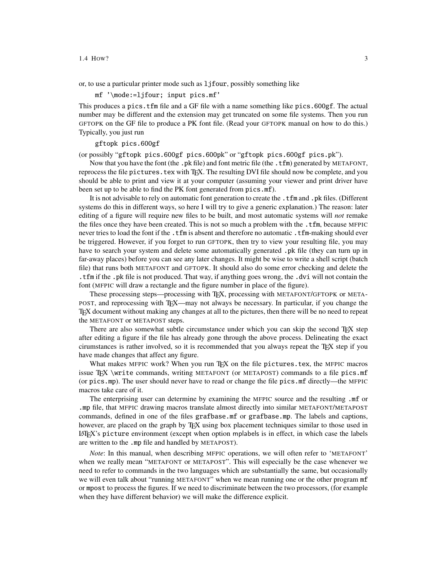#### $1.4 \text{ How?}$  3

or, to use a particular printer mode such as ljfour, possibly something like

mf '\mode:=ljfour; input pics.mf'

This produces a pics.tfm file and a GF file with a name something like pics.600gf. The actual number may be different and the extension may get truncated on some file systems. Then you run GFTOPK on the GF file to produce a PK font file. (Read your GFTOPK manual on how to do this.) Typically, you just run

### gftopk pics.600gf

(or possibly "gftopk pics.600gf pics.600pk" or "gftopk pics.600gf pics.pk").

Now that you have the font (the .pk file) and font metric file (the .tfm) generated by METAFONT, reprocess the file pictures. tex with TEX. The resulting DVI file should now be complete, and you should be able to print and view it at your computer (assuming your viewer and print driver have been set up to be able to find the PK font generated from pics.mf).

It is not advisable to rely on automatic font generation to create the .tfm and .pk files. (Different systems do this in different ways, so here I will try to give a generic explanation.) The reason: later editing of a figure will require new files to be built, and most automatic systems will *not* remake the files once they have been created. This is not so much a problem with the .tfm, because MFPIC never tries to load the font if the .tfm is absent and therefore no automatic .tfm-making should ever be triggered. However, if you forget to run GFTOPK, then try to view your resulting file, you may have to search your system and delete some automatically generated .pk file (they can turn up in far-away places) before you can see any later changes. It might be wise to write a shell script (batch file) that runs both METAFONT and GFTOPK. It should also do some error checking and delete the .tfm if the .pk file is not produced. That way, if anything goes wrong, the .dvi will not contain the font (MFPIC will draw a rectangle and the figure number in place of the figure).

These processing steps—processing with TEX, processing with METAFONT/GFTOPK or META-POST, and reprocessing with TEX—may not always be necessary. In particular, if you change the TEX document without making any changes at all to the pictures, then there will be no need to repeat the METAFONT or METAPOST steps.

There are also somewhat subtle circumstance under which you can skip the second TEX step after editing a figure if the file has already gone through the above process. Delineating the exact cirumstances is rather involved, so it is recommended that you always repeat the TEX step if you have made changes that affect any figure.

What makes MFPIC work? When you run T<sub>EX</sub> on the file pictures.tex, the MFPIC macros issue TEX \write commands, writing METAFONT (or METAPOST) commands to a file pics.mf (or pics.mp). The user should never have to read or change the file pics.mf directly—the MFPIC macros take care of it.

The enterprising user can determine by examining the MFPIC source and the resulting .mf or .mp file, that MFPIC drawing macros translate almost directly into similar METAFONT/METAPOST commands, defined in one of the files grafbase.mf or grafbase.mp. The labels and captions, however, are placed on the graph by TEX using box placement techniques similar to those used in LATEX's picture environment (except when option mplabels is in effect, in which case the labels are written to the .mp file and handled by METAPOST).

*Note*: In this manual, when describing MFPIC operations, we will often refer to 'METAFONT' when we really mean "METAFONT or METAPOST". This will especially be the case whenever we need to refer to commands in the two languages which are substantially the same, but occasionally we will even talk about "running METAFONT" when we mean running one or the other program mf or mpost to process the figures. If we need to discriminate between the two processors, (for example when they have different behavior) we will make the difference explicit.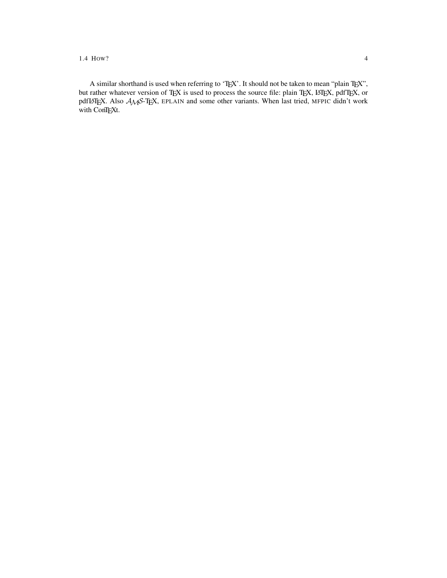1.4 HOW? 4

A similar shorthand is used when referring to 'TEX'. It should not be taken to mean "plain TEX", but rather whatever version of TEX is used to process the source file: plain TEX, LATEX, pdfTEX, or pdfLATEX. Also  $A_{\mathcal{M}}S$ -TEX, EPLAIN and some other variants. When last tried, MFPIC didn't work with ConTEXt.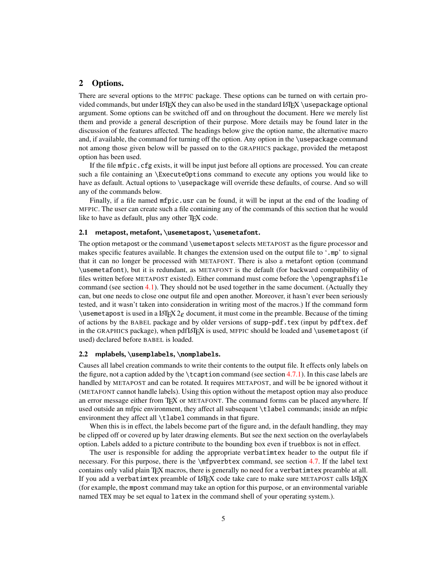# <span id="page-7-0"></span>2 Options.

There are several options to the MFPIC package. These options can be turned on with certain provided commands, but under LATEX they can also be used in the standard LATEX \usepackage optional argument. Some options can be switched off and on throughout the document. Here we merely list them and provide a general description of their purpose. More details may be found later in the discussion of the features affected. The headings below give the option name, the alternative macro and, if available, the command for turning off the option. Any option in the \usepackage command not among those given below will be passed on to the GRAPHICS package, provided the metapost option has been used.

If the file mfpic.cfg exists, it will be input just before all options are processed. You can create such a file containing an \ExecuteOptions command to execute any options you would like to have as default. Actual options to \usepackage will override these defaults, of course. And so will any of the commands below.

Finally, if a file named mfpic.usr can be found, it will be input at the end of the loading of MFPIC. The user can create such a file containing any of the commands of this section that he would like to have as default, plus any other TFX code.

#### <span id="page-7-1"></span>2.1 metapost, metafont, **\usemetapost**, **\usemetafont**.

The option metapost or the command \usemetapost selects METAPOST as the figure processor and makes specific features available. It changes the extension used on the output file to '.mp' to signal that it can no longer be processed with METAFONT. There is also a metafont option (command \usemetafont), but it is redundant, as METAFONT is the default (for backward compatibility of files written before METAPOST existed). Either command must come before the \opengraphsfile command (see section [4.1\)](#page-13-1). They should not be used together in the same document. (Actually they can, but one needs to close one output file and open another. Moreover, it hasn't ever been seriously tested, and it wasn't taken into consideration in writing most of the macros.) If the command form \usemetapost is used in a LATEX  $2\varepsilon$  document, it must come in the preamble. Because of the timing of actions by the BABEL package and by older versions of supp-pdf.tex (input by pdftex.def in the GRAPHICS package), when pdf $LATEX$  is used, MFPIC should be loaded and \usemetapost (if used) declared before BABEL is loaded.

### <span id="page-7-2"></span>2.2 mplabels, **\usemplabels**, **\nomplabels**.

Causes all label creation commands to write their contents to the output file. It effects only labels on the figure, not a caption added by the  $\text{t$ eaption command (see section [4.7.1\)](#page-51-1). In this case labels are handled by METAPOST and can be rotated. It requires METAPOST, and will be be ignored without it (METAFONT cannot handle labels). Using this option without the metapost option may also produce an error message either from TEX or METAFONT. The command forms can be placed anywhere. If used outside an mfpic environment, they affect all subsequent \tlabel commands; inside an mfpic environment they affect all \tlabel commands in that figure.

When this is in effect, the labels become part of the figure and, in the default handling, they may be clipped off or covered up by later drawing elements. But see the next section on the overlaylabels option. Labels added to a picture contribute to the bounding box even if truebbox is not in effect.

The user is responsible for adding the appropriate verbatimtex header to the output file if necessary. For this purpose, there is the \mfpverbtex command, see section [4.7.](#page-51-0) If the label text contains only valid plain T<sub>E</sub>X macros, there is generally no need for a verbatimtex preamble at all. If you add a verbatimtex preamble of LATEX code take care to make sure METAPOST calls LATEX (for example, the mpost command may take an option for this purpose, or an environmental variable named TEX may be set equal to latex in the command shell of your operating system.).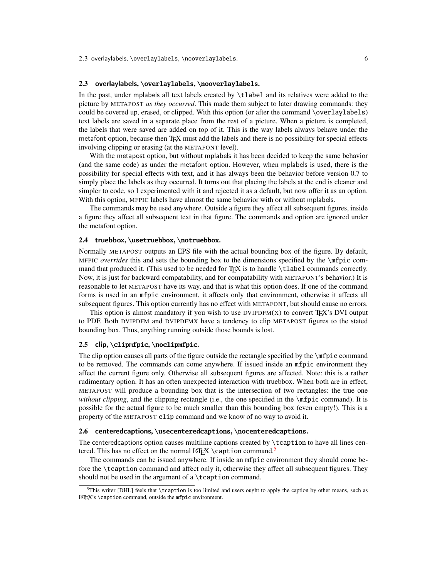### <span id="page-8-0"></span>2.3 overlaylabels, **\overlaylabels**, **\nooverlaylabels**.

In the past, under mplabels all text labels created by \tlabel and its relatives were added to the picture by METAPOST *as they occurred*. This made them subject to later drawing commands: they could be covered up, erased, or clipped. With this option (or after the command \overlaylabels) text labels are saved in a separate place from the rest of a picture. When a picture is completed, the labels that were saved are added on top of it. This is the way labels always behave under the metafont option, because then TFX must add the labels and there is no possibility for special effects involving clipping or erasing (at the METAFONT level).

With the metapost option, but without mplabels it has been decided to keep the same behavior (and the same code) as under the metafont option. However, when mplabels is used, there is the possibility for special effects with text, and it has always been the behavior before version 0.7 to simply place the labels as they occurred. It turns out that placing the labels at the end is cleaner and simpler to code, so I experimented with it and rejected it as a default, but now offer it as an option. With this option, MFPIC labels have almost the same behavior with or without mplabels.

The commands may be used anywhere. Outside a figure they affect all subsequent figures, inside a figure they affect all subsequent text in that figure. The commands and option are ignored under the metafont option.

## <span id="page-8-1"></span>2.4 truebbox, **\usetruebbox**, **\notruebbox**.

Normally METAPOST outputs an EPS file with the actual bounding box of the figure. By default, MFPIC *overrides* this and sets the bounding box to the dimensions specified by the \mfpic command that produced it. (This used to be needed for TEX is to handle \tlabel commands correctly. Now, it is just for backward compatability, and for compatability with METAFONT's behavior.) It is reasonable to let METAPOST have its way, and that is what this option does. If one of the command forms is used in an mfpic environment, it affects only that environment, otherwise it affects all subsequent figures. This option currently has no effect with METAFONT, but should cause no errors.

This option is almost mandatory if you wish to use  $DVPDFM(X)$  to convert TFX's DVI output to PDF. Both DVIPDFM and DVIPDFMX have a tendency to clip METAPOST figures to the stated bounding box. Thus, anything running outside those bounds is lost.

# <span id="page-8-2"></span>2.5 clip, **\clipmfpic**, **\noclipmfpic**.

The clip option causes all parts of the figure outside the rectangle specified by the \mfpic command to be removed. The commands can come anywhere. If issued inside an mfpic environment they affect the current figure only. Otherwise all subsequent figures are affected. Note: this is a rather rudimentary option. It has an often unexpected interaction with truebbox. When both are in effect, METAPOST will produce a bounding box that is the intersection of two rectangles: the true one *without clipping*, and the clipping rectangle (i.e., the one specified in the \mfpic command). It is possible for the actual figure to be much smaller than this bounding box (even empty!). This is a property of the METAPOST clip command and we know of no way to avoid it.

#### <span id="page-8-3"></span>2.6 centeredcaptions, **\usecenteredcaptions**, **\nocenteredcaptions**.

The centeredcaptions option causes multiline captions created by  $\text{t}$  caption to have all lines cen-tered. This has no effect on the normal LAT<sub>EX</sub> \caption command.<sup>[5](#page-8-4)</sup>

The commands can be issued anywhere. If inside an mfpic environment they should come before the \tcaption command and affect only it, otherwise they affect all subsequent figures. They should not be used in the argument of a \tcaption command.

<span id="page-8-4"></span> $5$ This writer [DHL] feels that \tcaption is too limited and users ought to apply the caption by other means, such as LATEX's \caption command, outside the mfpic environment.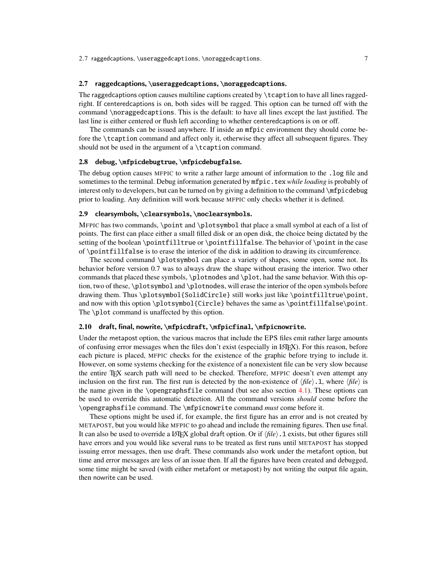# <span id="page-9-0"></span>2.7 raggedcaptions, **\useraggedcaptions**, **\noraggedcaptions**.

The raggedcaptions option causes multiline captions created by \tcaption to have all lines raggedright. If centeredcaptions is on, both sides will be ragged. This option can be turned off with the command \noraggedcaptions. This is the default: to have all lines except the last justified. The last line is either centered or flush left according to whether centeredcaptions is on or off.

The commands can be issued anywhere. If inside an mfpic environment they should come before the \tcaption command and affect only it, otherwise they affect all subsequent figures. They should not be used in the argument of a \tcaption command.

# <span id="page-9-1"></span>2.8 debug, **\mfpicdebugtrue**, **\mfpicdebugfalse**.

The debug option causes MFPIC to write a rather large amount of information to the .log file and sometimes to the terminal. Debug information generated by mfpic.tex *while loading* is probably of interest only to developers, but can be turned on by giving a definition to the command \mfpicdebug prior to loading. Any definition will work because MFPIC only checks whether it is defined.

### <span id="page-9-2"></span>2.9 clearsymbols, **\clearsymbols**, **\noclearsymbols**.

MFPIC has two commands, \point and \plotsymbol that place a small symbol at each of a list of points. The first can place either a small filled disk or an open disk, the choice being dictated by the setting of the boolean \pointfilltrue or \pointfillfalse. The behavior of \point in the case of \pointfillfalse is to erase the interior of the disk in addition to drawing its circumference.

The second command \plotsymbol can place a variety of shapes, some open, some not. Its behavior before version 0.7 was to always draw the shape without erasing the interior. Two other commands that placed these symbols, \plotnodes and \plot, had the same behavior. With this option, two of these, \plotsymbol and \plotnodes, will erase the interior of the open symbols before drawing them. Thus \plotsymbol{SolidCircle} still works just like \pointfilltrue\point, and now with this option \plotsymbol{Circle} behaves the same as \pointfillfalse\point. The \plot command is unaffected by this option.

# <span id="page-9-3"></span>2.10 draft, final, nowrite, **\mfpicdraft**, **\mfpicfinal**, **\mfpicnowrite**.

Under the metapost option, the various macros that include the EPS files emit rather large amounts of confusing error messages when the files don't exist (especially in LATEX). For this reason, before each picture is placed, MFPIC checks for the existence of the graphic before trying to include it. However, on some systems checking for the existence of a nonexistent file can be very slow because the entire TEX search path will need to be checked. Therefore, MFPIC doesn't even attempt any inclusion on the first run. The first run is detected by the non-existence of  $\langle file \rangle$ .1, where  $\langle file \rangle$  is the name given in the \opengraphsfile command (but see also section  $4.1$ ). These options can be used to override this automatic detection. All the command versions *should* come before the \opengraphsfile command. The \mfpicnowrite command *must* come before it.

These options might be used if, for example, the first figure has an error and is not created by METAPOST, but you would like MFPIC to go ahead and include the remaining figures. Then use final. It can also be used to override a LAT<sub>EX</sub> global draft option. Or if  $\langle file \rangle$ . 1 exists, but other figures still have errors and you would like several runs to be treated as first runs until METAPOST has stopped issuing error messages, then use draft. These commands also work under the metafont option, but time and error messages are less of an issue then. If all the figures have been created and debugged, some time might be saved (with either metafont or metapost) by not writing the output file again, then nowrite can be used.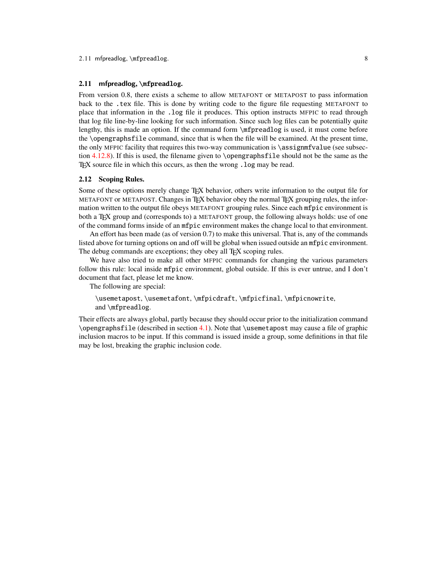# <span id="page-10-0"></span>2.11 mfpreadlog, **\mfpreadlog**.

From version 0.8, there exists a scheme to allow METAFONT or METAPOST to pass information back to the .tex file. This is done by writing code to the figure file requesting METAFONT to place that information in the .log file it produces. This option instructs MFPIC to read through that log file line-by-line looking for such information. Since such log files can be potentially quite lengthy, this is made an option. If the command form \mfpreadlog is used, it must come before the \opengraphsfile command, since that is when the file will be examined. At the present time, the only MFPIC facility that requires this two-way communication is  $\assim$  function (see subsection  $4.12.8$ ). If this is used, the filename given to \opengraphsfile should not be the same as the TEX source file in which this occurs, as then the wrong . log may be read.

### <span id="page-10-1"></span>2.12 Scoping Rules.

Some of these options merely change TEX behavior, others write information to the output file for METAFONT or METAPOST. Changes in TFX behavior obey the normal TFX grouping rules, the information written to the output file obeys METAFONT grouping rules. Since each mfpic environment is both a TEX group and (corresponds to) a METAFONT group, the following always holds: use of one of the command forms inside of an mfpic environment makes the change local to that environment.

An effort has been made (as of version 0.7) to make this universal. That is, any of the commands listed above for turning options on and off will be global when issued outside an mfpic environment. The debug commands are exceptions; they obey all T<sub>EX</sub> scoping rules.

We have also tried to make all other MFPIC commands for changing the various parameters follow this rule: local inside mfpic environment, global outside. If this is ever untrue, and I don't document that fact, please let me know.

The following are special:

\usemetapost, \usemetafont, \mfpicdraft, \mfpicfinal, \mfpicnowrite, and \mfpreadlog.

Their effects are always global, partly because they should occur prior to the initialization command  $\operatorname{opengraph}$ sfile (described in section [4.1\)](#page-13-1). Note that  $\operatorname{base}$  may cause a file of graphic inclusion macros to be input. If this command is issued inside a group, some definitions in that file may be lost, breaking the graphic inclusion code.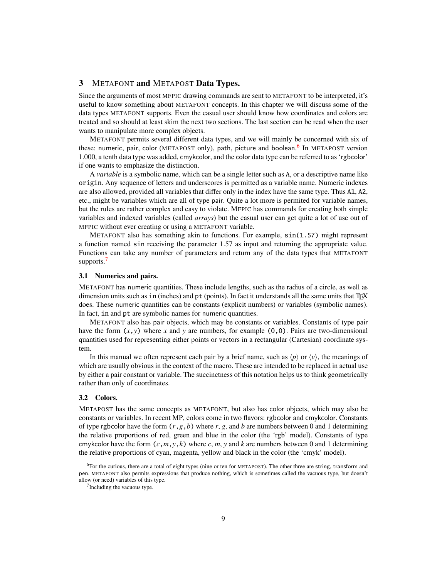# <span id="page-11-0"></span>3 METAFONT and METAPOST Data Types.

Since the arguments of most MFPIC drawing commands are sent to METAFONT to be interpreted, it's useful to know something about METAFONT concepts. In this chapter we will discuss some of the data types METAFONT supports. Even the casual user should know how coordinates and colors are treated and so should at least skim the next two sections. The last section can be read when the user wants to manipulate more complex objects.

METAFONT permits several different data types, and we will mainly be concerned with six of these: numeric, pair, color (METAPOST only), path, picture and boolean.<sup>[6](#page-11-3)</sup> In METAPOST version 1.000, a tenth data type was added, cmykcolor, and the color data type can be referred to as 'rgbcolor' if one wants to emphasize the distinction.

A *variable* is a symbolic name, which can be a single letter such as A, or a descriptive name like origin. Any sequence of letters and underscores is permitted as a variable name. Numeric indexes are also allowed, provided all variables that differ only in the index have the same type. Thus A1, A2, etc., might be variables which are all of type pair. Quite a lot more is permited for variable names, but the rules are rather complex and easy to violate. MFPIC has commands for creating both simple variables and indexed variables (called *arrays*) but the casual user can get quite a lot of use out of MFPIC without ever creating or using a METAFONT variable.

METAFONT also has something akin to functions. For example, sin(1.57) might represent a function named sin receiving the parameter 1.57 as input and returning the appropriate value. Functions can take any number of parameters and return any of the data types that METAFONT supports.<sup>[7](#page-11-4)</sup>

### <span id="page-11-1"></span>3.1 Numerics and pairs.

METAFONT has numeric quantities. These include lengths, such as the radius of a circle, as well as dimension units such as in (inches) and pt (points). In fact it understands all the same units that T<sub>E</sub>X does. These numeric quantities can be constants (explicit numbers) or variables (symbolic names). In fact, in and pt are symbolic names for numeric quantities.

METAFONT also has pair objects, which may be constants or variables. Constants of type pair have the form  $(x, y)$  where *x* and *y* are numbers, for example  $(0, 0)$ . Pairs are two-dimensional quantities used for representing either points or vectors in a rectangular (Cartesian) coordinate system.

In this manual we often represent each pair by a brief name, such as  $\langle p \rangle$  or  $\langle v \rangle$ , the meanings of which are usually obvious in the context of the macro. These are intended to be replaced in actual use by either a pair constant or variable. The succinctness of this notation helps us to think geometrically rather than only of coordinates.

# <span id="page-11-2"></span>3.2 Colors.

METAPOST has the same concepts as METAFONT, but also has color objects, which may also be constants or variables. In recent MP, colors come in two flavors: rgbcolor and cmykcolor. Constants of type rgbcolor have the form  $(r, g, b)$  where  $r, g$ , and *b* are numbers between 0 and 1 determining the relative proportions of red, green and blue in the color (the 'rgb' model). Constants of type cmykcolor have the form  $(c, m, y, k)$  where  $c, m, y$  and  $k$  are numbers between 0 and 1 determining the relative proportions of cyan, magenta, yellow and black in the color (the 'cmyk' model).

<span id="page-11-3"></span> $6$ For the curious, there are a total of eight types (nine or ten for METAPOST). The other three are string, transform and pen. METAFONT also permits expressions that produce nothing, which is sometimes called the vacuous type, but doesn't allow (or need) variables of this type.

<span id="page-11-4"></span><sup>&</sup>lt;sup>7</sup> Including the vacuous type.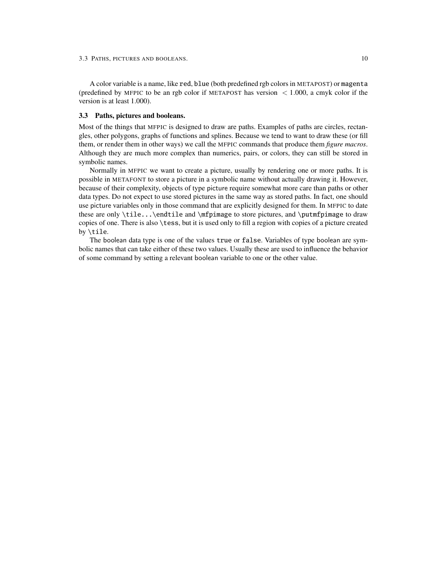A color variable is a name, like red, blue (both predefined rgb colors in METAPOST) or magenta (predefined by MFPIC to be an rgb color if METAPOST has version  $\leq 1.000$ , a cmyk color if the version is at least 1.000).

# <span id="page-12-0"></span>3.3 Paths, pictures and booleans.

Most of the things that MFPIC is designed to draw are paths. Examples of paths are circles, rectangles, other polygons, graphs of functions and splines. Because we tend to want to draw these (or fill them, or render them in other ways) we call the MFPIC commands that produce them *figure macros*. Although they are much more complex than numerics, pairs, or colors, they can still be stored in symbolic names.

Normally in MFPIC we want to create a picture, usually by rendering one or more paths. It is possible in METAFONT to store a picture in a symbolic name without actually drawing it. However, because of their complexity, objects of type picture require somewhat more care than paths or other data types. Do not expect to use stored pictures in the same way as stored paths. In fact, one should use picture variables only in those command that are explicitly designed for them. In MFPIC to date these are only \tile...\endtile and \mfpimage to store pictures, and \putmfpimage to draw copies of one. There is also \tess, but it is used only to fill a region with copies of a picture created by \tile.

The boolean data type is one of the values true or false. Variables of type boolean are symbolic names that can take either of these two values. Usually these are used to influence the behavior of some command by setting a relevant boolean variable to one or the other value.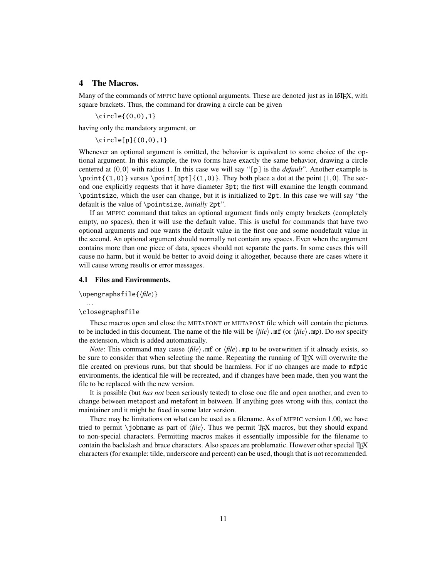# <span id="page-13-0"></span>4 The Macros.

Many of the commands of MFPIC have optional arguments. These are denoted just as in LATEX, with square brackets. Thus, the command for drawing a circle can be given

\circle{(0,0),1}

having only the mandatory argument, or

\circle[p]{(0,0),1}

Whenever an optional argument is omitted, the behavior is equivalent to some choice of the optional argument. In this example, the two forms have exactly the same behavior, drawing a circle centered at (0,0) with radius 1. In this case we will say "[p] is the *default*". Another example is  $\point\{(1,0)\}$  versus  $\point[3pt]\{(1,0)\}$ . They both place a dot at the point  $(1,0)$ . The second one explicitly requests that it have diameter 3pt; the first will examine the length command \pointsize, which the user can change, but it is initialized to 2pt. In this case we will say "the default is the value of \pointsize, *initially* 2pt".

If an MFPIC command that takes an optional argument finds only empty brackets (completely empty, no spaces), then it will use the default value. This is useful for commands that have two optional arguments and one wants the default value in the first one and some nondefault value in the second. An optional argument should normally not contain any spaces. Even when the argument contains more than one piece of data, spaces should not separate the parts. In some cases this will cause no harm, but it would be better to avoid doing it altogether, because there are cases where it will cause wrong results or error messages.

### <span id="page-13-1"></span>4.1 Files and Environments.

 $\operatorname{opengraphsfile}$ { $\{file\}$ }

#### \closegraphsfile

...

These macros open and close the METAFONT or METAPOST file which will contain the pictures to be included in this document. The name of the file will be  $\langle file \rangle$ .mf (or  $\langle file \rangle$ .mp). Do *not* specify the extension, which is added automatically.

*Note*: This command may cause  $\langle file \rangle$ .mf or  $\langle file \rangle$ .mp to be overwritten if it already exists, so be sure to consider that when selecting the name. Repeating the running of T<sub>EX</sub> will overwrite the file created on previous runs, but that should be harmless. For if no changes are made to mfpic environments, the identical file will be recreated, and if changes have been made, then you want the file to be replaced with the new version.

It is possible (but *has not* been seriously tested) to close one file and open another, and even to change between metapost and metafont in between. If anything goes wrong with this, contact the maintainer and it might be fixed in some later version.

There may be limitations on what can be used as a filename. As of MFPIC version 1.00, we have tried to permit \jobname as part of  $\langle file \rangle$ . Thus we permit T<sub>EX</sub> macros, but they should expand to non-special characters. Permitting macros makes it essentially impossible for the filename to contain the backslash and brace characters. Also spaces are problematic. However other special TFX characters (for example: tilde, underscore and percent) can be used, though that is not recommended.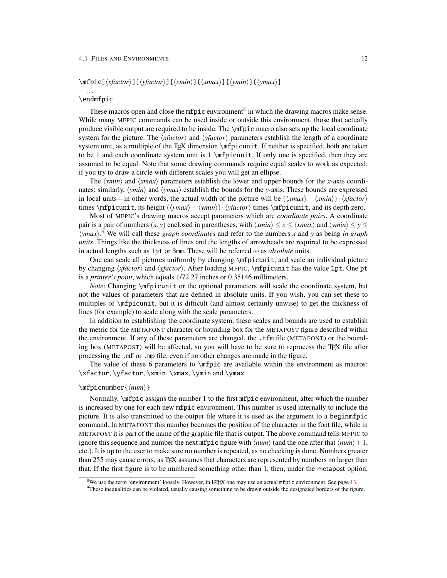#### 4.1 FILES AND ENVIRONMENTS. 12

# \mfpic[ $\langle xfactor \rangle$ ][ $\langle yfactor \rangle$ ]{ $\langle xmin \rangle$ }{ $\langle ymin \rangle$ }{ $\langle ymax \rangle$ }

# ... \endmfpic

These macros open and close the mfpic environment<sup>[8](#page-14-0)</sup> in which the drawing macros make sense. While many MFPIC commands can be used inside or outside this environment, those that actually produce visible output are required to be inside. The \mfpic macro also sets up the local coordinate system for the picture. The  $\langle xfactor \rangle$  and  $\langle yfactor \rangle$  parameters establish the length of a coordinate system unit, as a multiple of the T<sub>F</sub>X dimension \mfpicunit. If neither is specified, both are taken to be 1 and each coordinate system unit is 1 \mfpicunit. If only one is specified, then they are assumed to be equal. Note that some drawing commands require equal scales to work as expected: if you try to draw a circle with different scales you will get an ellipse.

The  $\langle xmin \rangle$  and  $\langle xmax \rangle$  parameters establish the lower and upper bounds for the *x*-axis coordinates; similarly,  $\langle ymin \rangle$  and  $\langle ymax \rangle$  establish the bounds for the *y*-axis. These bounds are expressed in local units—in other words, the actual width of the picture will be  $(\langle xmax \rangle - \langle xmin \rangle) \cdot \langle xfactor \rangle$ times \mfpicunit, its height ( $\langle ymax \rangle - \langle ymin \rangle$ )·  $\langle yfactor \rangle$  times \mfpicunit, and its depth zero.

Most of MFPIC's drawing macros accept parameters which are *coordinate pairs*. A coordinate pair is a pair of numbers  $(x, y)$  enclosed in parentheses, with  $\langle xmin \rangle \leq x \leq \langle xmax \rangle$  and  $\langle ymin \rangle \leq y \leq x$ h*ymax*i. [9](#page-14-1) We will call these *graph coordinates* and refer to the numbers *x* and *y* as being *in graph units*. Things like the thickness of lines and the lengths of arrowheads are required to be expressed in actual lengths such as 1pt or 3mm. These will be referred to as *absolute* units.

One can scale all pictures uniformly by changing \mfpicunit, and scale an individual picture by changing  $\langle$ *xfactor* $\rangle$  and  $\langle$ *yfactor* $\rangle$ . After loading MFPIC,  $\langle$ mfpicunit has the value 1pt. One pt is a *printer's point*, which equals 1/72.27 inches or 0.35146 millimeters.

*Note*: Changing *\mfpicunit* or the optional parameters will scale the coordinate system, but not the values of parameters that are defined in absolute units. If you wish, you can set these to multiples of \mfpicunit, but it is difficult (and almost certainly unwise) to get the thickness of lines (for example) to scale along with the scale parameters.

In addition to establishing the coordinate system, these scales and bounds are used to establish the metric for the METAFONT character or bounding box for the METAPOST figure described within the environment. If any of these parameters are changed, the .tfm file (METAFONT) or the bounding box (METAPOST) will be affected, so you will have to be sure to reprocess the TEX file after processing the .mf or .mp file, even if no other changes are made in the figure.

The value of these 6 parameters to \mfpic are available within the environment as macros: \xfactor, \yfactor, \xmin, \xmax, \ymin and \ymax.

#### \mfpicnumber{ $\langle num \rangle$ }

Normally, \mfpic assigns the number 1 to the first mfpic environment, after which the number is increased by one for each new mfpic environment. This number is used internally to include the picture. It is also transmitted to the output file where it is used as the argument to a beginmfpic command. In METAFONT this number becomes the position of the character in the font file, while in METAPOST it is part of the name of the graphic file that is output. The above command tells MFPIC to ignore this sequence and number the next mfpic figure with  $\langle num \rangle$  (and the one after that  $\langle num \rangle +1$ , etc.). It is up to the user to make sure no number is repeated, as no checking is done. Numbers greater than 255 may cause errors, as TEX assumes that characters are represented by numbers no larger than that. If the first figure is to be numbered something other than 1, then, under the metapost option,

<span id="page-14-0"></span> $8$ We use the term 'environment' loosely. However, in LATEX one may use an actual mfpic environment. See page [13.](#page-15-1)

<span id="page-14-1"></span> $9$ These inequalities can be violated, usually causing something to be drawn outside the designated borders of the figure.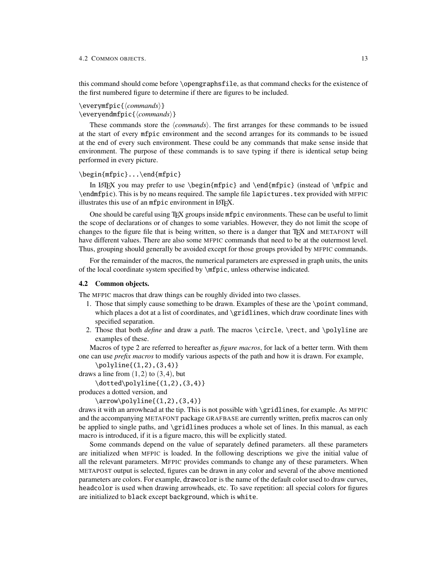this command should come before \opengraphsfile, as that command checks for the existence of the first numbered figure to determine if there are figures to be included.

\everymfpic{h*commands*i} \everyendmfpic{h*commands*i}

These commands store the *(commands)*. The first arranges for these commands to be issued at the start of every mfpic environment and the second arranges for its commands to be issued at the end of every such environment. These could be any commands that make sense inside that environment. The purpose of these commands is to save typing if there is identical setup being performed in every picture.

#### <span id="page-15-1"></span>\begin{mfpic}...\end{mfpic}

In LATEX you may prefer to use  $\begin{array}{c}$  and  $\end{array}$  (instead of  $\mtext{pic}$  and \endmfpic). This is by no means required. The sample file lapictures.tex provided with MFPIC illustrates this use of an mfpic environment in LATFX.

One should be careful using TEX groups inside mfpic environments. These can be useful to limit the scope of declarations or of changes to some variables. However, they do not limit the scope of changes to the figure file that is being written, so there is a danger that TEX and METAFONT will have different values. There are also some MFPIC commands that need to be at the outermost level. Thus, grouping should generally be avoided except for those groups provided by MFPIC commands.

For the remainder of the macros, the numerical parameters are expressed in graph units, the units of the local coordinate system specified by \mfpic, unless otherwise indicated.

### <span id="page-15-0"></span>4.2 Common objects.

The MFPIC macros that draw things can be roughly divided into two classes.

- 1. Those that simply cause something to be drawn. Examples of these are the \point command, which places a dot at a list of coordinates, and \gridlines, which draw coordinate lines with specified separation.
- 2. Those that both *define* and draw a *path*. The macros \circle, \rect, and \polyline are examples of these.

Macros of type 2 are referred to hereafter as *figure macros*, for lack of a better term. With them one can use *prefix macros* to modify various aspects of the path and how it is drawn. For example,

```
\pi(1,2),(3,4)
```

```
draws a line from (1,2) to (3,4), but
```
 $\dot{\text{polylinder}}(1,2)$ , (3,4)}

```
produces a dotted version, and
```
 $\arrow\polyline{(1,2),(3,4)}$ 

draws it with an arrowhead at the tip. This is not possible with \gridlines, for example. As MFPIC and the accompanying METAFONT package GRAFBASE are currently written, prefix macros can only be applied to single paths, and \gridlines produces a whole set of lines. In this manual, as each macro is introduced, if it is a figure macro, this will be explicitly stated.

Some commands depend on the value of separately defined parameters. all these parameters are initialized when MFPIC is loaded. In the following descriptions we give the initial value of all the relevant parameters. MFPIC provides commands to change any of these parameters. When METAPOST output is selected, figures can be drawn in any color and several of the above mentioned parameters are colors. For example, drawcolor is the name of the default color used to draw curves, headcolor is used when drawing arrowheads, etc. To save repetition: all special colors for figures are initialized to black except background, which is white.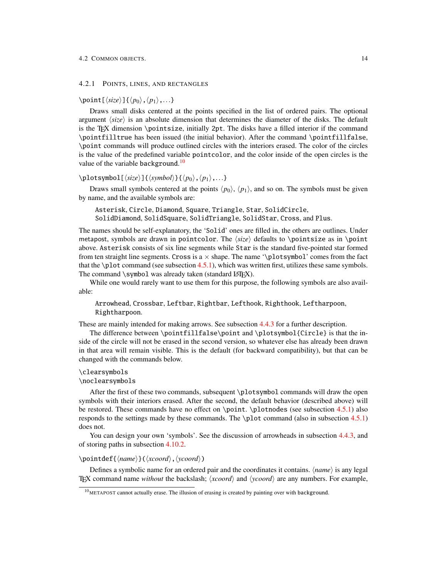<span id="page-16-0"></span>4.2.1 POINTS, LINES, AND RECTANGLES

\point[ $\langle size \rangle$ ]{ $\langle p_0 \rangle$ ,  $\langle p_1 \rangle$ ,...}

Draws small disks centered at the points specified in the list of ordered pairs. The optional argument  $\langle size \rangle$  is an absolute dimension that determines the diameter of the disks. The default is the TEX dimension \pointsize, initially 2pt. The disks have a filled interior if the command \pointfilltrue has been issued (the initial behavior). After the command \pointfillfalse, \point commands will produce outlined circles with the interiors erased. The color of the circles is the value of the predefined variable pointcolor, and the color inside of the open circles is the value of the variable background.<sup>[10](#page-16-1)</sup>

 $\displaystyle{\frac{\langle size \rangle}{\langle symbol \rangle}{\langle p_0 \rangle, \langle p_1 \rangle, \ldots}$ 

Draws small symbols centered at the points  $\langle p_0 \rangle$ ,  $\langle p_1 \rangle$ , and so on. The symbols must be given by name, and the available symbols are:

Asterisk, Circle, Diamond, Square, Triangle, Star, SolidCircle, SolidDiamond, SolidSquare, SolidTriangle, SolidStar, Cross, and Plus.

The names should be self-explanatory, the 'Solid' ones are filled in, the others are outlines. Under metapost, symbols are drawn in pointcolor. The  $\langle size \rangle$  defaults to \pointsize as in \point above. Asterisk consists of six line segments while Star is the standard five-pointed star formed from ten straight line segments. Cross is a  $\times$  shape. The name '\plotsymbol' comes from the fact that the \plot command (see subsection [4.5.1\)](#page-37-1), which was written first, utilizes these same symbols. The command \symbol was already taken (standard LATEX).

While one would rarely want to use them for this purpose, the following symbols are also available:

Arrowhead, Crossbar, Leftbar, Rightbar, Lefthook, Righthook, Leftharpoon, Rightharpoon.

These are mainly intended for making arrows. See subsection [4.4.3](#page-35-0) for a further description.

The difference between \pointfillfalse\point and \plotsymbol{Circle} is that the inside of the circle will not be erased in the second version, so whatever else has already been drawn in that area will remain visible. This is the default (for backward compatibility), but that can be changed with the commands below.

# \clearsymbols

# \noclearsymbols

After the first of these two commands, subsequent \plotsymbol commands will draw the open symbols with their interiors erased. After the second, the default behavior (described above) will be restored. These commands have no effect on \point. \plotnodes (see subsection [4.5.1\)](#page-37-1) also responds to the settings made by these commands. The \plot command (also in subsection [4.5.1\)](#page-37-1) does not.

You can design your own 'symbols'. See the discussion of arrowheads in subsection [4.4.3,](#page-35-0) and of storing paths in subsection [4.10.2.](#page-58-0)

### \pointdef{\*name*}}(\*xcoord*},\*ycoord*})

Defines a symbolic name for an ordered pair and the coordinates it contains. *\name*} is any legal TEX command name *without* the backslash;  $\langle xcoord \rangle$  and  $\langle ycoord \rangle$  are any numbers. For example,

<span id="page-16-1"></span> $10<sub>METAPOST</sub>$  cannot actually erase. The illusion of erasing is created by painting over with background.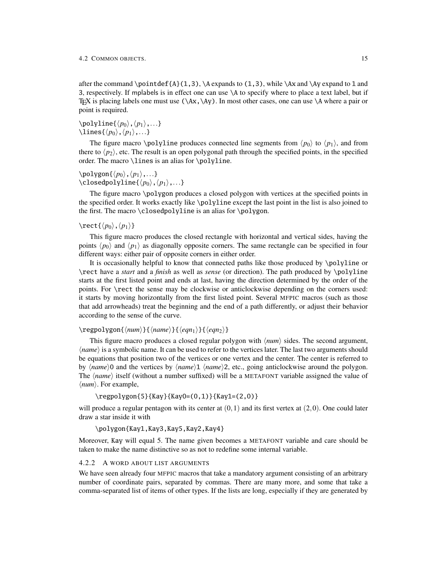after the command \point def{A}(1,3), \A expands to (1,3), while \Ax and \Ay expand to 1 and 3, respectively. If mplabels is in effect one can use \A to specify where to place a text label, but if TEX is placing labels one must use  $(\A x, \A y)$ . In most other cases, one can use  $\A$  where a pair or point is required.

# $\text{polyline}\{\langle p_0\rangle,\langle p_1\rangle,\ldots\}$ \lines{ $\langle p_0 \rangle$ ,  $\langle p_1 \rangle$ ,...}

The figure macro \polyline produces connected line segments from  $\langle p_0 \rangle$  to  $\langle p_1 \rangle$ , and from there to  $\langle p_2 \rangle$ , etc. The result is an open polygonal path through the specified points, in the specified order. The macro \lines is an alias for \polyline.

# \polygon{ $\langle p_0 \rangle$ ,  $\langle p_1 \rangle$ ,...}  $\label{eq:coisod}$  \closedpolyline{ $\langle p_0 \rangle$ ,  $\langle p_1 \rangle$ ,...}

The figure macro \polygon produces a closed polygon with vertices at the specified points in the specified order. It works exactly like \polyline except the last point in the list is also joined to the first. The macro \closedpolyline is an alias for \polygon.

# $\text{Rect}\{\langle p_0\rangle,\langle p_1\rangle\}$

This figure macro produces the closed rectangle with horizontal and vertical sides, having the points  $\langle p_0 \rangle$  and  $\langle p_1 \rangle$  as diagonally opposite corners. The same rectangle can be specified in four different ways: either pair of opposite corners in either order.

It is occasionally helpful to know that connected paths like those produced by \polyline or \rect have a *start* and a *finish* as well as *sense* (or direction). The path produced by \polyline starts at the first listed point and ends at last, having the direction determined by the order of the points. For \rect the sense may be clockwise or anticlockwise depending on the corners used: it starts by moving horizontally from the first listed point. Several MFPIC macros (such as those that add arrowheads) treat the beginning and the end of a path differently, or adjust their behavior according to the sense of the curve.

# $\text{regpolygon}\{ \nnum\} {\langle name \rangle}{\langle eqn_1 \rangle}{\langle eqn_2 \rangle}$

This figure macro produces a closed regular polygon with  $\langle num \rangle$  sides. The second argument, *hame*) is a symbolic name. It can be used to refer to the vertices later. The last two arguments should be equations that position two of the vertices or one vertex and the center. The center is referred to by  $\langle name \rangle$ 0 and the vertices by  $\langle name \rangle$ 1  $\langle name \rangle$ 2, etc., going anticlockwise around the polygon. The  $\langle name \rangle$  itself (without a number suffixed) will be a METAFONT variable assigned the value of  $\langle num \rangle$ . For example,

```
\regpolygon{5}{Kay}{Kay0=(0,1)}{Kay1=(2,0)}
```
will produce a regular pentagon with its center at  $(0,1)$  and its first vertex at  $(2,0)$ . One could later draw a star inside it with

\polygon{Kay1,Kay3,Kay5,Kay2,Kay4}

Moreover, Kay will equal 5. The name given becomes a METAFONT variable and care should be taken to make the name distinctive so as not to redefine some internal variable.

# <span id="page-17-0"></span>4.2.2 A WORD ABOUT LIST ARGUMENTS

We have seen already four MFPIC macros that take a mandatory argument consisting of an arbitrary number of coordinate pairs, separated by commas. There are many more, and some that take a comma-separated list of items of other types. If the lists are long, especially if they are generated by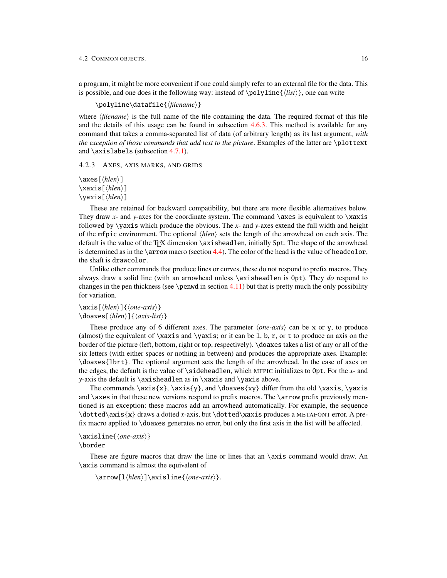a program, it might be more convenient if one could simply refer to an external file for the data. This is possible, and one does it the following way: instead of  $\polr{list}\$ , one can write

\polyline\datafile{\*filename*}}

where  $\langle$ *filename* $\rangle$  is the full name of the file containing the data. The required format of this file and the details of this usage can be found in subsection [4.6.3.](#page-48-0) This method is available for any command that takes a comma-separated list of data (of arbitrary length) as its last argument, *with the exception of those commands that add text to the picture*. Examples of the latter are \plottext and \axislabels (subsection [4.7.1\)](#page-51-1).

#### <span id="page-18-0"></span>4.2.3 AXES, AXIS MARKS, AND GRIDS

 $\xleftarrow{\hbar}{\hbar}$ ] \xaxis[\*hlen*}] \yaxis[\*hlen*}]

These are retained for backward compatibility, but there are more flexible alternatives below. They draw  $x$ - and  $y$ -axes for the coordinate system. The command  $\a$ xes is equivalent to  $\x$ xaxis followed by \yaxis which produce the obvious. The *x*- and *y*-axes extend the full width and height of the mfpic environment. The optional  $\langle hlen \rangle$  sets the length of the arrowhead on each axis. The default is the value of the T<sub>EX</sub> dimension \axisheadlen, initially 5pt. The shape of the arrowhead is determined as in the  $\arrow$  macro (section [4.4\)](#page-31-2). The color of the head is the value of headcolor, the shaft is drawcolor.

Unlike other commands that produce lines or curves, these do not respond to prefix macros. They always draw a solid line (with an arrowhead unless \axisheadlen is 0pt). They *do* respond to changes in the pen thickness (see \penwd in section  $4.11$ ) but that is pretty much the only possibility for variation.

# $\langle$ axis[ $\langle hlen \rangle$ ] $\langle$ *one-axis* $\rangle$ }  $\\diamond$ doaxes[ $\langle hlen \rangle$ ] $\{\langle axis-list \rangle\}$

These produce any of 6 different axes. The parameter  $\langle one-axis \rangle$  can be x or y, to produce (almost) the equivalent of  $\x$ axis and  $\ya$ xis; or it can be 1, b, r, or t to produce an axis on the border of the picture (left, bottom, right or top, respectively). \doaxes takes a list of any or all of the six letters (with either spaces or nothing in between) and produces the appropriate axes. Example: \doaxes{lbrt}. The optional argument sets the length of the arrowhead. In the case of axes on the edges, the default is the value of \sideheadlen, which MFPIC initializes to 0pt. For the *x*- and *y*-axis the default is \axisheadlen as in \xaxis and \yaxis above.

The commands  $\axis{x}, \axis{y},$  and  $\doaxes{xy}$  differ from the old  $\xaxis, \yaxis$ and  $\a$ xes in that these new versions respond to prefix macros. The  $\arccos$  prefix previously mentioned is an exception: these macros add an arrowhead automatically. For example, the sequence \dotted\axis{x} draws a dotted *x*-axis, but \dotted\xaxis produces a METAFONT error. A prefix macro applied to \doaxes generates no error, but only the first axis in the list will be affected.

```
\axisline{\one-axis}}
```
\border

These are figure macros that draw the line or lines that an  $\a$ xis command would draw. An \axis command is almost the equivalent of

 $\arrow[1/hlen] \axisline{\{one-axis\}.$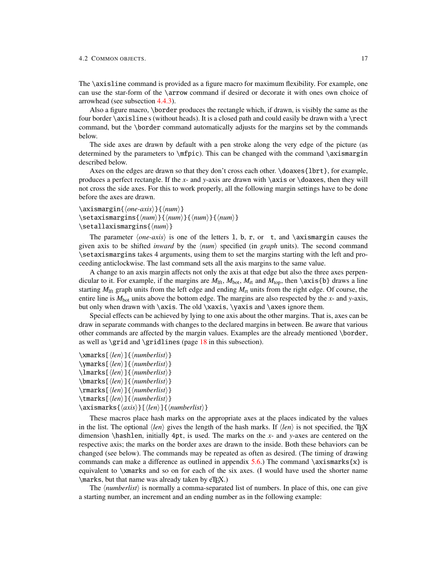The \axisline command is provided as a figure macro for maximum flexibility. For example, one can use the star-form of the \arrow command if desired or decorate it with ones own choice of arrowhead (see subsection [4.4.3\)](#page-35-0).

Also a figure macro, \border produces the rectangle which, if drawn, is visibly the same as the four border  $\a$ xisline s (without heads). It is a closed path and could easily be drawn with a  $\rect$ command, but the \border command automatically adjusts for the margins set by the commands below.

The side axes are drawn by default with a pen stroke along the very edge of the picture (as determined by the parameters to  $\langle$ mfpic). This can be changed with the command  $\langle$ axismargin described below.

Axes on the edges are drawn so that they don't cross each other. \doaxes{lbrt}, for example, produces a perfect rectangle. If the *x*- and *y*-axis are drawn with \axis or \doaxes, then they will not cross the side axes. For this to work properly, all the following margin settings have to be done before the axes are drawn.

```
\axismargin{\one-axis}}{\num}}
\setminussetaxismargins{\langle num \rangle}{\langle num \rangle}{\langle num \rangle}
\setallaxismargins{\\num\}
```
The parameter  $\langle one-axis \rangle$  is one of the letters 1, b, r, or t, and  $\exists$  axismargin causes the given axis to be shifted *inward* by the  $\langle num \rangle$  specified (in *graph* units). The second command \setaxismargins takes 4 arguments, using them to set the margins starting with the left and proceeding anticlockwise. The last command sets all the axis margins to the same value.

A change to an axis margin affects not only the axis at that edge but also the three axes perpendicular to it. For example, if the margins are  $M_{\text{lf}}$ ,  $M_{\text{bot}}$ ,  $M_{\text{rot}}$ , and  $M_{\text{top}}$ , then  $\{\text{axis}\{\text{b}\}\}$  draws a line starting  $M<sub>lf</sub>$  graph units from the left edge and ending  $M<sub>rt</sub>$  units from the right edge. Of course, the entire line is  $M_{\text{bot}}$  units above the bottom edge. The margins are also respected by the *x*- and *y*-axis, but only when drawn with \axis. The old \xaxis, \yaxis and \axes ignore them.

Special effects can be achieved by lying to one axis about the other margins. That is, axes can be draw in separate commands with changes to the declared margins in between. Be aware that various other commands are affected by the margin values. Examples are the already mentioned \border, as well as  $\grid$  and  $\gridlines$  (page [18](#page-20-0) in this subsection).

 $\langle \mathsf{then} \rangle$ ]{ $\langle \mathsf{numberlist} \rangle$ }  $\mathcal{h}_\text{marks}[\langle len \rangle] \{\langle numberlist \rangle\}$  $\langle$ lmarks[ $\langle len \rangle$ ]{ $\langle numberlist \rangle$ }  $\hbox{\texttt{lemarks}}$ [ $\hbox{\texttt{lem}}$ ]{ $\hbox{\texttt{numberlist}}$ } \rmarks[\len\]{\*numberlist*\} \tmarks[h*len*i]{h*numberlist*i}  $\langle$ axismarks $\langle$ *axis* $\rangle$ }[ $\langle$ *len* $\rangle$ ] $\langle$ */numberlist* $\rangle$ }

These macros place hash marks on the appropriate axes at the places indicated by the values in the list. The optional  $\langle len \rangle$  gives the length of the hash marks. If  $\langle len \rangle$  is not specified, the T<sub>EX</sub> dimension \hashlen, initially 4pt, is used. The marks on the *x*- and *y*-axes are centered on the respective axis; the marks on the border axes are drawn to the inside. Both these behaviors can be changed (see below). The commands may be repeated as often as desired. (The timing of drawing commands can make a difference as outlined in appendix [5.6.](#page-83-1)) The command  $\arcsin\{x\}$  is equivalent to \xmarks and so on for each of the six axes. (I would have used the shorter name  $\text{maxs}$ , but that name was already taken by eT<sub>EX</sub>.)

The *\numberlist*} is normally a comma-separated list of numbers. In place of this, one can give a starting number, an increment and an ending number as in the following example: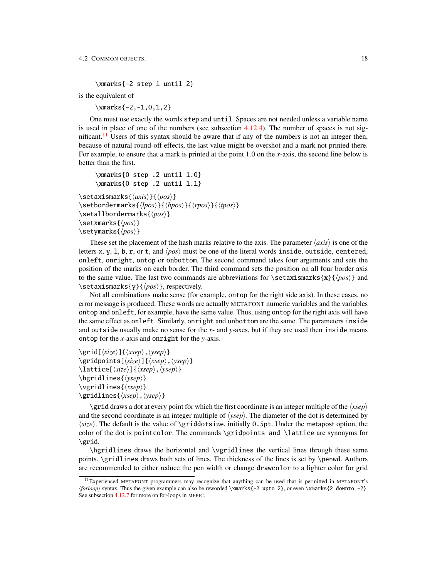\xmarks{-2 step 1 until 2}

is the equivalent of

 $\times$ fracks{-2,-1,0,1,2}

One must use exactly the words step and until. Spaces are not needed unless a variable name is used in place of one of the numbers (see subsection  $4.12.4$ ). The number of spaces is not sig-nificant.<sup>[11](#page-20-1)</sup> Users of this syntax should be aware that if any of the numbers is not an integer then, because of natural round-off effects, the last value might be overshot and a mark not printed there. For example, to ensure that a mark is printed at the point 1.0 on the *x*-axis, the second line below is better than the first.

```
\xmarks{0 step .2 until 1.0}
      \xmarks{0 step .2 until 1.1}
\setaxismarks{\langle axis \rangle}{\langle pos \rangle}
```

```
\setminussetbordermarks\{lpos\}{\{rpos\}}\{{tpos\rangle}
\setallbordermarks{\pos}}
\setxmarks{\pos\}
\setminussetymarks\{\langle pos \rangle\}
```
These set the placement of the hash marks relative to the axis. The parameter  $\langle axis \rangle$  is one of the letters x, y, 1, b, r, or t, and  $\langle pos \rangle$  must be one of the literal words inside, outside, centered, onleft, onright, ontop or onbottom. The second command takes four arguments and sets the position of the marks on each border. The third command sets the position on all four border axis to the same value. The last two commands are abbreviations for  $\setminus$  setaxismarks{x}{ $\langle pos \rangle$ } and  $\setminus$ setaxismarks $\{v\}\$ *(pos)*}, respectively.

Not all combinations make sense (for example, ontop for the right side axis). In these cases, no error message is produced. These words are actually METAFONT numeric variables and the variables ontop and onleft, for example, have the same value. Thus, using ontop for the right axis will have the same effect as onleft. Similarly, onright and onbottom are the same. The parameters inside and outside usually make no sense for the *x*- and *y*-axes, but if they are used then inside means ontop for the *x*-axis and onright for the *y*-axis.

```
\sqrt{\frac{\langle size \rangle}{\langle xsep \rangle}, \langle ysep \rangle}\gridpoints[\size\]{\\sep\,\psep\}
\lattice[\langle size \rangle]{\langle xsep \rangle, \langle ysep \rangle}
\hbox{\texttt{ysep}}\\varepsilon{xsep}}
\gridlines{\langle xsep \rangle, \langle ysep \rangle}
```
 $\sqrt{\frac{\text{grid}}{\text{draw}}{\text{dist}}}$  draws a dot at every point for which the first coordinate is an integer multiple of the  $\langle xsep \rangle$ and the second coordinate is an integer multiple of  $\langle ysep \rangle$ . The diameter of the dot is determined by  $\langle size \rangle$ . The default is the value of \griddotsize, initially 0.5pt. Under the metapost option, the color of the dot is pointcolor. The commands \gridpoints and \lattice are synonyms for \grid.

\hgridlines draws the horizontal and \vgridlines the vertical lines through these same points. \gridlines draws both sets of lines. The thickness of the lines is set by \penwd. Authors are recommended to either reduce the pen width or change drawcolor to a lighter color for grid

<span id="page-20-1"></span><sup>11</sup>Experienced METAFONT programmers may recognize that anything can be used that is permitted in METAFONT's h*forloop*i syntax. Thus the given example can also be reworded \xmarks{-2 upto 2}, or even \xmarks{2 downto -2}. See subsection [4.12.7](#page-73-0) for more on for-loops in MFPIC.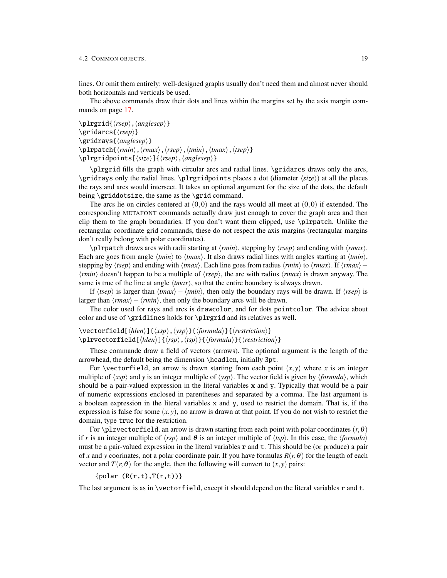lines. Or omit them entirely: well-designed graphs usually don't need them and almost never should both horizontals and verticals be used.

The above commands draw their dots and lines within the margins set by the axis margin commands on page [17.](#page-19-0)

```
\langle\phi\rangle, \langle anglesep\rangle\sqrt{\frac{r}{r}\gridrays{\anglesep}}
\plrpatch{\langle rmin\rangle, \langle rmax\rangle, \langle rsep\rangle, \langle tmin\rangle, \langle tsup\rangle}
\plrgridpoints[\langle size \rangle]{\langle resp \rangle, \langle anglesep \rangle}
```
\plrgrid fills the graph with circular arcs and radial lines. \gridarcs draws only the arcs, \gridrays only the radial lines. \plrgridpoints places a dot (diameter  $\langle size \rangle$ ) at all the places the rays and arcs would intersect. It takes an optional argument for the size of the dots, the default being \griddotsize, the same as the \grid command.

The arcs lie on circles centered at  $(0,0)$  and the rays would all meet at  $(0,0)$  if extended. The corresponding METAFONT commands actually draw just enough to cover the graph area and then clip them to the graph boundaries. If you don't want them clipped, use \plrpatch. Unlike the rectangular coordinate grid commands, these do not respect the axis margins (rectangular margins don't really belong with polar coordinates).

 $\phi$  /plrpatch draws arcs with radii starting at *(rmin)*, stepping by *(rsep)* and ending with *{rmax}*. Each arc goes from angle  $\langle tmin \rangle$  to  $\langle tmax \rangle$ . It also draws radial lines with angles starting at  $\langle tmin \rangle$ , stepping by  $\langle tsep \rangle$  and ending with  $\langle tmax \rangle$ . Each line goes from radius  $\langle rmin \rangle$  to  $\langle rmax \rangle$ . If  $\langle rmax \rangle$  $\langle rmin \rangle$  doesn't happen to be a multiple of  $\langle rsep \rangle$ , the arc with radius  $\langle rmax \rangle$  is drawn anyway. The same is true of the line at angle  $\langle \text{tmax} \rangle$ , so that the entire boundary is always drawn.

If  $\langle tsep \rangle$  is larger than  $\langle tmax \rangle - \langle tmin \rangle$ , then only the boundary rays will be drawn. If  $\langle rsep \rangle$  is larger than  $\langle rmax \rangle - \langle rmin \rangle$ , then only the boundary arcs will be drawn.

The color used for rays and arcs is drawcolor, and for dots pointcolor. The advice about color and use of \gridlines holds for \plrgrid and its relatives as well.

```
\vectorfield[\hlen)]{\texp\,\ysp\}{\formula\}{\testriction\}
\plrvectorfield[\hlen\]{\rsp\,\tsp\}{\formula\}{\restriction\}
```
These commande draw a field of vectors (arrows). The optional argument is the length of the arrowhead, the default being the dimension \headlen, initially 3pt.

For \vectorfield, an arrow is drawn starting from each point  $(x, y)$  where *x* is an integer multiple of  $\langle xsp \rangle$  and *y* is an integer multiple of  $\langle ysp \rangle$ . The vector field is given by  $\langle formula \rangle$ , which should be a pair-valued expression in the literal variables x and y. Typically that would be a pair of numeric expressions enclosed in parentheses and separated by a comma. The last argument is a boolean expression in the literal variables x and y, used to restrict the domain. That is, if the expression is false for some  $(x, y)$ , no arrow is drawn at that point. If you do not wish to restrict the domain, type true for the restriction.

For \plrvectorfield, an arrow is drawn starting from each point with polar coordinates  $(r, \theta)$ if *r* is an integer multiple of  $\langle rsp \rangle$  and  $\theta$  is an integer multiple of  $\langle tsp \rangle$ . In this case, the  $\langle formula \rangle$ must be a pair-valued expression in the literal variables r and t. This should be (or produce) a pair of *x* and *y* coorinates, not a polar coordinate pair. If you have formulas  $R(r, \theta)$  for the length of each vector and  $T(r, \theta)$  for the angle, then the following will convert to  $(x, y)$  pairs:

 ${polar (R(r,t),T(r,t))}$ 

The last argument is as in \vectorfield, except it should depend on the literal variables r and t.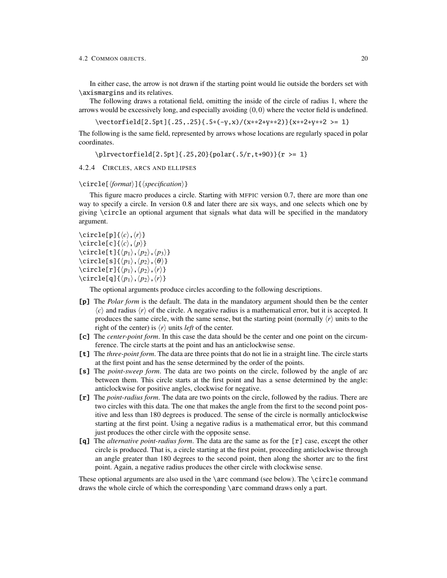In either case, the arrow is not drawn if the starting point would lie outside the borders set with \axismargins and its relatives.

The following draws a rotational field, omitting the inside of the circle of radius 1, where the arrows would be excessively long, and especially avoiding  $(0,0)$  where the vector field is undefined.

\vectorfield[2.5pt]{.25,.25}{.5\*(-y,x)/(x\*\*2+y\*\*2)}{x\*\*2+y\*\*2 >= 1}

The following is the same field, represented by arrows whose locations are regularly spaced in polar coordinates.

\plrvectorfield[2.5pt]{.25,20}{polar(.5/r,t+90)}{r >= 1}

<span id="page-22-0"></span>4.2.4 CIRCLES, ARCS AND ELLIPSES

# \circle[\*{format*}]{\*specification*}}

This figure macro produces a circle. Starting with MFPIC version 0.7, there are more than one way to specify a circle. In version 0.8 and later there are six ways, and one selects which one by giving \circle an optional argument that signals what data will be specified in the mandatory argument.

 $\langle$ circle[p]{ $\langle c \rangle$ , $\langle r \rangle$ }  $\setminus$ circle[c]{ $\langle c \rangle$ , $\langle p \rangle$ }  $\setminus$ circle[t]{ $\langle p_1 \rangle$ , $\langle p_2 \rangle$ , $\langle p_3 \rangle$ }  $\setminus$ circle[s]{ $\langle p_1 \rangle$ , $\langle p_2 \rangle$ , $\langle \theta \rangle$ }  $\langle$ circle[r]{ $\langle p_1 \rangle$ , $\langle p_2 \rangle$ , $\langle r \rangle$ }  $\langle$ circle[q]{ $\langle p_1 \rangle$ , $\langle p_2 \rangle$ , $\langle r \rangle$ }

The optional arguments produce circles according to the following descriptions.

- **[p]** The *Polar form* is the default. The data in the mandatory argument should then be the center  $\langle c \rangle$  and radius  $\langle r \rangle$  of the circle. A negative radius is a mathematical error, but it is accepted. It produces the same circle, with the same sense, but the starting point (normally  $\langle r \rangle$  units to the right of the center) is  $\langle r \rangle$  units *left* of the center.
- **[c]** The *center-point form*. In this case the data should be the center and one point on the circumference. The circle starts at the point and has an anticlockwise sense.
- **[t]** The *three-point form*. The data are three points that do not lie in a straight line. The circle starts at the first point and has the sense determined by the order of the points.
- **[s]** The *point-sweep form*. The data are two points on the circle, followed by the angle of arc between them. This circle starts at the first point and has a sense determined by the angle: anticlockwise for positive angles, clockwise for negative.
- **[r]** The *point-radius form*. The data are two points on the circle, followed by the radius. There are two circles with this data. The one that makes the angle from the first to the second point positive and less than 180 degrees is produced. The sense of the circle is normally anticlockwise starting at the first point. Using a negative radius is a mathematical error, but this command just produces the other circle with the opposite sense.
- **[q]** The *alternative point-radius form*. The data are the same as for the [r] case, except the other circle is produced. That is, a circle starting at the first point, proceeding anticlockwise through an angle greater than 180 degrees to the second point, then along the shorter arc to the first point. Again, a negative radius produces the other circle with clockwise sense.

These optional arguments are also used in the  $\arccos$  command (see below). The  $\circ$  command draws the whole circle of which the corresponding \arc command draws only a part.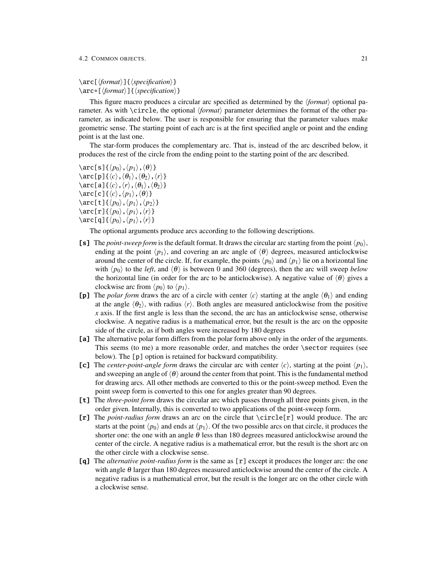\arc[ $\langle format \rangle$ ]{ $\langle specification \rangle$ }  $\arc*[\langle format \rangle]$  { $\langle specification \rangle$ }

This figure macro produces a circular arc specified as determined by the  $\langle format \rangle$  optional parameter. As with \circle, the optional *\format*} parameter determines the format of the other parameter, as indicated below. The user is responsible for ensuring that the parameter values make geometric sense. The starting point of each arc is at the first specified angle or point and the ending point is at the last one.

The star-form produces the complementary arc. That is, instead of the arc described below, it produces the rest of the circle from the ending point to the starting point of the arc described.

\arc[s]{ $\langle p_0 \rangle$ ,  $\langle p_1 \rangle$ ,  $\langle \theta \rangle$ }  $\langle \arctan(\rho_1\langle\langle c\rangle,\langle\theta_1\rangle,\langle\theta_2\rangle,\langle r\rangle)$  $\arc[a]\{\langle c\rangle, \langle r\rangle, \langle \theta_1\rangle, \langle \theta_2\rangle\}$ \arc[c]{ $\langle c \rangle$ ,  $\langle p_1 \rangle$ ,  $\langle \theta \rangle$ } \arc[t]{ $\langle p_0 \rangle$ , $\langle p_1 \rangle$ , $\langle p_2 \rangle$ } \arc[r]{ $\langle p_0 \rangle$ ,  $\langle p_1 \rangle$ ,  $\langle r \rangle$ } \arc[q]{ $\langle p_0 \rangle$ ,  $\langle p_1 \rangle$ ,  $\langle r \rangle$ }

The optional arguments produce arcs according to the following descriptions.

- **[s]** The *point-sweep form* is the default format. It draws the circular arc starting from the point  $\langle p_0 \rangle$ , ending at the point  $\langle p_1 \rangle$ , and covering an arc angle of  $\langle \theta \rangle$  degrees, measured anticlockwise around the center of the circle. If, for example, the points  $\langle p_0 \rangle$  and  $\langle p_1 \rangle$  lie on a horizontal line with  $\langle p_0 \rangle$  to the *left*, and  $\langle \theta \rangle$  is between 0 and 360 (degrees), then the arc will sweep *below* the horizontal line (in order for the arc to be anticlockwise). A negative value of  $\langle \theta \rangle$  gives a clockwise arc from  $\langle p_0 \rangle$  to  $\langle p_1 \rangle$ .
- **[p]** The *polar form* draws the arc of a circle with center  $\langle c \rangle$  starting at the angle  $\langle \theta_1 \rangle$  and ending at the angle  $\langle \theta_2 \rangle$ , with radius  $\langle r \rangle$ . Both angles are measured anticlockwise from the positive *x* axis. If the first angle is less than the second, the arc has an anticlockwise sense, otherwise clockwise. A negative radius is a mathematical error, but the result is the arc on the opposite side of the circle, as if both angles were increased by 180 degrees
- **[a]** The alternative polar form differs from the polar form above only in the order of the arguments. This seems (to me) a more reasonable order, and matches the order \sector requires (see below). The [p] option is retained for backward compatibility.
- **[c]** The *center-point-angle form* draws the circular arc with center  $\langle c \rangle$ , starting at the point  $\langle p_1 \rangle$ , and sweeping an angle of  $\langle \theta \rangle$  around the center from that point. This is the fundamental method for drawing arcs. All other methods are converted to this or the point-sweep method. Even the point sweep form is converted to this one for angles greater than 90 degrees.
- **[t]** The *three-point form* draws the circular arc which passes through all three points given, in the order given. Internally, this is converted to two applications of the point-sweep form.
- **[r]** The *point-radius form* draws an arc on the circle that \circle[r] would produce. The arc starts at the point  $\langle p_0 \rangle$  and ends at  $\langle p_1 \rangle$ . Of the two possible arcs on that circle, it produces the shorter one: the one with an angle  $\theta$  less than 180 degrees measured anticlockwise around the center of the circle. A negative radius is a mathematical error, but the result is the short arc on the other circle with a clockwise sense.
- **[q]** The *alternative point-radius form* is the same as [r] except it produces the longer arc: the one with angle  $\theta$  larger than 180 degrees measured anticlockwise around the center of the circle. A negative radius is a mathematical error, but the result is the longer arc on the other circle with a clockwise sense.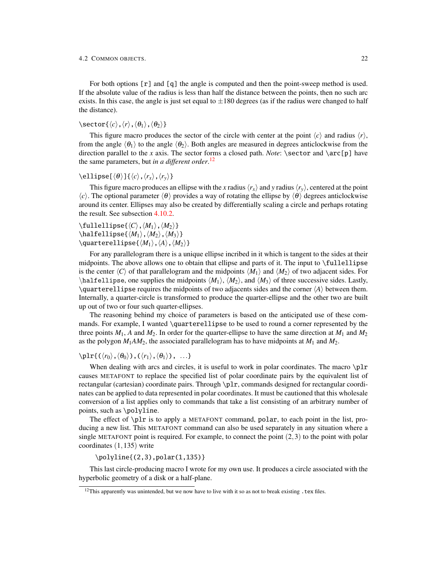For both options [r] and [q] the angle is computed and then the point-sweep method is used. If the absolute value of the radius is less than half the distance between the points, then no such arc exists. In this case, the angle is just set equal to  $\pm 180$  degrees (as if the radius were changed to half the distance).

# \sector{ $\langle c \rangle$ , $\langle r \rangle$ , $\langle \theta_1 \rangle$ , $\langle \theta_2 \rangle$ }

This figure macro produces the sector of the circle with center at the point  $\langle c \rangle$  and radius  $\langle r \rangle$ , from the angle  $\langle \theta_1 \rangle$  to the angle  $\langle \theta_2 \rangle$ . Both angles are measured in degrees anticlockwise from the direction parallel to the *x* axis. The sector forms a closed path. *Note*:  $\sect{p}$  have the same parameters, but *in a different order*. [12](#page-24-0)

# $\ell$ ellipse $[\langle \theta \rangle]$  $\{\langle c \rangle, \langle r_x \rangle, \langle r_y \rangle\}$

This figure macro produces an ellipse with the *x* radius  $\langle r_x \rangle$  and *y* radius  $\langle r_y \rangle$ , centered at the point  $\langle c \rangle$ . The optional parameter  $\langle \theta \rangle$  provides a way of rotating the ellipse by  $\langle \theta \rangle$  degrees anticlockwise around its center. Ellipses may also be created by differentially scaling a circle and perhaps rotating the result. See subsection [4.10.2.](#page-58-0)

 $\left\langle \text{fullellipse}\right\{ \langle C \rangle, \langle M_1 \rangle, \langle M_2 \rangle \}$  $\hbox{\texttt{Malfellingse}}\langle M_1 \rangle$ ,  $\langle M_2 \rangle$ ,  $\langle M_3 \rangle$ }  $\lambda$ quarterellipse{ $\langle M_1 \rangle$ , $\langle A \rangle$ , $\langle M_2 \rangle$ }

For any parallelogram there is a unique ellipse incribed in it which is tangent to the sides at their midpoints. The above allows one to obtain that ellipse and parts of it. The input to \fullellipse is the center  $\langle C \rangle$  of that parallelogram and the midpoints  $\langle M_1 \rangle$  and  $\langle M_2 \rangle$  of two adjacent sides. For  $\hbar$ alfellipse, one supplies the midpoints  $\langle M_1 \rangle$ ,  $\langle M_2 \rangle$ , and  $\langle M_3 \rangle$  of three successive sides. Lastly,  $\qquad$ quarterellipse requires the midpoints of two adjacents sides and the corner  $\langle A \rangle$  between them. Internally, a quarter-circle is transformed to produce the quarter-ellipse and the other two are built up out of two or four such quarter-ellipses.

The reasoning behind my choice of parameters is based on the anticipated use of these commands. For example, I wanted \quarterellipse to be used to round a corner represented by the three points  $M_1$ ,  $A$  and  $M_2$ . In order for the quarter-ellipse to have the same direction at  $M_1$  and  $M_2$ . as the polygon  $M_1AM_2$ , the associated parallelogram has to have midpoints at  $M_1$  and  $M_2$ .

# $\pi_{((r_0),(\theta_0))},(\langle r_1\rangle,\langle \theta_1\rangle), \ldots\}$

When dealing with arcs and circles, it is useful to work in polar coordinates. The macro  $\pi$ causes METAFONT to replace the specified list of polar coordinate pairs by the equivalent list of rectangular (cartesian) coordinate pairs. Through \plr, commands designed for rectangular coordinates can be applied to data represented in polar coordinates. It must be cautioned that this wholesale conversion of a list applies only to commands that take a list consisting of an arbitrary number of points, such as \polyline.

The effect of \plr is to apply a METAFONT command, polar, to each point in the list, producing a new list. This METAFONT command can also be used separately in any situation where a single METAFONT point is required. For example, to connect the point  $(2,3)$  to the point with polar coordinates (1,135) write

# \polyline{(2,3),polar(1,135)}

This last circle-producing macro I wrote for my own use. It produces a circle associated with the hyperbolic geometry of a disk or a half-plane.

<span id="page-24-0"></span><sup>&</sup>lt;sup>12</sup>This apparently was unintended, but we now have to live with it so as not to break existing  $cdot$  tex files.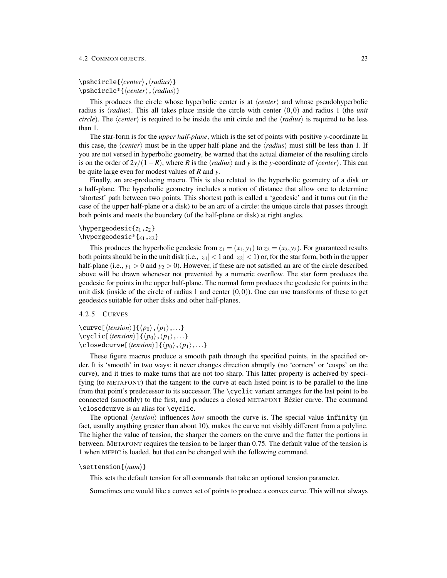# \pshcircle{*\center*},*\radius*}} \pshcircle\*{\*center*},\*radius*}}

This produces the circle whose hyperbolic center is at *\center*} and whose pseudohyperbolic radius is  $\langle radius \rangle$ . This all takes place inside the circle with center  $(0,0)$  and radius 1 (the *unit circle*). The  $\langle center \rangle$  is required to be inside the unit circle and the  $\langle radius \rangle$  is required to be less than 1.

The star-form is for the *upper half-plane*, which is the set of points with positive *y*-coordinate In this case, the  $\langle center \rangle$  must be in the upper half-plane and the  $\langle radius \rangle$  must still be less than 1. If you are not versed in hyperbolic geometry, be warned that the actual diameter of the resulting circle is on the order of  $2y/(1-R)$ , where *R* is the  $\langle radius \rangle$  and *y* is the *y*-coordinate of  $\langle center \rangle$ . This can be quite large even for modest values of *R* and *y*.

Finally, an arc-producing macro. This is also related to the hyperbolic geometry of a disk or a half-plane. The hyperbolic geometry includes a notion of distance that allow one to determine 'shortest' path between two points. This shortest path is called a 'geodesic' and it turns out (in the case of the upper half-plane or a disk) to be an arc of a circle: the unique circle that passes through both points and meets the boundary (of the half-plane or disk) at right angles.

# \hypergeodesic{*z*1,*z*2}

# \hypergeodesic\*{*z*1,*z*2}

This produces the hyperbolic geodesic from  $z_1 = (x_1, y_1)$  to  $z_2 = (x_2, y_2)$ . For guaranteed results both points should be in the unit disk (i.e.,  $|z_1| < 1$  and  $|z_2| < 1$ ) or, for the star form, both in the upper half-plane (i.e.,  $y_1 > 0$  and  $y_2 > 0$ ). However, if these are not satisfied an arc of the circle described above will be drawn whenever not prevented by a numeric overflow. The star form produces the geodesic for points in the upper half-plane. The normal form produces the geodesic for points in the unit disk (inside of the circle of radius 1 and center  $(0,0)$ ). One can use transforms of these to get geodesics suitable for other disks and other half-planes.

# <span id="page-25-0"></span>4.2.5 CURVES

\curve[ $\langle tension\rangle$ ]{ $\langle p_0\rangle$ , $\langle p_1\rangle$ ,...} \cyclic[ $\langle tension\rangle$ ]{ $\langle p_0\rangle$ , $\langle p_1\rangle$ ,...} \closedcurve[ $\langle tension\rangle$ ]{ $\langle p_0\rangle$ , $\langle p_1\rangle$ ,...}

These figure macros produce a smooth path through the specified points, in the specified order. It is 'smooth' in two ways: it never changes direction abruptly (no 'corners' or 'cusps' on the curve), and it tries to make turns that are not too sharp. This latter property is acheived by specifying (to METAFONT) that the tangent to the curve at each listed point is to be parallel to the line from that point's predecessor to its successor. The \cyclic variant arranges for the last point to be connected (smoothly) to the first, and produces a closed METAFONT Bézier curve. The command \closedcurve is an alias for \cyclic.

The optional  $\langle tension\rangle$  influences *how* smooth the curve is. The special value infinity (in fact, usually anything greater than about 10), makes the curve not visibly different from a polyline. The higher the value of tension, the sharper the corners on the curve and the flatter the portions in between. METAFONT requires the tension to be larger than 0.75. The default value of the tension is 1 when MFPIC is loaded, but that can be changed with the following command.

# \settension{ $\langle num \rangle$ }

This sets the default tension for all commands that take an optional tension parameter.

Sometimes one would like a convex set of points to produce a convex curve. This will not always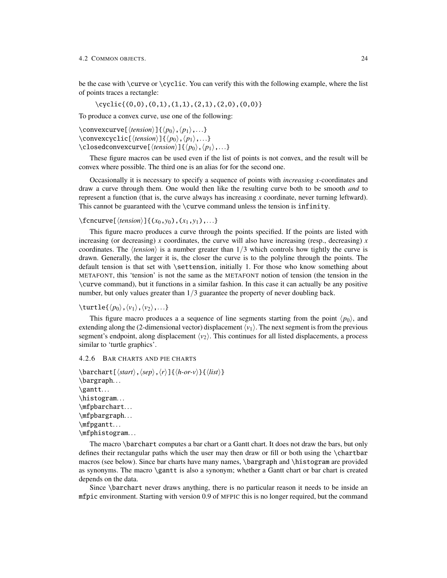be the case with \curve or \cyclic. You can verify this with the following example, where the list of points traces a rectangle:

\cyclic{(0,0),(0,1),(1,1),(2,1),(2,0),(0,0)}

To produce a convex curve, use one of the following:

\convexcurve[ $\langle tension\rangle$ ]{ $\langle p_0\rangle$ , $\langle p_1\rangle$ ,...} \convexcyclic[ $\langle tension\rangle$ ]{ $\langle p_0\rangle$ , $\langle p_1\rangle$ ,...}  $\c{1}$ osedconvexcurve[ $\langle tension\rangle$ ] $\{\langle p_0\rangle, \langle p_1\rangle, ...\}$ 

These figure macros can be used even if the list of points is not convex, and the result will be convex where possible. The third one is an alias for for the second one.

Occasionally it is necessary to specify a sequence of points with *increasing x*-coordinates and draw a curve through them. One would then like the resulting curve both to be smooth *and* to represent a function (that is, the curve always has increasing *x* coordinate, never turning leftward). This cannot be guaranteed with the \curve command unless the tension is infinity.

# $\text{C}$ cncurve[ $\langle tension\rangle$ ]{( $x_0, y_0$ ),( $x_1, y_1$ ),...}

This figure macro produces a curve through the points specified. If the points are listed with increasing (or decreasing) *x* coordinates, the curve will also have increasing (resp., decreasing) *x* coordinates. The  $\langle tension\rangle$  is a number greater than  $1/3$  which controls how tightly the curve is drawn. Generally, the larger it is, the closer the curve is to the polyline through the points. The default tension is that set with \settension, initially 1. For those who know something about METAFONT, this 'tension' is not the same as the METAFONT notion of tension (the tension in the \curve command), but it functions in a similar fashion. In this case it can actually be any positive number, but only values greater than  $1/3$  guarantee the property of never doubling back.

 $\text{turtle}\{\langle p_0\rangle,\langle v_1\rangle,\langle v_2\rangle,\ldots\}$ 

This figure macro produces a a sequence of line segments starting from the point  $\langle p_0 \rangle$ , and extending along the (2-dimensional vector) displacement  $\langle v_1 \rangle$ . The next segment is from the previous segment's endpoint, along displacement  $\langle v_2 \rangle$ . This continues for all listed displacements, a process similar to 'turtle graphics'.

<span id="page-26-0"></span>4.2.6 BAR CHARTS AND PIE CHARTS

```
\bar{\text{h}}\bargraph. . .
\gantt. . .
\histogram. . .
\mfpbarchart. . .
\mfpbargraph. . .
\mfpgantt. . .
\mfphistogram...
```
The macro \barchart computes a bar chart or a Gantt chart. It does not draw the bars, but only defines their rectangular paths which the user may then draw or fill or both using the \chartbar macros (see below). Since bar charts have many names, \bargraph and \histogram are provided as synonyms. The macro \gantt is also a synonym; whether a Gantt chart or bar chart is created depends on the data.

Since \barchart never draws anything, there is no particular reason it needs to be inside an mfpic environment. Starting with version 0.9 of MFPIC this is no longer required, but the command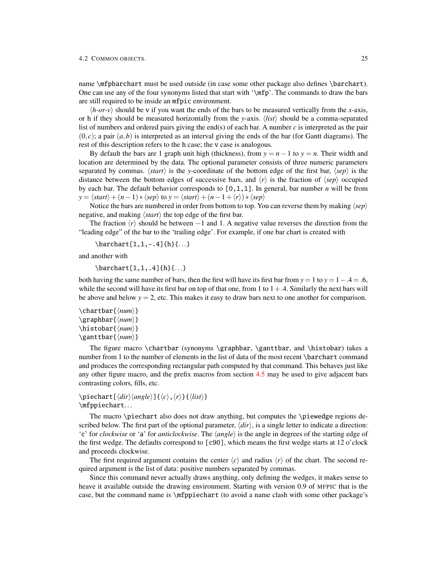name \mfpbarchart must be used outside (in case some other package also defines \barchart). One can use any of the four synonyms listed that start with '\mfp'. The commands to draw the bars are still required to be inside an mfpic environment.

 $\langle h$ -or-v) should be v if you want the ends of the bars to be measured vertically from the *x*-axis, or h if they should be measured horizontally from the *y*-axis.  $\langle list \rangle$  should be a comma-separated list of numbers and ordered pairs giving the end(s) of each bar. A number *c* is interpreted as the pair  $(0, c)$ ; a pair  $(a, b)$  is interpreted as an interval giving the ends of the bar (for Gantt diagrams). The rest of this description refers to the h case; the v case is analogous.

By default the bars are 1 graph unit high (thickness), from  $y = n - 1$  to  $y = n$ . Their width and location are determined by the data. The optional parameter consists of three numeric parameters separated by commas.  $\langle start \rangle$  is the *y*-coordinate of the bottom edge of the first bar,  $\langle sep \rangle$  is the distance between the bottom edges of successive bars, and  $\langle r \rangle$  is the fraction of  $\langle$ sep $\rangle$  occupied by each bar. The default behavior corresponds to  $[0,1,1]$ . In general, bar number *n* will be from  $y = \langle start \rangle + (n-1) * \langle sep \rangle$  to  $y = \langle start \rangle + (n-1+\langle r \rangle) * \langle sep \rangle$ 

Notice the bars are numbered in order from bottom to top. You can reverse them by making  $\langle$ sep $\rangle$ negative, and making  $\langle start \rangle$  the top edge of the first bar.

The fraction  $\langle r \rangle$  should be between  $-1$  and 1. A negative value reverses the direction from the "leading edge" of the bar to the 'trailing edge'. For example, if one bar chart is created with

\barchart[1,1,-.4]{h}{...}

and another with

\barchart[1,1,.4]{h}{...}

both having the same number of bars, then the first will have its first bar from  $y = 1$  to  $y = 1 - .4 = .6$ , while the second will have its first bar on top of that one, from 1 to  $1 + .4$ . Similarly the next bars will be above and below  $y = 2$ , etc. This makes it easy to draw bars next to one another for comparison.

```
\chartbar{\num}}
\langlegraphbar\langle/num\rangle}
\histobar{\num}}
\ganttbar{\num}}
```
The figure macro \chartbar (synonyms \graphbar, \ganttbar, and \histobar) takes a number from 1 to the number of elements in the list of data of the most recent \barchart command and produces the corresponding rectangular path computed by that command. This behaves just like any other figure macro, and the prefix macros from section [4.5](#page-37-0) may be used to give adjacent bars contrasting colors, fills, etc.

```
\piiechart[\langle dir \rangle{angle}]{\langle c \rangle, \langle r \rangle}{\langle list \rangle}
\mfppiechart...
```
The macro \piechart also does not draw anything, but computes the \piewedge regions described below. The first part of the optional parameter,  $\langle dir \rangle$ , is a single letter to indicate a direction: 'c' for *clockwise* or 'a' for *anticlockwise*. The *{angle}* is the angle in degrees of the starting edge of the first wedge. The defaults correspond to  $\lceil c90 \rceil$ , which means the first wedge starts at 12 o'clock and proceeds clockwise.

The first required argument contains the center  $\langle c \rangle$  and radius  $\langle r \rangle$  of the chart. The second required argument is the list of data: positive numbers separated by commas.

Since this command never actually draws anything, only defining the wedges, it makes sense to heave it available outside the drawing environment. Starting with version 0.9 of MFPIC that is the case, but the command name is \mfppiechart (to avoid a name clash with some other package's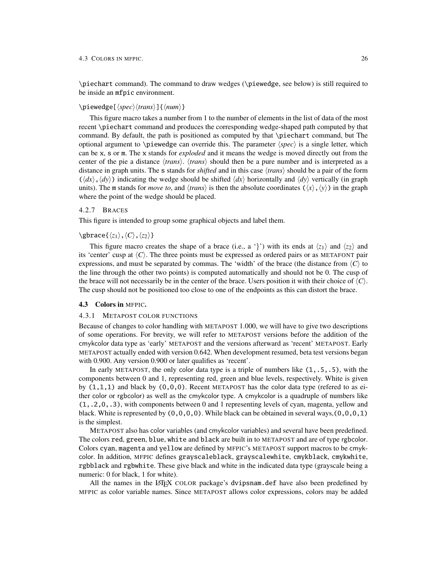#### 4.3 COLORS IN MFPIC. 26

\piechart command). The command to draw wedges (\piewedge, see below) is still required to be inside an mfpic environment.

# \piewedge[ $\langle spec \rangle \langle trans \rangle$ ]{ $\langle num \rangle$ }

This figure macro takes a number from 1 to the number of elements in the list of data of the most recent \piechart command and produces the corresponding wedge-shaped path computed by that command. By default, the path is positioned as computed by that \piechart command, but The optional argument to \piewedge can override this. The parameter  $\langle spec \rangle$  is a single letter, which can be x, s or m. The x stands for *exploded* and it means the wedge is moved directly out from the center of the pie a distance  $\langle trans \rangle$ .  $\langle trans \rangle$  should then be a pure number and is interpreted as a distance in graph units. The s stands for *shifted* and in this case h*trans*i should be a pair of the form  $(\langle dx \rangle, \langle dy \rangle)$  indicating the wedge should be shifted  $\langle dx \rangle$  horizontally and  $\langle dy \rangle$  vertically (in graph units). The m stands for *move to*, and  $\langle trans \rangle$  is then the absolute coordinates  $(\langle x \rangle, \langle y \rangle)$  in the graph where the point of the wedge should be placed.

# <span id="page-28-0"></span>4.2.7 BRACES

This figure is intended to group some graphical objects and label them.

# $\langle$ gbrace{ $\langle z_1 \rangle$ , $\langle C \rangle$ , $\langle z_2 \rangle$ }

This figure macro creates the shape of a brace (i.e., a '}') with its ends at  $\langle z_1 \rangle$  and  $\langle z_2 \rangle$  and its 'center' cusp at  $\langle C \rangle$ . The three points must be expressed as ordered pairs or as METAFONT pair expressions, and must be separated by commas. The 'width' of the brace (the distance from  $\langle C \rangle$  to the line through the other two points) is computed automatically and should not be 0. The cusp of the brace will not necessarily be in the center of the brace. Users position it with their choice of  $\langle C \rangle$ . The cusp should not be positioned too close to one of the endpoints as this can distort the brace.

#### <span id="page-28-1"></span>4.3 Colors in MFPIC.

### <span id="page-28-2"></span>4.3.1 METAPOST COLOR FUNCTIONS

Because of changes to color handling with METAPOST 1.000, we will have to give two descriptions of some operations. For brevity, we will refer to METAPOST versions before the addition of the cmykcolor data type as 'early' METAPOST and the versions afterward as 'recent' METAPOST. Early METAPOST actually ended with version 0.642. When development resumed, beta test versions began with 0.900. Any version 0.900 or later qualifies as 'recent'.

In early METAPOST, the only color data type is a triple of numbers like  $(1, .5, .5)$ , with the components between 0 and 1, representing red, green and blue levels, respectively. White is given by  $(1,1,1)$  and black by  $(0,0,0)$ . Recent METAPOST has the color data type (refered to as either color or rgbcolor) as well as the cmykcolor type. A cmykcolor is a quadruple of numbers like (1,.2,0,.3), with components between 0 and 1 representing levels of cyan, magenta, yellow and black. White is represented by  $(0,0,0,0)$ . While black can be obtained in several ways, $(0,0,0,1)$ is the simplest.

METAPOST also has color variables (and cmykcolor variables) and several have been predefined. The colors red, green, blue, white and black are built in to METAPOST and are of type rgbcolor. Colors cyan, magenta and yellow are defined by MFPIC's METAPOST support macros to be cmykcolor. In addition, MFPIC defines grayscaleblack, grayscalewhite, cmykblack, cmykwhite, rgbblack and rgbwhite. These give black and white in the indicated data type (grayscale being a numeric: 0 for black, 1 for white).

All the names in the LATEX COLOR package's dvipsnam.def have also been predefined by MFPIC as color variable names. Since METAPOST allows color expressions, colors may be added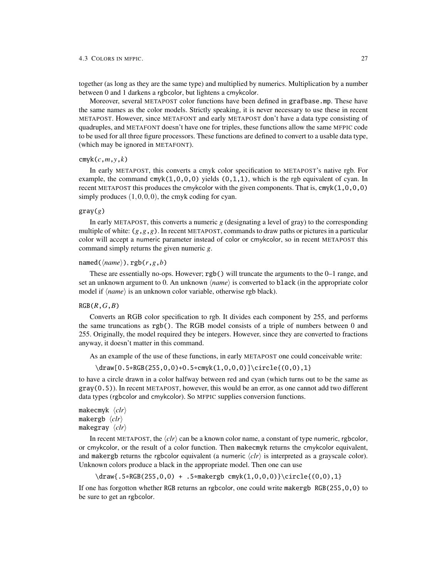#### 4.3 COLORS IN MFPIC. 27

together (as long as they are the same type) and multiplied by numerics. Multiplication by a number between 0 and 1 darkens a rgbcolor, but lightens a cmykcolor.

Moreover, several METAPOST color functions have been defined in grafbase.mp. These have the same names as the color models. Strictly speaking, it is never necessary to use these in recent METAPOST. However, since METAFONT and early METAPOST don't have a data type consisting of quadruples, and METAFONT doesn't have one for triples, these functions allow the same MFPIC code to be used for all three figure processors. These functions are defined to convert to a usable data type, (which may be ignored in METAFONT).

### cmyk(*c*,*m*,*y*,*k*)

In early METAPOST, this converts a cmyk color specification to METAPOST's native rgb. For example, the command cmyk $(1,0,0,0)$  yields  $(0,1,1)$ , which is the rgb equivalent of cyan. In recent METAPOST this produces the cmykcolor with the given components. That is,  $\text{cmyk}(1,0,0,0)$ simply produces  $(1,0,0,0)$ , the cmyk coding for cyan.

# gray(*g*)

In early METAPOST, this converts a numeric *g* (designating a level of gray) to the corresponding multiple of white: (*g*,*g*,*g*). In recent METAPOST, commands to draw paths or pictures in a particular color will accept a numeric parameter instead of color or cmykcolor, so in recent METAPOST this command simply returns the given numeric *g*.

# named( $\langle name \rangle$ ), rgb( $r, g, b$ )

These are essentially no-ops. However; rgb() will truncate the arguments to the 0–1 range, and set an unknown argument to 0. An unknown  $\langle name \rangle$  is converted to black (in the appropriate color model if  $\langle name \rangle$  is an unknown color variable, otherwise rgb black).

### RGB(*R*,*G*,*B*)

Converts an RGB color specification to rgb. It divides each component by 255, and performs the same truncations as rgb(). The RGB model consists of a triple of numbers between 0 and 255. Originally, the model required they be integers. However, since they are converted to fractions anyway, it doesn't matter in this command.

As an example of the use of these functions, in early METAPOST one could conceivable write:

\draw[0.5\*RGB(255,0,0)+0.5\*cmyk(1,0,0,0)]\circle{(0,0),1}

to have a circle drawn in a color halfway between red and cyan (which turns out to be the same as gray(0.5)). In recent METAPOST, however, this would be an error, as one cannot add two different data types (rgbcolor and cmykcolor). So MFPIC supplies conversion functions.

```
makecmyk \langleclr\ranglemakergb \langleclr\ranglemakegray \langleclr\rangle
```
In recent METAPOST, the  $\langle cIr \rangle$  can be a known color name, a constant of type numeric, rgbcolor, or cmykcolor, or the result of a color function. Then makecmyk returns the cmykcolor equivalent, and makergb returns the rgbcolor equivalent (a numeric  $\langle c\hat{i}\rangle$  is interpreted as a grayscale color). Unknown colors produce a black in the appropriate model. Then one can use

```
\draw{.5*RGB(255,0,0) + .5*makergb cmyk(1,0,0,0)}\circle{(0,0),1}
```
If one has forgotton whether RGB returns an rgbcolor, one could write makergb RGB(255,0,0) to be sure to get an rgbcolor.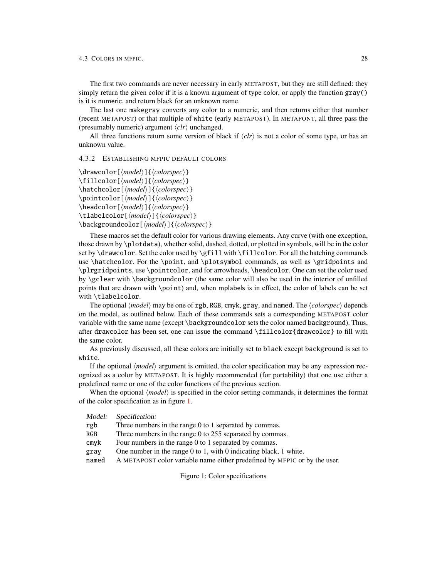The first two commands are never necessary in early METAPOST, but they are still defined: they simply return the given color if it is a known argument of type color, or apply the function gray() is it is numeric, and return black for an unknown name.

The last one makegray converts any color to a numeric, and then returns either that number (recent METAPOST) or that multiple of white (early METAPOST). In METAFONT, all three pass the (presumably numeric) argument  $\langle \text{clr} \rangle$  unchanged.

All three functions return some version of black if  $\langle c l r \rangle$  is not a color of some type, or has an unknown value.

# <span id="page-30-0"></span>4.3.2 ESTABLISHING MFPIC DEFAULT COLORS

 $\langle drawcolor[\langle model \rangle]{\langle colorspec \rangle}$  $\left\{h{model}\right\}$  $\left\{ \left\{ \left\{ colorspec\right\} \right\} \right\}$  $\hat{\mod}$ [ $\mod$ el}] $\{ \color{red}(choose) \}$  $\pi\cdot\cdot\cdot\cdot$  $\headcolor[\langle model\rangle]{\langle colorspec\rangle}$ \tlabelcolor[\*model*\]{\*colorspec*\} \backgroundcolor[\*model*\]{\*colorspec*\}

These macros set the default color for various drawing elements. Any curve (with one exception, those drawn by \plotdata), whether solid, dashed, dotted, or plotted in symbols, will be in the color set by \drawcolor. Set the color used by \gfill with \fillcolor. For all the hatching commands use \hatchcolor. For the \point, and \plotsymbol commands, as well as \gridpoints and \plrgridpoints, use \pointcolor, and for arrowheads, \headcolor. One can set the color used by \gclear with \backgroundcolor (the same color will also be used in the interior of unfilled points that are drawn with \point) and, when mplabels is in effect, the color of labels can be set with \tlabelcolor.

The optional  $\langle model \rangle$  may be one of rgb, RGB, cmyk, gray, and named. The  $\langle colorspec \rangle$  depends on the model, as outlined below. Each of these commands sets a corresponding METAPOST color variable with the same name (except \backgroundcolor sets the color named background). Thus, after drawcolor has been set, one can issue the command \fillcolor{drawcolor} to fill with the same color.

As previously discussed, all these colors are initially set to black except background is set to white.

If the optional  $\langle model \rangle$  argument is omitted, the color specification may be any expression recognized as a color by METAPOST. It is highly recommended (for portability) that one use either a predefined name or one of the color functions of the previous section.

When the optional  $\langle model \rangle$  is specified in the color setting commands, it determines the format of the color specification as in figure [1.](#page-30-1)

Model: Specification:

rgb Three numbers in the range 0 to 1 separated by commas.

RGB Three numbers in the range 0 to 255 separated by commas.

- cmyk Four numbers in the range 0 to 1 separated by commas.
- gray One number in the range 0 to 1, with 0 indicating black, 1 white.

named A METAPOST color variable name either predefined by MFPIC or by the user.

<span id="page-30-1"></span>Figure 1: Color specifications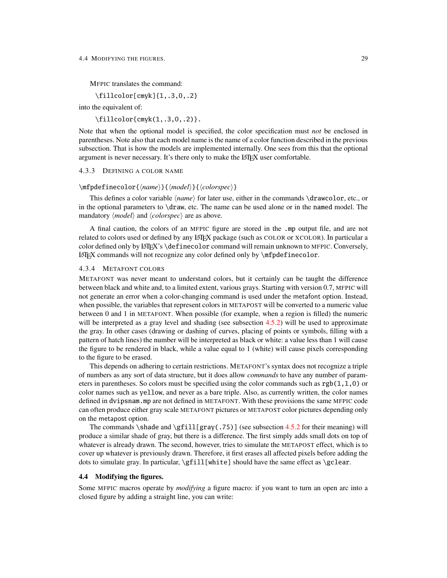#### 4.4 MODIFYING THE FIGURES. 29

MFPIC translates the command:

\fillcolor[cmyk]{1,.3,0,.2}

into the equivalent of:

 $\tilde{\text{cmyk}(1,.3,0,.2)}$ .

Note that when the optional model is specified, the color specification must *not* be enclosed in parentheses. Note also that each model name is the name of a color function described in the previous subsection. That is how the models are implemented internally. One sees from this that the optional argument is never necessary. It's there only to make the LAT<sub>E</sub>X user comfortable.

<span id="page-31-0"></span>4.3.3 DEFINING A COLOR NAME

#### $\m{\mathbf{h}(\mathbf{h}(\mathbf{h})\}$ {\mpdefinecolor{\mpdel\}}{\*colorspec*}}

This defines a color variable  $\langle name \rangle$  for later use, either in the commands  $\langle drawcolor, etc., or \rangle$ in the optional parameters to  $\dagger$  and  $\ddagger$  at . The name can be used alone or in the named model. The mandatory  $\langle model \rangle$  and  $\langle colorspec \rangle$  are as above.

A final caution, the colors of an MFPIC figure are stored in the .mp output file, and are not related to colors used or defined by any LATEX package (such as COLOR or XCOLOR). In particular a color defined only by LATEX's \definecolor command will remain unknown to MFPIC. Conversely, LATEX commands will not recognize any color defined only by \mfpdefinecolor.

### <span id="page-31-1"></span>4.3.4 METAFONT COLORS

METAFONT was never meant to understand colors, but it certainly can be taught the difference between black and white and, to a limited extent, various grays. Starting with version 0.7, MFPIC will not generate an error when a color-changing command is used under the metafont option. Instead, when possible, the variables that represent colors in METAPOST will be converted to a numeric value between 0 and 1 in METAFONT. When possible (for example, when a region is filled) the numeric will be interpreted as a gray level and shading (see subsection [4.5.2\)](#page-39-0) will be used to approximate the gray. In other cases (drawing or dashing of curves, placing of points or symbols, filling with a pattern of hatch lines) the number will be interpreted as black or white: a value less than 1 will cause the figure to be rendered in black, while a value equal to 1 (white) will cause pixels corresponding to the figure to be erased.

This depends on adhering to certain restrictions. METAFONT's syntax does not recognize a triple of numbers as any sort of data structure, but it does allow *commands* to have any number of parameters in parentheses. So colors must be specified using the color commands such as  $rgb(1,1,0)$  or color names such as yellow, and never as a bare triple. Also, as currently written, the color names defined in dvipsnam.mp are not defined in METAFONT. With these provisions the same MFPIC code can often produce either gray scale METAFONT pictures or METAPOST color pictures depending only on the metapost option.

The commands \shade and \gfill[gray(.75)] (see subsection [4.5.2](#page-39-0) for their meaning) will produce a similar shade of gray, but there is a difference. The first simply adds small dots on top of whatever is already drawn. The second, however, tries to simulate the METAPOST effect, which is to cover up whatever is previously drawn. Therefore, it first erases all affected pixels before adding the dots to simulate gray. In particular,  $\gtrsim$  fill[white] should have the same effect as  $\gtrsim$  clear.

#### <span id="page-31-2"></span>4.4 Modifying the figures.

Some MFPIC macros operate by *modifying* a figure macro: if you want to turn an open arc into a closed figure by adding a straight line, you can write: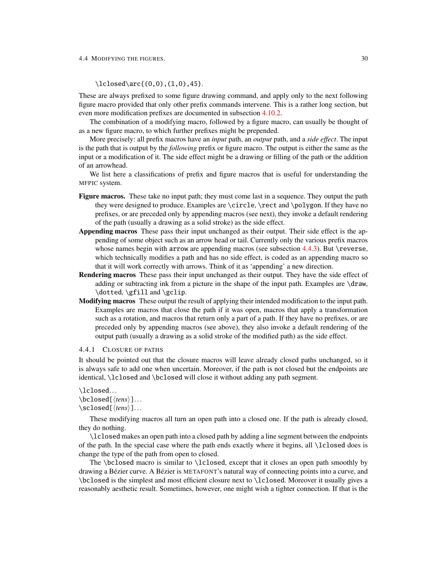#### 4.4 MODIFYING THE FIGURES. 30

# $\lceil \frac{(0,0), (1,0), 45} \rceil$ .

These are always prefixed to some figure drawing command, and apply only to the next following figure macro provided that only other prefix commands intervene. This is a rather long section, but even more modification prefixes are documented in subsection [4.10.2.](#page-58-0)

The combination of a modifying macro, followed by a figure macro, can usually be thought of as a new figure macro, to which further prefixes might be prepended.

More precisely: all prefix macros have an *input* path, an *output* path, and a *side effect*. The input is the path that is output by the *following* prefix or figure macro. The output is either the same as the input or a modification of it. The side effect might be a drawing or filling of the path or the addition of an arrowhead.

We list here a classifications of prefix and figure macros that is useful for understanding the MFPIC system.

- Figure macros. These take no input path; they must come last in a sequence. They output the path they were designed to produce. Examples are \circle, \rect and \polygon. If they have no prefixes, or are preceded only by appending macros (see next), they invoke a default rendering of the path (usually a drawing as a solid stroke) as the side effect.
- Appending macros These pass their input unchanged as their output. Their side effect is the appending of some object such as an arrow head or tail. Currently only the various prefix macros whose names begin with arrow are appending macros (see subsection  $4.4.3$ ). But \reverse, which technically modifies a path and has no side effect, is coded as an appending macro so that it will work correctly with arrows. Think of it as 'appending' a new direction.
- Rendering macros These pass their input unchanged as their output. They have the side effect of adding or subtracting ink from a picture in the shape of the input path. Examples are \draw, \dotted, \gfill and \gclip.
- Modifying macros These output the result of applying their intended modification to the input path. Examples are macros that close the path if it was open, macros that apply a transformation such as a rotation, and macros that return only a part of a path. If they have no prefixes, or are preceded only by appending macros (see above), they also invoke a default rendering of the output path (usually a drawing as a solid stroke of the modified path) as the side effect.

# <span id="page-32-0"></span>4.4.1 CLOSURE OF PATHS

It should be pointed out that the closure macros will leave already closed paths unchanged, so it is always safe to add one when uncertain. Moreover, if the path is not closed but the endpoints are identical, \lclosed and \bclosed will close it without adding any path segment.

\lclosed...

```
\boldsymbol{\lambda} \bclosed[\langle tens \rangle]...
\setminussclosed[\langle tens \rangle]...
```
These modifying macros all turn an open path into a closed one. If the path is already closed, they do nothing.

\lclosed makes an open path into a closed path by adding a line segment between the endpoints of the path. In the special case where the path ends exactly where it begins, all \lclosed does is change the type of the path from open to closed.

The \bclosed macro is similar to \lclosed, except that it closes an open path smoothly by drawing a Bézier curve. A Bézier is METAFONT's natural way of connecting points into a curve, and \bclosed is the simplest and most efficient closure next to \lclosed. Moreover it usually gives a reasonably aesthetic result. Sometimes, however, one might wish a tighter connection. If that is the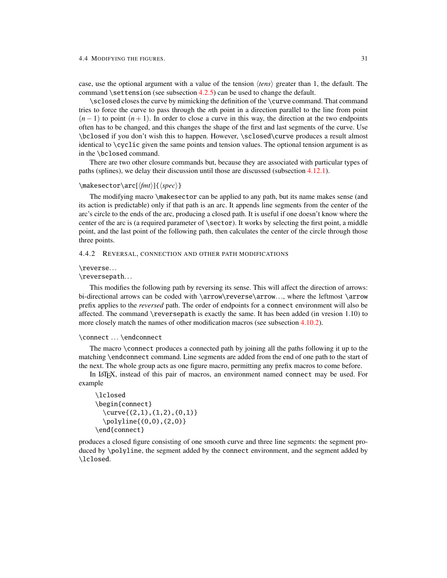case, use the optional argument with a value of the tension  $\langle tens \rangle$  greater than 1, the default. The command \settension (see subsection  $4.2.5$ ) can be used to change the default.

\sclosed closes the curve by mimicking the definition of the \curve command. That command tries to force the curve to pass through the *n*th point in a direction parallel to the line from point  $(n-1)$  to point  $(n+1)$ . In order to close a curve in this way, the direction at the two endpoints often has to be changed, and this changes the shape of the first and last segments of the curve. Use \bclosed if you don't wish this to happen. However, \sclosed\curve produces a result almost identical to \cyclic given the same points and tension values. The optional tension argument is as in the \bclosed command.

There are two other closure commands but, because they are associated with particular types of paths (splines), we delay their discussion until those are discussed (subsection [4.12.1\)](#page-65-1).

## $\mathcal{\mathcal{m}(\mathcal{m})}{\langle spec\rangle}$

The modifying macro \makesector can be applied to any path, but its name makes sense (and its action is predictable) only if that path is an arc. It appends line segments from the center of the arc's circle to the ends of the arc, producing a closed path. It is useful if one doesn't know where the center of the arc is (a required parameter of \sector). It works by selecting the first point, a middle point, and the last point of the following path, then calculates the center of the circle through those three points.

#### <span id="page-33-0"></span>4.4.2 REVERSAL, CONNECTION AND OTHER PATH MODIFICATIONS

#### \reverse...

\reversepath. . .

This modifies the following path by reversing its sense. This will affect the direction of arrows: bi-directional arrows can be coded with \arrow\reverse\arrow..., where the leftmost \arrow prefix applies to the *reversed* path. The order of endpoints for a connect environment will also be affected. The command \reversepath is exactly the same. It has been added (in vresion 1.10) to more closely match the names of other modification macros (see subsection [4.10.2\)](#page-58-0).

### \connect ... \endconnect

The macro \connect produces a connected path by joining all the paths following it up to the matching \endconnect command. Line segments are added from the end of one path to the start of the next. The whole group acts as one figure macro, permitting any prefix macros to come before.

In LATEX, instead of this pair of macros, an environment named connect may be used. For example

```
\lclosed
\begin{connect}
 \curve{(2,1),(1,2),(0,1)}
 \pi(0,0),(2,0)\end{connect}
```
produces a closed figure consisting of one smooth curve and three line segments: the segment produced by \polyline, the segment added by the connect environment, and the segment added by \lclosed.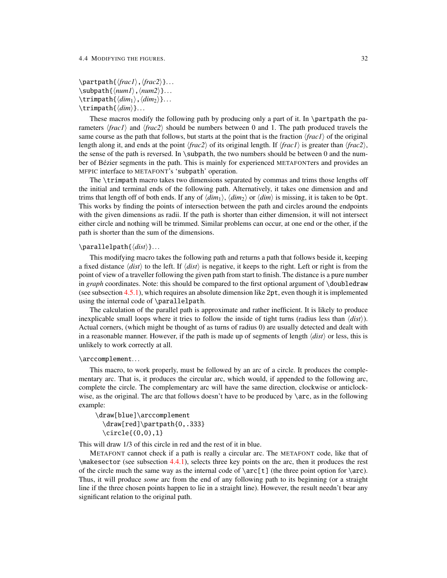```
\partpath{\frac1\,\frac2\}...
\sub{num1}, \langle num2 \rangle...
\langle \text{dim}_1 \rangle, \langle \text{dim}_2 \rangle...
\trian
```
These macros modify the following path by producing only a part of it. In \partpath the parameters  $\langle \text{frac1} \rangle$  and  $\langle \text{frac2} \rangle$  should be numbers between 0 and 1. The path produced travels the same course as the path that follows, but starts at the point that is the fraction  $\frac{r}{r}$  of the original length along it, and ends at the point  $\langle \text{frac2} \rangle$  of its original length. If  $\langle \text{frac1} \rangle$  is greater than  $\langle \text{frac2} \rangle$ , the sense of the path is reversed. In  $\sub{subpath}$ , the two numbers should be between 0 and the number of Bézier segments in the path. This is mainly for experienced METAFONTers and provides an MFPIC interface to METAFONT's 'subpath' operation.

The \trimpath macro takes two dimensions separated by commas and trims those lengths off the initial and terminal ends of the following path. Alternatively, it takes one dimension and and trims that length off of both ends. If any of  $\langle dim_1 \rangle$ ,  $\langle dim_2 \rangle$  or  $\langle dim \rangle$  is missing, it is taken to be 0pt. This works by finding the points of intersection between the path and circles around the endpoints with the given dimensions as radii. If the path is shorter than either dimension, it will not intersect either circle and nothing will be trimmed. Similar problems can occur, at one end or the other, if the path is shorter than the sum of the dimensions.

#### \parallelpath{\*dist*}}...

This modifying macro takes the following path and returns a path that follows beside it, keeping a fixed distance  $\langle dist \rangle$  to the left. If  $\langle dist \rangle$  is negative, it keeps to the right. Left or right is from the point of view of a traveller following the given path from start to finish. The distance is a pure number in *graph* coordinates. Note: this should be compared to the first optional argument of \doubledraw (see subsection [4.5.1\)](#page-37-1), which requires an absolute dimension like 2pt, even though it is implemented using the internal code of \parallelpath.

The calculation of the parallel path is approximate and rather inefficient. It is likely to produce inexplicable small loops where it tries to follow the inside of tight turns (radius less than  $\langle dist \rangle$ ). Actual corners, (which might be thought of as turns of radius 0) are usually detected and dealt with in a reasonable manner. However, if the path is made up of segments of length  $\langle dist \rangle$  or less, this is unlikely to work correctly at all.

### \arccomplement...

This macro, to work properly, must be followed by an arc of a circle. It produces the complementary arc. That is, it produces the circular arc, which would, if appended to the following arc, complete the circle. The complementary arc will have the same direction, clockwise or anticlockwise, as the original. The arc that follows doesn't have to be produced by \arc, as in the following example:

\draw[blue]\arccomplement \draw[red]\partpath{0,.333} \circle{(0,0),1}

This will draw 1/3 of this circle in red and the rest of it in blue.

METAFONT cannot check if a path is really a circular arc. The METAFONT code, like that of \makesector (see subsection [4.4.1\)](#page-32-0), selects three key points on the arc, then it produces the rest of the circle much the same way as the internal code of  $\arc[t]$  (the three point option for  $\arc)$ . Thus, it will produce *some* arc from the end of any following path to its beginning (or a straight line if the three chosen points happen to lie in a straight line). However, the result needn't bear any significant relation to the original path.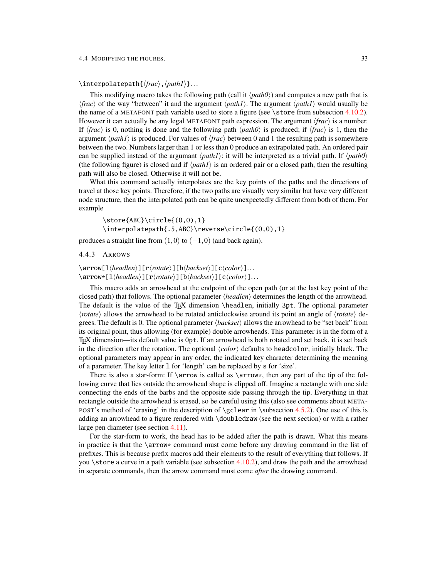\interpolatepath{ $\langle \frac{\langle \hat{h}_i \rangle}{\langle \hat{h}_i \rangle}$ ...

This modifying macro takes the following path (call it  $\langle path0 \rangle$ ) and computes a new path that is  $\langle \text{frac}\rangle$  of the way "between" it and the argument  $\langle \text{path1}\rangle$ . The argument  $\langle \text{path1}\rangle$  would usually be the name of a METAFONT path variable used to store a figure (see \store from subsection [4.10.2\)](#page-58-0). However it can actually be any legal METAFONT path expression. The argument  $\langle frac \rangle$  is a number. If  $\langle \text{frac} \rangle$  is 0, nothing is done and the following path  $\langle \text{path0} \rangle$  is produced; if  $\langle \text{frac} \rangle$  is 1, then the argument  $\langle path1 \rangle$  is produced. For values of  $\langle frac \rangle$  between 0 and 1 the resulting path is somewhere between the two. Numbers larger than 1 or less than 0 produce an extrapolated path. An ordered pair can be supplied instead of the argumant  $\langle path1 \rangle$ : it will be interpreted as a trivial path. If  $\langle path0 \rangle$ (the following figure) is closed and if  $\langle path1 \rangle$  is an ordered pair or a closed path, then the resulting path will also be closed. Otherwise it will not be.

What this command actually interpolates are the key points of the paths and the directions of travel at those key points. Therefore, if the two paths are visually very similar but have very different node structure, then the interpolated path can be quite unexpectedly different from both of them. For example

\store{ABC}\circle{(0,0),1} \interpolatepath{.5,ABC}\reverse\circle{(0,0),1}

produces a straight line from  $(1,0)$  to  $(-1,0)$  (and back again).

### <span id="page-35-0"></span>4.4.3 ARROWS

```
\arrow[1\langle headlen\rangle][r\langle rotate\rangle][b\langle backset\rangle][c\langle color\rangle]...\arrow*[1\langle headlen\rangle][r\langle rotate\rangle][b\langle backset\rangle][c\langle color\rangle]...
```
This macro adds an arrowhead at the endpoint of the open path (or at the last key point of the closed path) that follows. The optional parameter  $\langle headlen \rangle$  determines the length of the arrowhead. The default is the value of the T<sub>EX</sub> dimension \headlen, initially 3pt. The optional parameter  $\langle rotate \rangle$  allows the arrowhead to be rotated anticlockwise around its point an angle of  $\langle rotate \rangle$  degrees. The default is 0. The optional parameter  $\langle \text{backset} \rangle$  allows the arrowhead to be "set back" from its original point, thus allowing (for example) double arrowheads. This parameter is in the form of a TEX dimension—its default value is 0pt. If an arrowhead is both rotated and set back, it is set back in the direction after the rotation. The optional  $\langle color \rangle$  defaults to headcolor, initially black. The optional parameters may appear in any order, the indicated key character determining the meaning of a parameter. The key letter l for 'length' can be replaced by s for 'size'.

There is also a star-form: If  $\arrow$  is called as  $\arrow$ , then any part of the tip of the following curve that lies outside the arrowhead shape is clipped off. Imagine a rectangle with one side connecting the ends of the barbs and the opposite side passing through the tip. Everything in that rectangle outside the arrowhead is erased, so be careful using this (also see comments about META-POST's method of 'erasing' in the description of  $\gtrsim$   $\gtrsim$   $\qquad.5.2)$ . One use of this is adding an arrowhead to a figure rendered with \doubledraw (see the next section) or with a rather large pen diameter (see section [4.11\)](#page-61-0).

For the star-form to work, the head has to be added after the path is drawn. What this means in practice is that the \arrow\* command must come before any drawing command in the list of prefixes. This is because prefix macros add their elements to the result of everything that follows. If you  $\setminus$ store a curve in a path variable (see subsection [4.10.2\)](#page-58-0), and draw the path and the arrowhead in separate commands, then the arrow command must come *after* the drawing command.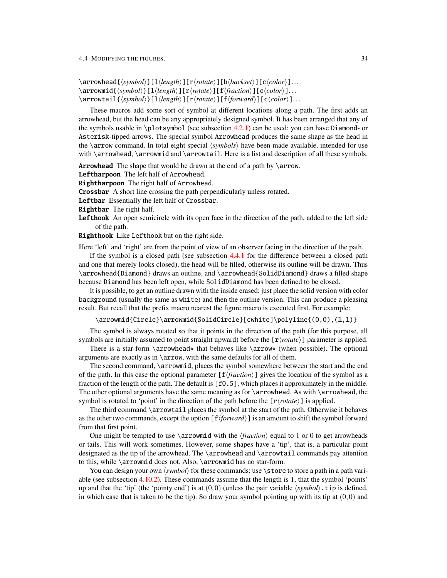\arrowhead{ $\langle symbol \rangle$ }[l $\langle length \rangle$ ][r $\langle rotate \rangle$ ][b $\langle backset \rangle$ ][c $\langle color \rangle$ ]...  $\langle\arrowmid\{\langle symbol\rangle\}[\lceil\langle length\rangle]\lceil\lceil\langle rotation\rangle]\lceil\lceil\langlecolor\rangle]\ldots$ \arrowtail{ $\langle symbol \rangle$ }[l $\langle length \rangle$ ][r $\langle rotate \rangle$ ][f $\langle forward \rangle$ ][c $\langle color \rangle$ ]...

These macros add some sort of symbol at different locations along a path. The first adds an arrowhead, but the head can be any appropriately designed symbol. It has been arranged that any of the symbols usable in \plotsymbol (see subsection [4.2.1\)](#page-16-0) can be used: you can have Diamond- or Asterisk-tipped arrows. The special symbol Arrowhead produces the same shape as the head in the \arrow command. In total eight special  $\langle symbols \rangle$  have been made available, intended for use with \arrowhead, \arrowmid and \arrowtail. Here is a list and description of all these symbols.

**Arrowhead** The shape that would be drawn at the end of a path by \arrow.

**Leftharpoon** The left half of Arrowhead.

**Rightharpoon** The right half of Arrowhead.

**Crossbar** A short line crossing the path perpendicularly unless rotated.

**Leftbar** Essentially the left half of Crossbar.

- **Rightbar** The right half.
- **Lefthook** An open semicircle with its open face in the direction of the path, added to the left side of the path.

**Righthook** Like Lefthook but on the right side.

Here 'left' and 'right' are from the point of view of an observer facing in the direction of the path.

If the symbol is a closed path (see subsection [4.4.1](#page-32-0) for the difference between a closed path and one that merely looks closed), the head will be filled, otherwise its outline will be drawn. Thus \arrowhead{Diamond} draws an outline, and \arrowhead{SolidDiamond} draws a filled shape because Diamond has been left open, while SolidDiamond has been defined to be closed.

It is possible, to get an outline drawn with the inside erased: just place the solid version with color background (usually the same as white) and then the outline version. This can produce a pleasing result. But recall that the prefix macro nearest the figure macro is executed first. For example:

\arrowmid{Circle}\arrowmid{SolidCircle}[cwhite]\polyline{(0,0),(1,1)}

The symbol is always rotated so that it points in the direction of the path (for this purpose, all symbols are initially assumed to point straight upward) before the  $[r\langle rotate\rangle]$  parameter is applied.

There is a star-form  $\arrows$  that behaves like  $\arrows$  (when possible). The optional arguments are exactly as in \arrow, with the same defaults for all of them.

The second command, \arrowmid, places the symbol somewhere between the start and the end of the path. In this case the optional parameter  $[f*fraction*)]$  gives the location of the symbol as a fraction of the length of the path. The default is [f0.5], which places it approximately in the middle. The other optional arguments have the same meaning as for \arrowhead. As with \arrowhead, the symbol is rotated to 'point' in the direction of the path before the  $[r\langle rotate\rangle]$  is applied.

The third command \arrowtail places the symbol at the start of the path. Otherwise it behaves as the other two commands, except the option  $[f\{forward\}]$  is an amount to shift the symbol forward from that first point.

One might be tempted to use  $\arrows$   $\arrows$   $\downarrow$   $\downarrow$   $\downarrow$   $\downarrow$   $\downarrow$   $\downarrow$   $\downarrow$   $\downarrow$   $\downarrow$   $\downarrow$   $\downarrow$   $\downarrow$   $\downarrow$   $\downarrow$   $\downarrow$   $\downarrow$   $\downarrow$   $\downarrow$   $\downarrow$   $\downarrow$   $\downarrow$   $\downarrow$   $\downarrow$   $\downarrow$   $\downarrow$   $\downarrow$   $\downarrow$   $\downarrow$   $\downarrow$   $\downarrow$  or tails. This will work sometimes. However, some shapes have a 'tip', that is, a particular point designated as the tip of the arrowhead. The \arrowhead and \arrowtail commands pay attention to this, while \arrowmid does not. Also, \arrowmid has no star-form.

You can design your own  $\langle symbol \rangle$  for these commands: use \store to store a path in a path variable (see subsection [4.10.2\)](#page-58-0). These commands assume that the length is 1, that the symbol 'points' up and that the 'tip' (the 'pointy end') is at  $(0,0)$  (unless the pair variable  $\langle symbol \rangle$ .tip is defined, in which case that is taken to be the tip). So draw your symbol pointing up with its tip at  $(0,0)$  and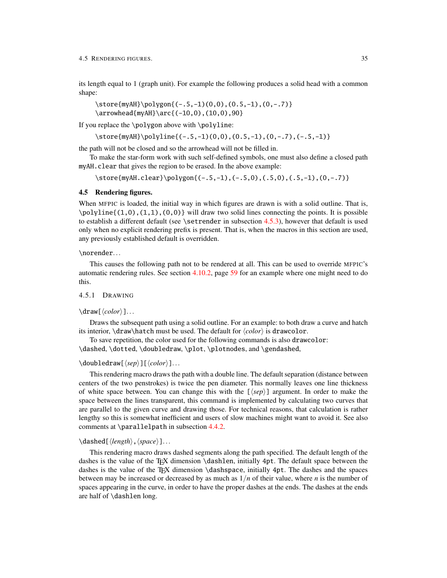its length equal to 1 (graph unit). For example the following produces a solid head with a common shape:

```
\store{myAH}\polygon{(-.5,-1)(0,0),(0.5,-1),(0,-.7)}
\arrowhead{myAH}\arc{(-10,0),(10,0),90}
```
If you replace the \polygon above with \polyline:

```
\store{myAH}\polyline{(-.5,-1)(0,0),(0.5,-1),(0,-.7),(-.5,-1)}
```
the path will not be closed and so the arrowhead will not be filled in.

To make the star-form work with such self-defined symbols, one must also define a closed path myAH.clear that gives the region to be erased. In the above example:

\store{myAH.clear}\polygon{(-.5,-1),(-.5,0),(.5,0),(.5,-1),(0,-.7)}

## <span id="page-37-0"></span>4.5 Rendering figures.

When MFPIC is loaded, the initial way in which figures are drawn is with a solid outline. That is,  $\pi$ \polyline{(1,0),(1,1),(0,0)} will draw two solid lines connecting the points. It is possible to establish a different default (see \setrender in subsection [4.5.3\)](#page-43-0), however that default is used only when no explicit rendering prefix is present. That is, when the macros in this section are used, any previously established default is overridden.

## \norender...

This causes the following path not to be rendered at all. This can be used to override MFPIC's automatic rendering rules. See section [4.10.2,](#page-58-0) page [59](#page-61-0) for an example where one might need to do this.

## 4.5.1 DRAWING

#### $\frac{[color]}{1}$ ...

Draws the subsequent path using a solid outline. For an example: to both draw a curve and hatch its interior,  $\draw\hat{\}$  must be used. The default for  $\langle color \rangle$  is drawcolor.

To save repetition, the color used for the following commands is also drawcolor: \dashed, \dotted, \doubledraw, \plot, \plotnodes, and \gendashed,

### $\delta$ \doubledraw[ $\langle sep \rangle$ ][ $\langle color \rangle$ ]...

This rendering macro draws the path with a double line. The default separation (distance between centers of the two penstrokes) is twice the pen diameter. This normally leaves one line thickness of white space between. You can change this with the  $[\langle s\rho \rangle]$  argument. In order to make the space between the lines transparent, this command is implemented by calculating two curves that are parallel to the given curve and drawing those. For technical reasons, that calculation is rather lengthy so this is somewhat inefficient and users of slow machines might want to avoid it. See also comments at \parallelpath in subsection [4.4.2.](#page-33-0)

## \dashed[\*length*},\*space*}]...

This rendering macro draws dashed segments along the path specified. The default length of the dashes is the value of the TEX dimension \dashlen, initially 4pt. The default space between the dashes is the value of the TEX dimension \dashspace, initially 4pt. The dashes and the spaces between may be increased or decreased by as much as 1/*n* of their value, where *n* is the number of spaces appearing in the curve, in order to have the proper dashes at the ends. The dashes at the ends are half of \dashlen long.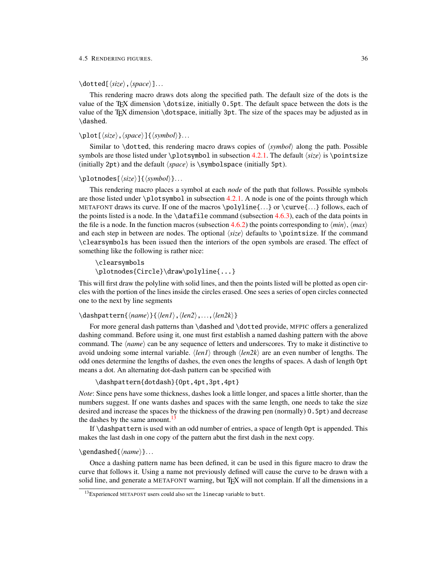#### 4.5 RENDERING FIGURES. 36

\dotted[ $\langle size \rangle$ ,  $\langle space \rangle$ ]...

This rendering macro draws dots along the specified path. The default size of the dots is the value of the TEX dimension \dotsize, initially 0.5pt. The default space between the dots is the value of the TEX dimension \dotspace, initially 3pt. The size of the spaces may be adjusted as in \dashed.

```
\phi\\langle size \rangle, \langle space \rangle]\{ \langle symbol \rangle \}....
```
Similar to  $\dot{\theta}$ , this rendering macro draws copies of  $\langle symbol \rangle$  along the path. Possible symbols are those listed under  $\plots$ ymbol in subsection [4.2.1.](#page-16-0) The default  $\langle size \rangle$  is  $\points$ (initially 2pt) and the default  $\langle space \rangle$  is  $\langle symbolspace \rangle$  (initially 5pt).

#### \plotnodes[ $\langle size \rangle$ ]{ $\langle symbol \rangle$ }...

This rendering macro places a symbol at each *node* of the path that follows. Possible symbols are those listed under \plotsymbol in subsection [4.2.1.](#page-16-0) A node is one of the points through which METAFONT draws its curve. If one of the macros  $\polyline{\{\ldots\}}$  or  $\curlyvee_{\ldots\}$  follows, each of the points listed is a node. In the  $\datafile$  command (subsection [4.6.3\)](#page-48-0), each of the data points in the file is a node. In the function macros (subsection [4.6.2\)](#page-44-0) the points corresponding to  $\langle min \rangle$ ,  $\langle max \rangle$ and each step in between are nodes. The optional  $\langle size \rangle$  defaults to \pointsize. If the command \clearsymbols has been issued then the interiors of the open symbols are erased. The effect of something like the following is rather nice:

```
\clearsymbols
\plotnodes{Circle}\draw\polyline{...}
```
This will first draw the polyline with solid lines, and then the points listed will be plotted as open circles with the portion of the lines inside the circles erased. One sees a series of open circles connected one to the next by line segments

```
\dashpattern{\name}}{\len1\,\len2\,...,\len2k\}
```
For more general dash patterns than \dashed and \dotted provide, MFPIC offers a generalized dashing command. Before using it, one must first establish a named dashing pattern with the above command. The  $\langle name \rangle$  can be any sequence of letters and underscores. Try to make it distinctive to avoid undoing some internal variable.  $\langle len1 \rangle$  through  $\langle len2k \rangle$  are an even number of lengths. The odd ones determine the lengths of dashes, the even ones the lengths of spaces. A dash of length 0pt means a dot. An alternating dot-dash pattern can be specified with

\dashpattern{dotdash}{0pt,4pt,3pt,4pt}

*Note*: Since pens have some thickness, dashes look a little longer, and spaces a little shorter, than the numbers suggest. If one wants dashes and spaces with the same length, one needs to take the size desired and increase the spaces by the thickness of the drawing pen (normally) 0.5pt) and decrease the dashes by the same amount. $^{13}$  $^{13}$  $^{13}$ 

If \dashpattern is used with an odd number of entries, a space of length 0pt is appended. This makes the last dash in one copy of the pattern abut the first dash in the next copy.

#### \gendashed{\*name*}}...

Once a dashing pattern name has been defined, it can be used in this figure macro to draw the curve that follows it. Using a name not previously defined will cause the curve to be drawn with a solid line, and generate a METAFONT warning, but T<sub>EX</sub> will not complain. If all the dimensions in a

<span id="page-38-0"></span><sup>&</sup>lt;sup>13</sup>Experienced METAPOST users could also set the linecap variable to butt.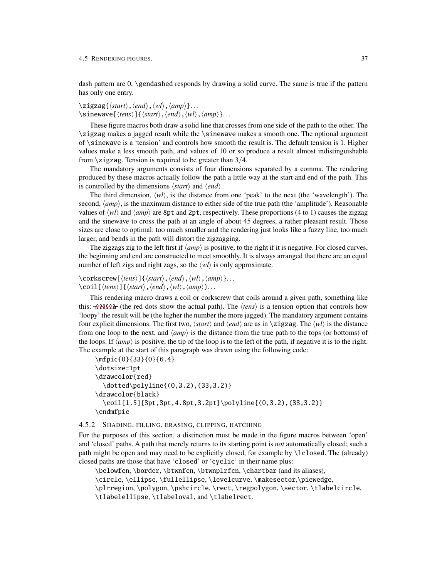dash pattern are 0, \gendashed responds by drawing a solid curve. The same is true if the pattern has only one entry.

## $\zeta\zeta\$ igzag $\{\langle start \rangle, \langle end \rangle, \langle wh \rangle, \langle amp \rangle\}...$  $\sin$ ewave[ $\langle tens \rangle$ ]{ $\langle start \rangle$ *,*  $\langle end \rangle$ *,*  $\langle wl \rangle$ *,*  $\langle amp \rangle$ }. . .

These figure macros both draw a solid line that crosses from one side of the path to the other. The \zigzag makes a jagged result while the \sinewave makes a smooth one. The optional argument of \sinewave is a 'tension' and controls how smooth the result is. The default tension is 1. Higher values make a less smooth path, and values of 10 or so produce a result almost indistinguishable from  $\zeta$ zigzag. Tension is required to be greater than 3/4.

The mandatory arguments consists of four dimensions separated by a comma. The rendering produced by these macros actually follow the path a little way at the start and end of the path. This is controlled by the dimensions  $\langle start \rangle$  and  $\langle end \rangle$ .

The third dimension,  $\langle w_l \rangle$ , is the distance from one 'peak' to the next (the 'wavelength'). The second,  $\langle amp \rangle$ , is the maximum distance to either side of the true path (the 'amplitude'). Reasonable values of  $\langle w l \rangle$  and  $\langle amp \rangle$  are 8pt and 2pt, respectively. These proportions (4 to 1) causes the zigzag and the sinewave to cross the path at an angle of about 45 degrees, a rather pleasant result. Those sizes are close to optimal: too much smaller and the rendering just looks like a fuzzy line, too much larger, and bends in the path will distort the zigzagging.

The zigzags zig to the left first if  $\langle amp \rangle$  is positive, to the right if it is negative. For closed curves, the beginning and end are constructed to meet smoothly. It is always arranged that there are an equal number of left zigs and right zags, so the  $\langle w \rangle$  is only approximate.

## $\text{Corkscrew}[\langle tens \rangle]\{\langle start \rangle, \langle end \rangle, \langle wh \rangle, \langle amp \rangle\}.$  $\cosh[\langle tens \rangle]$  $\{ \langle start \rangle, \langle end \rangle, \langle wh \rangle, \langle amp \rangle \}...$

This rendering macro draws a coil or corkscrew that coils around a given path, something like this:  $-\&\&\&\&\text{f}$  (the red dots show the actual path). The  $\langle tens \rangle$  is a tension option that controls how 'loopy' the result will be (the higher the number the more jagged). The mandatory argument contains four explicit dimensions. The first two,  $\langle start \rangle$  and  $\langle end \rangle$  are as in \zigzag. The  $\langle wt \rangle$  is the distance from one loop to the next, and  $\langle amp \rangle$  is the distance from the true path to the tops (or bottoms) of the loops. If  $\langle amp \rangle$  is positive, the tip of the loop is to the left of the path, if negative it is to the right. The example at the start of this paragraph was drawn using the following code:

```
\mfpic{0}{33}{0}{6.4}
\dotsize=1pt
\drawcolor{red}
 \dotted\polyline{(0,3.2),(33,3.2)}
\drawcolor{black}
 \coil[1.5]{3pt,3pt,4.8pt,3.2pt}\polyline{(0,3.2),(33,3.2)}
\endmfpic
```
#### <span id="page-39-0"></span>4.5.2 SHADING, FILLING, ERASING, CLIPPING, HATCHING

For the purposes of this section, a distinction must be made in the figure macros between 'open' and 'closed' paths. A path that merely returns to its starting point is *not* automatically closed; such a path might be open and may need to be explicitly closed, for example by \lclosed. The (already) closed paths are those that have 'closed' or 'cyclic' in their name plus:

```
\belowfcn, \border, \btwnfcn, \btwnplrfcn, \chartbar (and its aliases),
\circle, \ellipse, \fullellipse, \levelcurve, \makesector,\piewedge,
\plrregion, \polygon, \pshcircle. \rect, \regpolygon, \sector, \tlabelcircle,
\tlabelellipse,\tlabeloval, and \tlabelrect.
```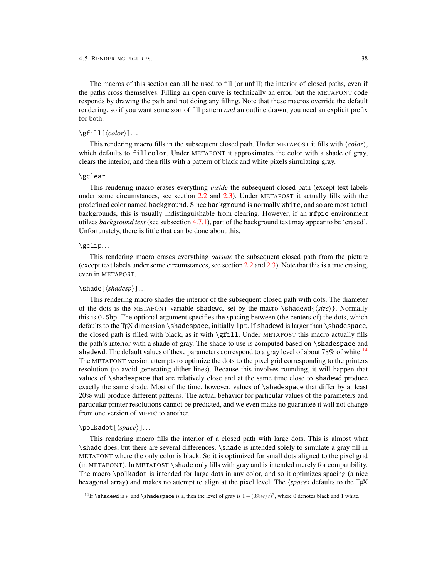The macros of this section can all be used to fill (or unfill) the interior of closed paths, even if the paths cross themselves. Filling an open curve is technically an error, but the METAFONT code responds by drawing the path and not doing any filling. Note that these macros override the default rendering, so if you want some sort of fill pattern *and* an outline drawn, you need an explicit prefix for both.

## $\gtrsim$ fill[ $\langle color \rangle$ ]...

This rendering macro fills in the subsequent closed path. Under METAPOST it fills with  $\langle color \rangle$ , which defaults to fillcolor. Under METAFONT it approximates the color with a shade of gray, clears the interior, and then fills with a pattern of black and white pixels simulating gray.

#### \gclear...

This rendering macro erases everything *inside* the subsequent closed path (except text labels under some circumstances, see section [2.2](#page-7-0) and [2.3\)](#page-8-0). Under METAPOST it actually fills with the predefined color named background. Since background is normally white, and so are most actual backgrounds, this is usually indistinguishable from clearing. However, if an mfpic environment utilzes *background text* (see subsection [4.7.1\)](#page-51-0), part of the background text may appear to be 'erased'. Unfortunately, there is little that can be done about this.

## \gclip...

This rendering macro erases everything *outside* the subsequent closed path from the picture (except text labels under some circumstances, see section [2.2](#page-7-0) and [2.3\)](#page-8-0). Note that this is a true erasing, even in METAPOST.

## \shade[\shadesp\]...

This rendering macro shades the interior of the subsequent closed path with dots. The diameter of the dots is the METAFONT variable shadewd, set by the macro \shadewd{ $\langle size \rangle$ }. Normally this is 0.5bp. The optional argument specifies the spacing between (the centers of) the dots, which defaults to the TFX dimension \shadespace, initially 1pt. If shadewd is larger than \shadespace, the closed path is filled with black, as if with \gfill. Under METAPOST this macro actually fills the path's interior with a shade of gray. The shade to use is computed based on \shadespace and shadewd. The default values of these parameters correspond to a gray level of about 78% of white.<sup>[14](#page-40-0)</sup> The METAFONT version attempts to optimize the dots to the pixel grid corresponding to the printers resolution (to avoid generating dither lines). Because this involves rounding, it will happen that values of \shadespace that are relatively close and at the same time close to shadewd produce exactly the same shade. Most of the time, however, values of \shadespace that differ by at least 20% will produce different patterns. The actual behavior for particular values of the parameters and particular printer resolutions cannot be predicted, and we even make no guarantee it will not change from one version of MFPIC to another.

#### \polkadot[\*space*}]...

This rendering macro fills the interior of a closed path with large dots. This is almost what \shade does, but there are several differences. \shade is intended solely to simulate a gray fill in METAFONT where the only color is black. So it is optimized for small dots aligned to the pixel grid (in METAFONT). In METAPOST \shade only fills with gray and is intended merely for compatibility. The macro \polkadot is intended for large dots in any color, and so it optimizes spacing (a nice hexagonal array) and makes no attempt to align at the pixel level. The  $\langle space \rangle$  defaults to the T<sub>EX</sub>

<span id="page-40-0"></span><sup>&</sup>lt;sup>14</sup>If \shadewd is *w* and \shadespace is *s*, then the level of gray is  $1 - (.88w/s)^2$ , where 0 denotes black and 1 white.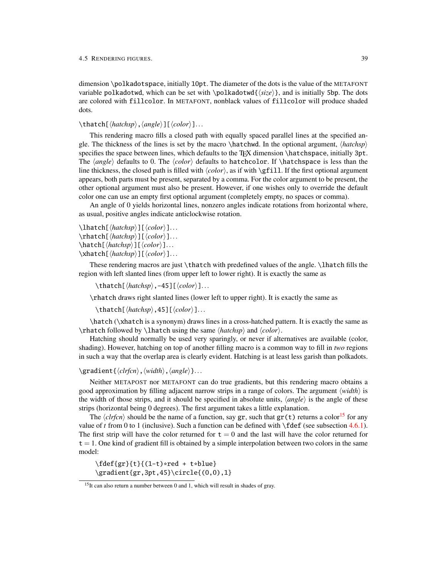dimension \polkadotspace, initially 10pt. The diameter of the dots is the value of the METAFONT variable polkadotwd, which can be set with \polkadotwd{h*size*i}, and is initially 5bp. The dots are colored with fillcolor. In METAFONT, nonblack values of fillcolor will produce shaded dots.

## \thatch[\*hatchsp*\,\angle\][\\color\]...

This rendering macro fills a closed path with equally spaced parallel lines at the specified angle. The thickness of the lines is set by the macro  $\hat{\theta}$ . In the optional argument,  $\hat{\theta}$ specifies the space between lines, which defaults to the TEX dimension \hatchspace, initially 3pt. The *(angle)* defaults to 0. The *(color)* defaults to hatchcolor. If *\hatchspace* is less than the line thickness, the closed path is filled with  $\langle color \rangle$ , as if with  $\sqrt{gfill}$ . If the first optional argument appears, both parts must be present, separated by a comma. For the color argument to be present, the other optional argument must also be present. However, if one wishes only to override the default color one can use an empty first optional argument (completely empty, no spaces or comma).

An angle of 0 yields horizontal lines, nonzero angles indicate rotations from horizontal where, as usual, positive angles indicate anticlockwise rotation.

```
\lambda \lambda[\langle \hat{h} \rangle] [\langle color \rangle] \ldots\rhatch[\hatchsp\][\\color\]...
\hat{\langle}hatch[\langle \hat{h}atchsp\langle \hat{h}]...
\mathcal{h}_k \xhatch[\langle \hat{h}_k \rangle][\langle \hat{h}_k \rangle]...
```
These rendering macros are just \thatch with predefined values of the angle. \lhatch fills the region with left slanted lines (from upper left to lower right). It is exactly the same as

\thatch[ $\langle \hat{h}$ *atchsp*}, -45][ $\langle color \rangle$ ]...

\rhatch draws right slanted lines (lower left to upper right). It is exactly the same as

\thatch[ $\langle \hat{h}$ *atchsp* $\rangle$ ,45][ $\langle color \rangle$ ]...

\hatch (\xhatch is a synonym) draws lines in a cross-hatched pattern. It is exactly the same as  $\theta$  by  $\theta$  using the same  $\langle \theta \rangle$  and  $\langle \theta \rangle$ .

Hatching should normally be used very sparingly, or never if alternatives are available (color, shading). However, hatching on top of another filling macro is a common way to fill in *two* regions in such a way that the overlap area is clearly evident. Hatching is at least less garish than polkadots.

#### \gradient{\*clrfcn*},\*width*},\*angle*}}...

Neither METAPOST nor METAFONT can do true gradients, but this rendering macro obtains a good approximation by filling adjacent narrow strips in a range of colors. The argument  $\langle width \rangle$  is the width of those strips, and it should be specified in absolute units,  $\langle angle \rangle$  is the angle of these strips (horizontal being 0 degrees). The first argument takes a little explanation.

The  $\langle \text{clrfcn} \rangle$  should be the name of a function, say gr, such that gr(t) returns a color<sup>[15](#page-41-0)</sup> for any value of *t* from 0 to 1 (inclusive). Such a function can be defined with \fdef (see subsection [4.6.1\)](#page-43-1). The first strip will have the color returned for  $t = 0$  and the last will have the color returned for  $t = 1$ . One kind of gradient fill is obtained by a simple interpolation between two colors in the same model:

 $\left\{gr\}_{t}^{(1-t)*red + t*blue\}$  $\qquad$ {gr,3pt,45} $\circle{(0,0),1}$ 

<span id="page-41-0"></span><sup>&</sup>lt;sup>15</sup>It can also return a number between 0 and 1, which will result in shades of gray.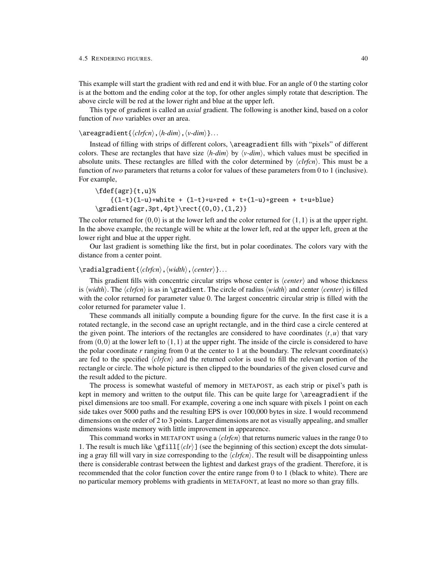#### 4.5 RENDERING FIGURES. 40

This example will start the gradient with red and end it with blue. For an angle of 0 the starting color is at the bottom and the ending color at the top, for other angles simply rotate that description. The above circle will be red at the lower right and blue at the upper left.

This type of gradient is called an *axial* gradient. The following is another kind, based on a color function of *two* variables over an area.

## \areagradient{ $\langle clr$ *fcn* $\rangle$ ,  $\langle h$ -dim $\rangle$ ,  $\langle v$ -dim $\rangle$ }...

Instead of filling with strips of different colors, \areagradient fills with "pixels" of different colors. These are rectangles that have size  $\langle h \text{-} dim \rangle$  by  $\langle v \text{-} dim \rangle$ , which values must be specified in absolute units. These rectangles are filled with the color determined by  $\langle \text{clr}(\text{fr}) \rangle$ . This must be a function of *two* parameters that returns a color for values of these parameters from 0 to 1 (inclusive). For example,

\fdef{agr}{t,u}%  ${(1-t)(1-u) * white + (1-t) * u * red + t * (1-u) * green + t * u * blue}$ \gradient{agr,3pt,4pt}\rect{(0,0),(1,2)}

The color returned for  $(0,0)$  is at the lower left and the color returned for  $(1,1)$  is at the upper right. In the above example, the rectangle will be white at the lower left, red at the upper left, green at the lower right and blue at the upper right.

Our last gradient is something like the first, but in polar coordinates. The colors vary with the distance from a center point.

## \radialgradient{\*clrfcn*},\*width*},\*center*}}...

This gradient fills with concentric circular strips whose center is  $\langle center \rangle$  and whose thickness is  $\wedge \wedge$ . The  $\langle \text{chr}(n) \rangle$  is as in \gradient. The circle of radius  $\langle \text{wid} \rangle$  and center  $\langle \text{center} \rangle$  is filled with the color returned for parameter value 0. The largest concentric circular strip is filled with the color returned for parameter value 1.

These commands all initially compute a bounding figure for the curve. In the first case it is a rotated rectangle, in the second case an upright rectangle, and in the third case a circle centered at the given point. The interiors of the rectangles are considered to have coordinates  $(t, u)$  that vary from  $(0,0)$  at the lower left to  $(1,1)$  at the upper right. The inside of the circle is considered to have the polar coordinate *r* ranging from 0 at the center to 1 at the boundary. The relevant coordinate(s) are fed to the specified  $\langle \text{clr} \text{fcn} \rangle$  and the returned color is used to fill the relevant portion of the rectangle or circle. The whole picture is then clipped to the boundaries of the given closed curve and the result added to the picture.

The process is somewhat wasteful of memory in METAPOST, as each strip or pixel's path is kept in memory and written to the output file. This can be quite large for \areagradient if the pixel dimensions are too small. For example, covering a one inch square with pixels 1 point on each side takes over 5000 paths and the resulting EPS is over 100,000 bytes in size. I would recommend dimensions on the order of 2 to 3 points. Larger dimensions are not as visually appealing, and smaller dimensions waste memory with little improvement in appearence.

This command works in METAFONT using a  $\langle clrfcn \rangle$  that returns numeric values in the range 0 to 1. The result is much like  $\sqrt{\text{fill} (chr)}$  (see the beginning of this section) except the dots simulating a gray fill will vary in size corresponding to the  $\langle clrfcn \rangle$ . The result will be disappointing unless there is considerable contrast between the lightest and darkest grays of the gradient. Therefore, it is recommended that the color function cover the entire range from 0 to 1 (black to white). There are no particular memory problems with gradients in METAFONT, at least no more so than gray fills.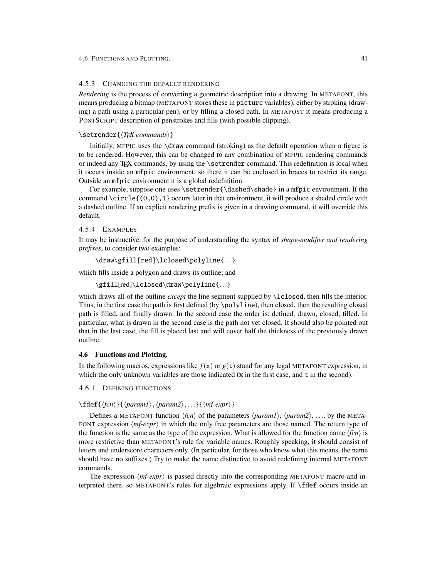## <span id="page-43-0"></span>4.5.3 CHANGING THE DEFAULT RENDERING

*Rendering* is the process of converting a geometric description into a drawing. In METAFONT, this means producing a bitmap (METAFONT stores these in picture variables), either by stroking (drawing) a path using a particular pen), or by filling a closed path. In METAPOST it means producing a POSTSCRIPT description of penstrokes and fills (with possible clipping).

### \setrender{ $\langle TFX \space commands \rangle$  }

Initially, MFPIC uses the \draw command (stroking) as the default operation when a figure is to be rendered. However, this can be changed to any combination of MFPIC rendering commands or indeed any TEX commands, by using the \setrender command. This redefinition is local when it occurs inside an mfpic environment, so there it can be enclosed in braces to restrict its range. Outside an mfpic environment it is a global redefinition.

For example, suppose one uses \setrender{\dashed\shade} in a mfpic environment. If the command  $\ci{c1e{(0,0),1}}$  occurs later in that environment, it will produce a shaded circle with a dashed outline. If an explicit rendering prefix is given in a drawing command, it will override this default.

## 4.5.4 EXAMPLES

It may be instructive, for the purpose of understanding the syntax of *shape-modifier and rendering prefixes*, to consider two examples:

```
\draw\gfill[red]\lclosed\polyline{...}
```
which fills inside a polygon and draws its outline; and

```
\gfill[red]\lclosed\draw\polyline{...}
```
which draws all of the outline *except* the line segment supplied by \lclosed, then fills the interior. Thus, in the first case the path is first defined (by \polyline), then closed, then the resulting closed path is filled, and finally drawn. In the second case the order is: defined, drawn, closed, filled. In particular, what is drawn in the second case is the path not yet closed. It should also be pointed out that in the last case, the fill is placed last and will cover half the thickness of the previously drawn outline.

## 4.6 Functions and Plotting.

In the following macros, expressions like  $f(x)$  or  $g(t)$  stand for any legal METAFONT expression, in which the only unknown variables are those indicated  $(x \text{ in the first case, and } t \text{ in the second})$ .

<span id="page-43-1"></span>4.6.1 DEFINING FUNCTIONS

## $\left\{\langle fcn \rangle\right\}\left\{\langle param1 \rangle, \langle param2 \rangle, ...\right\}\left\{\langle mf-expr \rangle\right\}$

Defines a METAFONT function  $\langle fcn \rangle$  of the parameters  $\langle param2 \rangle$ ,  $\langle param2 \rangle$ , ..., by the META-FONT expression  $\langle mf\text{-}expr \rangle$  in which the only free parameters are those named. The return type of the function is the same as the type of the expression. What is allowed for the function name  $\langle fcn \rangle$  is more restrictive than METAFONT's rule for variable names. Roughly speaking, it should consist of letters and underscore characters only. (In particular, for those who know what this means, the name should have no suffixes.) Try to make the name distinctive to avoid redefining internal METAFONT commands.

The expression  $\langle mf\text{-}expr\rangle$  is passed directly into the corresponding METAFONT macro and interpreted there, so METAFONT's rules for algebraic expressions apply. If \fdef occurs inside an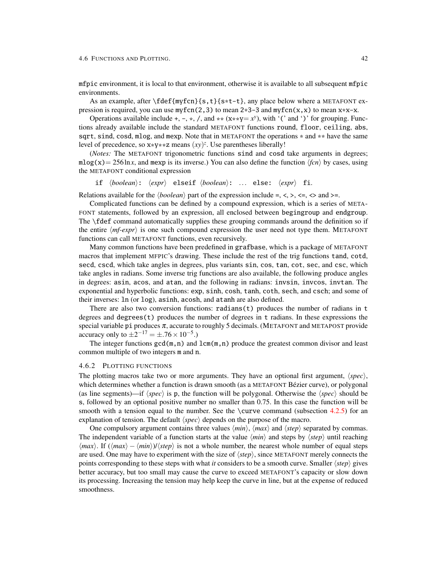mfpic environment, it is local to that environment, otherwise it is available to all subsequent mfpic environments.

As an example, after  $\fdef{myfon}_{s,t}$ ;  $t = t$ , any place below where a METAFONT expression is required, you can use  $myfon(2,3)$  to mean  $2*3-3$  and  $myfon(x,x)$  to mean  $x*x-x$ .

Operations available include +, -, \*, /, and \*\*  $(x**y=x^y)$ , with '(' and ')' for grouping. Functions already available include the standard METAFONT functions round, floor, ceiling, abs, sqrt, sind, cosd, mlog, and mexp. Note that in METAFONT the operations  $*$  and  $**$  have the same level of precedence, so  $x*y*x$  means  $(xy)^z$ . Use parentheses liberally!

(*Notes:* The METAFONT trigonometric functions sind and cosd take arguments in degrees;  $m\log(x) = 256 \ln x$ , and mexp is its inverse.) You can also define the function  $\langle fcn \rangle$  by cases, using the METAFONT conditional expression

if  $\langle boolean \rangle: \langle expr \rangle$  elseif  $\langle boolean \rangle: ...$  else:  $\langle expr \rangle$  fi.

Relations available for the  $\langle boolean \rangle$  part of the expression include =, <, >, <=, <> and >=.

Complicated functions can be defined by a compound expression, which is a series of META-FONT statements, followed by an expression, all enclosed between begingroup and endgroup. The \fdef command automatically supplies these grouping commands around the definition so if the entire  $\langle mf\text{-}expr \rangle$  is one such compound expression the user need not type them. METAFONT functions can call METAFONT functions, even recursively.

Many common functions have been predefined in grafbase, which is a package of METAFONT macros that implement MFPIC's drawing. These include the rest of the trig functions tand, cotd, secd, cscd, which take angles in degrees, plus variants sin, cos, tan, cot, sec, and csc, which take angles in radians. Some inverse trig functions are also available, the following produce angles in degrees: asin, acos, and atan, and the following in radians: invsin, invcos, invtan. The exponential and hyperbolic functions: exp, sinh, cosh, tanh, coth, sech, and csch; and some of their inverses: ln (or log), asinh, acosh, and atanh are also defined.

There are also two conversion functions:  $radians(t)$  produces the number of radians in  $t$ degrees and degrees(t) produces the number of degrees in t radians. In these expressions the special variable pi produces  $\pi$ , accurate to roughly 5 decimals. (METAFONT and METAPOST provide accuracy only to  $\pm 2^{-17} = \pm .76 \times 10^{-5}$ .)

The integer functions  $gcd(m, n)$  and  $lcm(m, n)$  produce the greatest common divisor and least common multiple of two integers m and n.

#### <span id="page-44-0"></span>4.6.2 PLOTTING FUNCTIONS

The plotting macros take two or more arguments. They have an optional first argument,  $\langle spec \rangle$ , which determines whether a function is drawn smooth (as a METAFONT Bézier curve), or polygonal (as line segments)—if  $\langle spec \rangle$  is p, the function will be polygonal. Otherwise the  $\langle spec \rangle$  should be s, followed by an optional positive number no smaller than 0.75. In this case the function will be smooth with a tension equal to the number. See the \curve command (subsection  $4.2.5$ ) for an explanation of tension. The default  $\langle spec \rangle$  depends on the purpose of the macro.

One compulsory argument contains three values  $\langle min \rangle$ ,  $\langle max \rangle$  and  $\langle step \rangle$  separated by commas. The independent variable of a function starts at the value  $\langle min \rangle$  and steps by  $\langle step \rangle$  until reaching  $\langle max \rangle$ . If  $(\langle max \rangle - \langle min \rangle)/\langle step \rangle$  is not a whole number, the nearest whole number of equal steps are used. One may have to experiment with the size of  $\langle$ step $\rangle$ , since METAFONT merely connects the points corresponding to these steps with what *it* considers to be a smooth curve. Smaller  $\langle$ *step* $\rangle$  gives better accuracy, but too small may cause the curve to exceed METAFONT's capacity or slow down its processing. Increasing the tension may help keep the curve in line, but at the expense of reduced smoothness.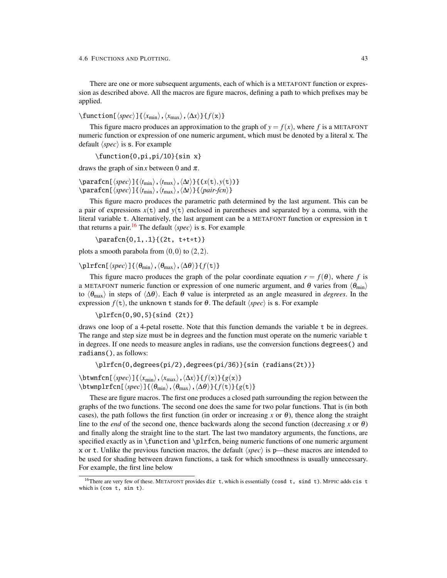There are one or more subsequent arguments, each of which is a METAFONT function or expression as described above. All the macros are figure macros, defining a path to which prefixes may be applied.

 $\langle$  function [ $\langle spec \rangle$ ] { $\langle x_{\min} \rangle$ ,  $\langle x_{\max} \rangle$ ,  $\langle \Delta x \rangle$ } { $f(x)$ }

This figure macro produces an approximation to the graph of  $y = f(x)$ , where f is a METAFONT numeric function or expression of one numeric argument, which must be denoted by a literal x. The default  $\langle spec \rangle$  is s. For example

\function{0,pi,pi/10}{sin x}

draws the graph of sin*x* between 0 and  $\pi$ .

\parafcn[\*spec*\}{\t<sub>min</sub>\,\t<sub>max</sub>\,\\substrat{\delta\right)}} \parafcn[h*spec*i]{h*t*mini,h*t*maxi,h∆*t*i}{h*pair-fcn*i}

This figure macro produces the parametric path determined by the last argument. This can be a pair of expressions  $x(t)$  and  $y(t)$  enclosed in parentheses and separated by a comma, with the literal variable t. Alternatively, the last argument can be a METAFONT function or expression in t that returns a pair.<sup>[16](#page-45-0)</sup> The default  $\langle spec \rangle$  is s. For example

\parafcn{0,1,.1}{(2t, t+t\*t)}

plots a smooth parabola from  $(0,0)$  to  $(2,2)$ .

 $\left\{\phi_{\min}\right\},\left\{\theta_{\max}\right\},\left\{\Delta\theta\right\}\}$  *f*(t)}

This figure macro produces the graph of the polar coordinate equation  $r = f(\theta)$ , where *f* is a METAFONT numeric function or expression of one numeric argument, and  $\theta$  varies from  $\langle \theta_{\rm min} \rangle$ to  $\langle \theta_{\text{max}} \rangle$  in steps of  $\langle \Delta \theta \rangle$ . Each  $\theta$  value is interpreted as an angle measured in *degrees*. In the expression  $f(t)$ , the unknown t stands for  $\theta$ . The default  $\langle spec \rangle$  is s. For example

\plrfcn{0,90,5}{sind (2t)}

draws one loop of a 4-petal rosette. Note that this function demands the variable t be in degrees. The range and step size must be in degrees and the function must operate on the numeric variable t in degrees. If one needs to measure angles in radians, use the conversion functions degrees() and radians(), as follows:

\plrfcn{0,degrees(pi/2),degrees(pi/36)}{sin (radians(2t))}

\btwnfcn[\*spec*}]{\*x*<sub>min</sub>\,\*x*<sub>max</sub>\,\\*Ax*\}{ *f*(x)}{ *g*(x)}  $\setminus \text{btwnplrfcn[\langle spec \rangle]\{\langle \theta_{\min} \rangle,\langle \theta_{\max} \rangle,\langle \Delta \theta \rangle\}\{ f(t)\}\{ g(t)\}$ 

These are figure macros. The first one produces a closed path surrounding the region between the graphs of the two functions. The second one does the same for two polar functions. That is (in both cases), the path follows the first function (in order or increasing *x* or  $\theta$ ), thence along the straight line to the *end* of the second one, thence backwards along the second function (decreasing *x* or  $\theta$ ) and finally along the straight line to the start. The last two mandatory arguments, the functions, are specified exactly as in \function and \plrfcn, being numeric functions of one numeric argument x or t. Unlike the previous function macros, the default  $\langle spec \rangle$  is p—these macros are intended to be used for shading between drawn functions, a task for which smoothness is usually unnecessary. For example, the first line below

<span id="page-45-0"></span><sup>&</sup>lt;sup>16</sup>There are very few of these. METAFONT provides dir t, which is essentially (cosd t, sind t). MFPIC adds cis t which is (cos t, sin t).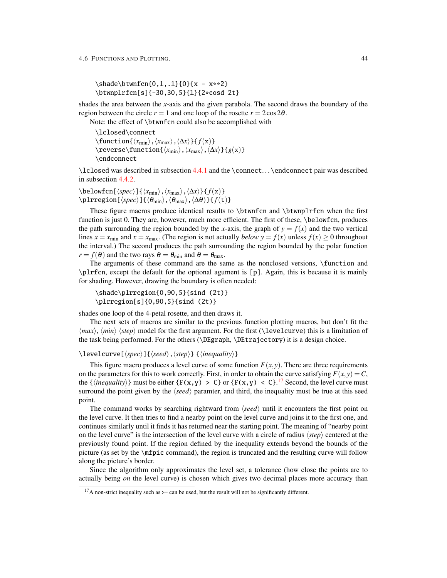\shade\btwnfcn{0,1,.1}{0}{x - x\*\*2} \btwnplrfcn[s]{-30,30,5}{1}{2\*cosd 2t}

shades the area between the *x*-axis and the given parabola. The second draws the boundary of the region between the circle  $r = 1$  and one loop of the rosette  $r = 2\cos 2\theta$ .

Note: the effect of \btwnfcn could also be accomplished with

\lclosed\connect  $\langle x_{\min}\rangle$ ,  $\langle x_{\max}\rangle$ ,  $\langle \Delta x\rangle$  } { *f*(x)}  $\text{reverse}\frac{\langle x_{\text{min}}\rangle,\langle x_{\text{max}}\rangle,\langle\Delta x\rangle}{g(x)}$ \endconnect

\lclosed was described in subsection [4.4.1](#page-32-0) and the \connect. . . \endconnect pair was described in subsection [4.4.2.](#page-33-0)

\belowfcn[ $\langle spec \rangle$ ]{ $\langle x_{\min} \rangle$ ,  $\langle x_{\max} \rangle$ ,  $\langle \Delta x \rangle$ }{  $f(x)$  }  $\langle$ plrregion[ $\langle spec \rangle$ ]{ $\langle \theta_{min} \rangle$ , $\langle \theta_{max} \rangle$ , $\langle \Delta \theta \rangle$ }{ *f*(t)}

These figure macros produce identical results to \btwnfcn and \btwnplrfcn when the first function is just 0. They are, however, much more efficient. The first of these, \belowfcn, produces the path surrounding the region bounded by the *x*-axis, the graph of  $y = f(x)$  and the two vertical lines  $x = x_{min}$  and  $x = x_{max}$ . (The region is not actually *below*  $y = f(x)$  unless  $f(x) \ge 0$  throughout the interval.) The second produces the path surrounding the region bounded by the polar function  $r = f(\theta)$  and the two rays  $\theta = \theta_{\min}$  and  $\theta = \theta_{\max}$ .

The arguments of these command are the same as the nonclosed versions, \function and \plrfcn, except the default for the optional agument is [p]. Again, this is because it is mainly for shading. However, drawing the boundary is often needed:

```
\shade\plrregion{0,90,5}{sind (2t)}
\plrregion[s]{0,90,5}{sind (2t)}
```
shades one loop of the 4-petal rosette, and then draws it.

The next sets of macros are similar to the previous function plotting macros, but don't fit the  $\langle max \rangle$ ,  $\langle min \rangle$  (step) model for the first argument. For the first (\levelcurve) this is a limitation of the task being performed. For the others (\DEgraph, \DEtrajectory) it is a design choice.

 $\{\leq$ evelcurve $[\langle spec \rangle]$  $\{\langle seed \rangle, \langle step \rangle\}$  { $\langle inequality \rangle\}$ 

This figure macro produces a level curve of some function  $F(x, y)$ . There are three requirements on the parameters for this to work correctly. First, in order to obtain the curve satisfying  $F(x, y) = C$ , the  $\{\langle inequality\rangle\}$  must be either  $\{F(x,y) > C\}$  or  $\{F(x,y) < C\}$ .<sup>[17](#page-46-0)</sup> Second, the level curve must surround the point given by the  $\langle seed \rangle$  paramter, and third, the inequality must be true at this seed point.

The command works by searching rightward from  $\langle seed \rangle$  until it encounters the first point on the level curve. It then tries to find a nearby point on the level curve and joins it to the first one, and continues similarly until it finds it has returned near the starting point. The meaning of "nearby point on the level curve" is the intersection of the level curve with a circle of radius  $\langle$ step $\rangle$  centered at the previously found point. If the region defined by the inequality extends beyond the bounds of the picture (as set by the \mfpic command), the region is truncated and the resulting curve will follow along the picture's border.

Since the algorithm only approximates the level set, a tolerance (how close the points are to actually being *on* the level curve) is chosen which gives two decimal places more accuracy than

<span id="page-46-0"></span> $17A$  non-strict inequality such as  $>=$  can be used, but the result will not be significantly different.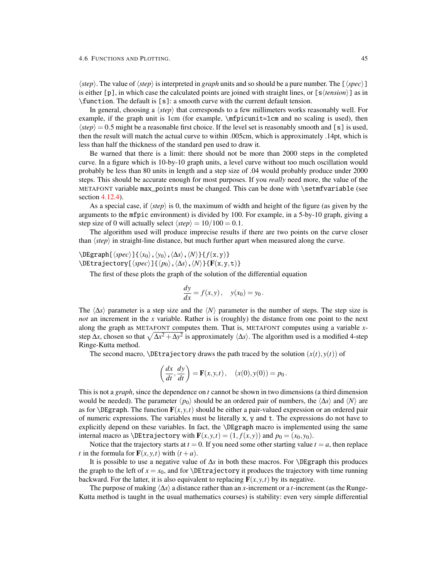$\langle \text{step} \rangle$ . The value of  $\langle \text{step} \rangle$  is interpreted in *graph* units and so should be a pure number. The  $[\langle \text{spec} \rangle]$ is either  $[p]$ , in which case the calculated points are joined with straight lines, or  $[s \langle tension \rangle]$  as in \function. The default is [s]: a smooth curve with the current default tension.

In general, choosing a  $\langle$ *step* $\rangle$  that corresponds to a few millimeters works reasonably well. For example, if the graph unit is 1cm (for example,  $\m{mpicunit=1cm}$  and no scaling is used), then  $\langle$ *step* $\rangle$  = 0.5 might be a reasonable first choice. If the level set is reasonably smooth and [s] is used, then the result will match the actual curve to within .005cm, which is approximately .14pt, which is less than half the thickness of the standard pen used to draw it.

Be warned that there is a limit: there should not be more than 2000 steps in the completed curve. In a figure which is 10-by-10 graph units, a level curve without too much oscillation would probably be less than 80 units in length and a step size of .04 would probably produce under 2000 steps. This should be accurate enough for most purposes. If you *really* need more, the value of the METAFONT variable max\_points must be changed. This can be done with \setmfvariable (see section [4.12.4\)](#page-67-0).

As a special case, if  $\langle$ step $\rangle$  is 0, the maximum of width and height of the figure (as given by the arguments to the mfpic environment) is divided by 100. For example, in a 5-by-10 graph, giving a step size of 0 will actually select  $\langle \text{step} \rangle = 10/100 = 0.1$ .

The algorithm used will produce imprecise results if there are two points on the curve closer than  $\langle$ *step* $\rangle$  in straight-line distance, but much further apart when measured along the curve.

\DEgraph[h*spec*i]{h*x*0i,h*y*0i,h∆*s*i,h*N*i}{ *f*(x,y)}  $\Delta$ DEtrajectory[ $\langle spec \rangle$ ]{ $\langle p_0 \rangle$ , $\langle \Delta s \rangle$ , $\langle N \rangle$ }{**F**(x,y,t)}

The first of these plots the graph of the solution of the differential equation

$$
\frac{dy}{dx} = f(x, y), \quad y(x_0) = y_0.
$$

The  $\langle \Delta s \rangle$  parameter is a step size and the  $\langle N \rangle$  parameter is the number of steps. The step size is *not* an increment in the *x* variable. Rather is is (roughly) the distance from one point to the next along the graph as METAFONT computes them. That is, METAFONT computes using a variable *x*step  $\Delta x$ , chosen so that  $\sqrt{\Delta x^2 + \Delta y^2}$  is approximately  $\langle \Delta s \rangle$ . The algorithm used is a modified 4-step Ringe-Kutta method.

The second macro,  $\Delta E$ trajectory draws the path traced by the solution  $(x(t), y(t))$  of

$$
\left(\frac{dx}{dt},\frac{dy}{dt}\right) = \mathbf{F}(x,y,t), \quad (x(0),y(0)) = p_0.
$$

This is not a *graph*, since the dependence on *t* cannot be shown in two dimensions (a third dimension would be needed). The parameter  $\langle p_0 \rangle$  should be an ordered pair of numbers, the  $\langle \Delta s \rangle$  and  $\langle N \rangle$  are as for  $\Delta E$ graph. The function  $\mathbf{F}(x, y, t)$  should be either a pair-valued expression or an ordered pair of numeric expressions. The variables must be literally x, y and t. The expressions do not have to explicitly depend on these variables. In fact, the \DEgraph macro is implemented using the same internal macro as  $\Delta$ Etrajectory with  $\mathbf{F}(x, y, t) = (1, f(x, y))$  and  $p_0 = (x_0, y_0)$ .

Notice that the trajectory starts at  $t = 0$ . If you need some other starting value  $t = a$ , then replace *t* in the formula for  $\mathbf{F}(x, y, t)$  with  $(t + a)$ .

It is possible to use a negative value of ∆*s* in both these macros. For \DEgraph this produces the graph to the left of  $x = x_0$ , and for  $\Delta$ Etrajectory it produces the trajectory with time running backward. For the latter, it is also equivalent to replacing  $F(x, y, t)$  by its negative.

The purpose of making  $\langle \Delta s \rangle$  a distance rather than an *x*-increment or a *t*-increment (as the Runge-Kutta method is taught in the usual mathematics courses) is stability: even very simple differential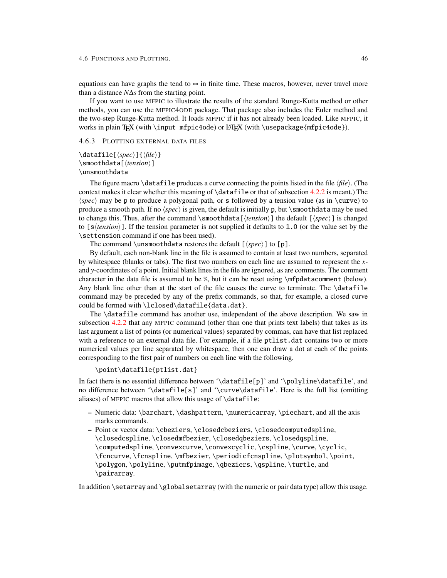equations can have graphs the tend to  $\infty$  in finite time. These macros, however, never travel more than a distance *N*∆*s* from the starting point.

If you want to use MFPIC to illustrate the results of the standard Runge-Kutta method or other methods, you can use the MFPIC4ODE package. That package also includes the Euler method and the two-step Runge-Kutta method. It loads MFPIC if it has not already been loaded. Like MFPIC, it works in plain TEX (with \input mfpic4ode) or LATEX (with \usepackage{mfpic4ode}).

## <span id="page-48-0"></span>4.6.3 PLOTTING EXTERNAL DATA FILES

## $\delta$  \datafile[ $\langle spec \rangle$ ]{ $\langle file \rangle$ } \smoothdata[\*tension*}] \unsmoothdata

The figure macro  $\datafile$  produces a curve connecting the points listed in the file  $\langle file \rangle$ . (The context makes it clear whether this meaning of  $\datafile$  or that of subsection [4.2.2](#page-17-0) is meant.) The  $\langle spec \rangle$  may be p to produce a polygonal path, or s followed by a tension value (as in \curve) to produce a smooth path. If no  $\langle spec \rangle$  is given, the default is initially p, but  $\mathrm{smoothdata}$  may be used to change this. Thus, after the command \smoothdata[ $\langle tension\rangle$ ] the default [ $\langle spec\rangle$ ] is changed to  $[s \langle tension \rangle]$ . If the tension parameter is not supplied it defaults to 1.0 (or the value set by the \settension command if one has been used).

The command \unsmoothdata restores the default  $[\langle spec \rangle]$  to [p].

By default, each non-blank line in the file is assumed to contain at least two numbers, separated by whitespace (blanks or tabs). The first two numbers on each line are assumed to represent the *x*and *y*-coordinates of a point. Initial blank lines in the file are ignored, as are comments. The comment character in the data file is assumed to be %, but it can be reset using \mfpdatacomment (below). Any blank line other than at the start of the file causes the curve to terminate. The \datafile command may be preceded by any of the prefix commands, so that, for example, a closed curve could be formed with \lclosed\datafile{data.dat}.

The \datafile command has another use, independent of the above description. We saw in subsection [4.2.2](#page-17-0) that any MFPIC command (other than one that prints text labels) that takes as its last argument a list of points (or numerical values) separated by commas, can have that list replaced with a reference to an external data file. For example, if a file ptlist.dat contains two or more numerical values per line separated by whitespace, then one can draw a dot at each of the points corresponding to the first pair of numbers on each line with the following.

### \point\datafile{ptlist.dat}

In fact there is no essential difference between '\datafile[p]' and '\polyline\datafile', and no difference between '\datafile[s]' and '\curve\datafile'. Here is the full list (omitting aliases) of MFPIC macros that allow this usage of \datafile:

- Numeric data: \barchart, \dashpattern, \numericarray, \piechart, and all the axis marks commands.
- Point or vector data: \cbeziers, \closedcbeziers, \closedcomputedspline, \closedcspline,\closedmfbezier,\closedqbeziers,\closedqspline, \computedspline, \convexcurve, \convexcyclic, \cspline, \curve, \cyclic, \fcncurve, \fcnspline, \mfbezier, \periodicfcnspline, \plotsymbol, \point, \polygon, \polyline, \putmfpimage, \qbeziers, \qspline, \turtle, and \pairarray.

In addition \setarray and \globalsetarray (with the numeric or pair data type) allow this usage.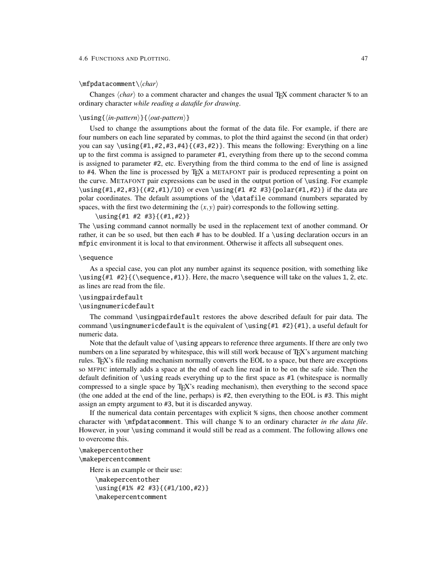## \mfpdatacomment\h*char*i

Changes  $\langle char \rangle$  to a comment character and changes the usual T<sub>EX</sub> comment character % to an ordinary character *while reading a datafile for drawing*.

## \using{*\in-pattern*}}{*\out-pattern*}}

Used to change the assumptions about the format of the data file. For example, if there are four numbers on each line separated by commas, to plot the third against the second (in that order) you can say \using $\{H1, H2, H3, H4\}$   $(\#3, H2)$ . This means the following: Everything on a line up to the first comma is assigned to parameter #1, everything from there up to the second comma is assigned to parameter #2, etc. Everything from the third comma to the end of line is assigned to #4. When the line is processed by TEX a METAFONT pair is produced representing a point on the curve. METAFONT pair expressions can be used in the output portion of \using. For example \using{#1,#2,#3}{(#2,#1)/10} or even \using{#1 #2 #3}{polar(#1,#2)} if the data are polar coordinates. The default assumptions of the \datafile command (numbers separated by spaces, with the first two determining the  $(x, y)$  pair) corresponds to the following setting.

#### \using{#1 #2 #3}{(#1,#2)}

The \using command cannot normally be used in the replacement text of another command. Or rather, it can be so used, but then each  $\#$  has to be doubled. If a \using declaration occurs in an mfpic environment it is local to that environment. Otherwise it affects all subsequent ones.

#### \sequence

As a special case, you can plot any number against its sequence position, with something like \using{#1 #2}{(\sequence,#1)}. Here, the macro \sequence will take on the values 1, 2, etc. as lines are read from the file.

### \usingpairdefault

#### \usingnumericdefault

The command \usingpairdefault restores the above described default for pair data. The command \usingnumericdefault is the equivalent of \using{#1 #2}{#1}, a useful default for numeric data.

Note that the default value of \using appears to reference three arguments. If there are only two numbers on a line separated by whitespace, this will still work because of T<sub>E</sub>X's argument matching rules. TEX's file reading mechanism normally converts the EOL to a space, but there are exceptions so MFPIC internally adds a space at the end of each line read in to be on the safe side. Then the default definition of \using reads everything up to the first space as  $#1$  (whitespace is normally compressed to a single space by TEX's reading mechanism), then everything to the second space (the one added at the end of the line, perhaps) is #2, then everything to the EOL is #3. This might assign an empty argument to #3, but it is discarded anyway.

If the numerical data contain percentages with explicit % signs, then choose another comment character with \mfpdatacomment. This will change % to an ordinary character *in the data file*. However, in your \using command it would still be read as a comment. The following allows one to overcome this.

## \makepercentother

\makepercentcomment

Here is an example or their use:

```
\makepercentother
\using{#1% #2 #3}{(#1/100,#2)}
\makepercentcomment
```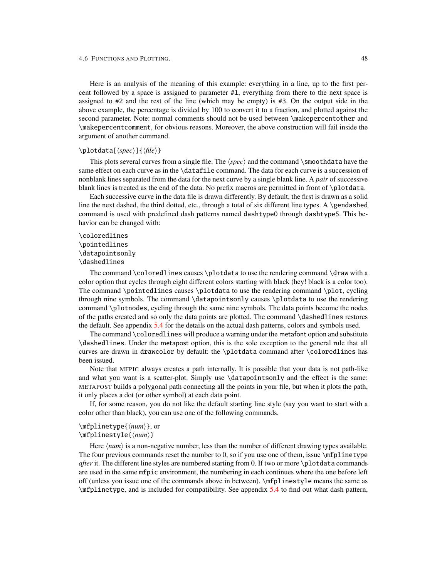Here is an analysis of the meaning of this example: everything in a line, up to the first percent followed by a space is assigned to parameter #1, everything from there to the next space is assigned to  $#2$  and the rest of the line (which may be empty) is  $#3$ . On the output side in the above example, the percentage is divided by 100 to convert it to a fraction, and plotted against the second parameter. Note: normal comments should not be used between \makepercentother and \makepercentcomment, for obvious reasons. Moreover, the above construction will fail inside the argument of another command.

## $\boldsymbol{\delta}(\text{spec})$ ]{ $\langle file \rangle$ }

This plots several curves from a single file. The  $\langle spec \rangle$  and the command  $\mathsf{lambda}$  and the command  $\mathsf{lambda}$ same effect on each curve as in the \datafile command. The data for each curve is a succession of nonblank lines separated from the data for the next curve by a single blank line. A *pair* of successive blank lines is treated as the end of the data. No prefix macros are permitted in front of \plotdata.

Each successive curve in the data file is drawn differently. By default, the first is drawn as a solid line the next dashed, the third dotted, etc., through a total of six different line types. A \gendashed command is used with predefined dash patterns named dashtype0 through dashtype5. This behavior can be changed with:

## \coloredlines \pointedlines \datapointsonly \dashedlines

The command \coloredlines causes \plotdata to use the rendering command \draw with a color option that cycles through eight different colors starting with black (hey! black is a color too). The command \pointedlines causes \plotdata to use the rendering command \plot, cycling through nine symbols. The command \datapointsonly causes \plotdata to use the rendering command \plotnodes, cycling through the same nine symbols. The data points become the nodes of the paths created and so only the data points are plotted. The command \dashedlines restores the default. See appendix [5.4](#page-82-0) for the details on the actual dash patterns, colors and symbols used.

The command \coloredlines will produce a warning under the metafont option and substitute \dashedlines. Under the metapost option, this is the sole exception to the general rule that all curves are drawn in drawcolor by default: the \plotdata command after \coloredlines has been issued.

Note that MFPIC always creates a path internally. It is possible that your data is not path-like and what you want is a scatter-plot. Simply use \datapointsonly and the effect is the same: METAPOST builds a polygonal path connecting all the points in your file, but when it plots the path, it only places a dot (or other symbol) at each data point.

If, for some reason, you do not like the default starting line style (say you want to start with a color other than black), you can use one of the following commands.

# \mfplinetype{ $\langle num \rangle$ }, or

## $\m{\mathbf{h}$ inestyle{ $\langle num \rangle$ }

Here  $\langle num \rangle$  is a non-negative number, less than the number of different drawing types available. The four previous commands reset the number to 0, so if you use one of them, issue  $\infty$  if plinetype *after* it. The different line styles are numbered starting from 0. If two or more \plotdata commands are used in the same mfpic environment, the numbering in each continues where the one before left off (unless you issue one of the commands above in between). \mfplinestyle means the same as \mfplinetype, and is included for compatibility. See appendix [5.4](#page-82-0) to find out what dash pattern,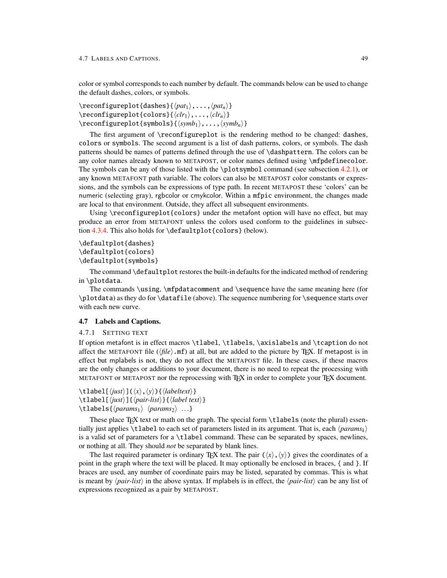color or symbol corresponds to each number by default. The commands below can be used to change the default dashes, colors, or symbols.

```
\text{reconfigureplot{dashes}}\{\langle pat_1\rangle, \ldots, \langle pat_n\rangle\}\text{reconfigureplot}\{color\};\ldots,\langle clr_n\rangle\}\verb|\reconfigureplot{symbols}{\langle\text{symbol}_1\rangle, \ldots, \langle\text{symbol}_n\rangle}
```
The first argument of \reconfigureplot is the rendering method to be changed: dashes, colors or symbols. The second argument is a list of dash patterns, colors, or symbols. The dash patterns should be names of patterns defined through the use of \dashpattern. The colors can be any color names already known to METAPOST, or color names defined using \mfpdefinecolor. The symbols can be any of those listed with the \plotsymbol command (see subsection  $4.2.1$ ), or any known METAFONT path variable. The colors can also be METAPOST color constants or expressions, and the symbols can be expressions of type path. In recent METAPOST these 'colors' can be numeric (selecting gray), rgbcolor or cmykcolor. Within a mfpic environment, the changes made are local to that environment. Outside, they affect all subsequent environments.

Using \reconfigureplot{colors} under the metafont option will have no effect, but may produce an error from METAFONT unless the colors used conform to the guidelines in subsection [4.3.4.](#page-31-0) This also holds for \defaultplot{colors} (below).

```
\defaultplot{dashes}
\defaultplot{colors}
\defaultplot{symbols}
```
The command \defaultplot restores the built-in defaults for the indicated method of rendering in \plotdata.

The commands \using, \mfpdatacomment and \sequence have the same meaning here (for  $\displaystyle\Delta$ ) as they do for  $\displaystyle\Delta$  atafile (above). The sequence numbering for  $\displaystyle\Delta$  sequence starts over with each new curve.

### 4.7 Labels and Captions.

#### <span id="page-51-0"></span>4.7.1 SETTING TEXT

If option metafont is in effect macros \tlabel, \tlabels, \axislabels and \tcaption do not affect the METAFONT file ( $\langle file \rangle$ .mf) at all, but are added to the picture by T<sub>E</sub>X. If metapost is in effect but mplabels is not, they do not affect the METAPOST file. In these cases, if these macros are the only changes or additions to your document, there is no need to repeat the processing with METAFONT or METAPOST nor the reprocessing with T<sub>EX</sub> in order to complete your T<sub>EX</sub> document.

 $\setminus$ tlabel[ $\langle just \rangle$ ]( $\langle x \rangle$ , $\langle y \rangle$ ){ $\langle labeltext \rangle$ }  $\{\t{label} f\}_{\phi}$ \tlabels{h*params*1i h*params*2i ...}

These place T<sub>F</sub>X text or math on the graph. The special form  $\tilde{\text{t}}$  about the plural) essentially just applies  $\tilde{\text{t}}$  to each set of parameters listed in its argument. That is, each  $\langle$ *params*<sub>*k*</sub> $\rangle$ is a valid set of parameters for a \tlabel command. These can be separated by spaces, newlines, or nothing at all. They should *not* be separated by blank lines.

The last required parameter is ordinary T<sub>EX</sub> text. The pair  $(\langle x \rangle, \langle y \rangle)$  gives the coordinates of a point in the graph where the text will be placed. It may optionally be enclosed in braces, { and }. If braces are used, any number of coordinate pairs may be listed, separated by commas. This is what is meant by  $\langle pair-list \rangle$  in the above syntax. If mplabels is in effect, the  $\langle pair-list \rangle$  can be any list of expressions recognized as a pair by METAPOST.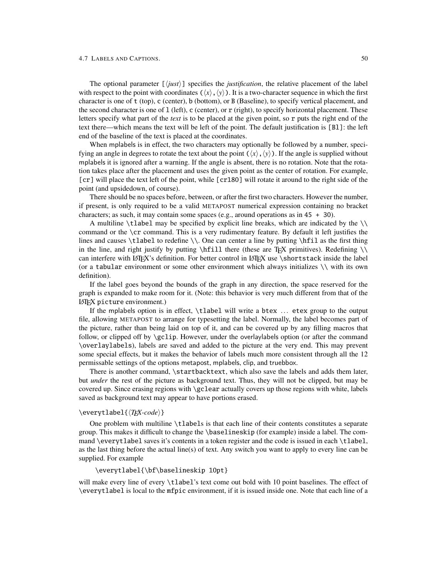The optional parameter  $[\langle j \rangle j \rangle]$  specifies the *justification*, the relative placement of the label with respect to the point with coordinates  $(\langle x \rangle, \langle y \rangle)$ . It is a two-character sequence in which the first character is one of t (top), c (center), b (bottom), or B (Baseline), to specify vertical placement, and the second character is one of 1 (left), c (center), or r (right), to specify horizontal placement. These letters specify what part of the *text* is to be placed at the given point, so r puts the right end of the text there—which means the text will be left of the point. The default justification is [Bl]: the left end of the baseline of the text is placed at the coordinates.

When mplabels is in effect, the two characters may optionally be followed by a number, specifying an angle in degrees to rotate the text about the point  $(\langle x \rangle, \langle y \rangle)$ . If the angle is supplied without mplabels it is ignored after a warning. If the angle is absent, there is no rotation. Note that the rotation takes place after the placement and uses the given point as the center of rotation. For example, [cr] will place the text left of the point, while [cr180] will rotate it around to the right side of the point (and upsidedown, of course).

There should be no spaces before, between, or after the first two characters. However the number, if present, is only required to be a valid METAPOST numerical expression containing no bracket characters; as such, it may contain some spaces (e.g., around operations as in  $45 + 30$ ).

A multiline \tlabel may be specified by explicit line breaks, which are indicated by the  $\setminus$ command or the \cr command. This is a very rudimentary feature. By default it left justifies the lines and causes \tlabel to redefine \\. One can center a line by putting \hfil as the first thing in the line, and right justify by putting  $\hbar$  let these are TEX primitives). Redefining  $\hbar$ can interfere with LATEX's definition. For better control in LATEX use \shortstack inside the label (or a tabular environment or some other environment which always initializes  $\setminus \setminus$  with its own definition).

If the label goes beyond the bounds of the graph in any direction, the space reserved for the graph is expanded to make room for it. (Note: this behavior is very much different from that of the LATEX picture environment.)

If the mplabels option is in effect, \tlabel will write a btex ... etex group to the output file, allowing METAPOST to arrange for typesetting the label. Normally, the label becomes part of the picture, rather than being laid on top of it, and can be covered up by any filling macros that follow, or clipped off by \gclip. However, under the overlaylabels option (or after the command \overlaylabels), labels are saved and added to the picture at the very end. This may prevent some special effects, but it makes the behavior of labels much more consistent through all the 12 permissable settings of the options metapost, mplabels, clip, and truebbox.

There is another command, \startbacktext, which also save the labels and adds them later, but *under* the rest of the picture as background text. Thus, they will not be clipped, but may be covered up. Since erasing regions with \gclear actually covers up those regions with white, labels saved as background text may appear to have portions erased.

### \everytlabel{ $\langle TEX-code\rangle$ }

One problem with multiline \tlabels is that each line of their contents constitutes a separate group. This makes it difficult to change the \baselineskip (for example) inside a label. The command \everytlabel saves it's contents in a token register and the code is issued in each \tlabel, as the last thing before the actual line(s) of text. Any switch you want to apply to every line can be supplied. For example

## \everytlabel{\bf\baselineskip 10pt}

will make every line of every \tlabel's text come out bold with 10 point baselines. The effect of \everytlabel is local to the mfpic environment, if it is issued inside one. Note that each line of a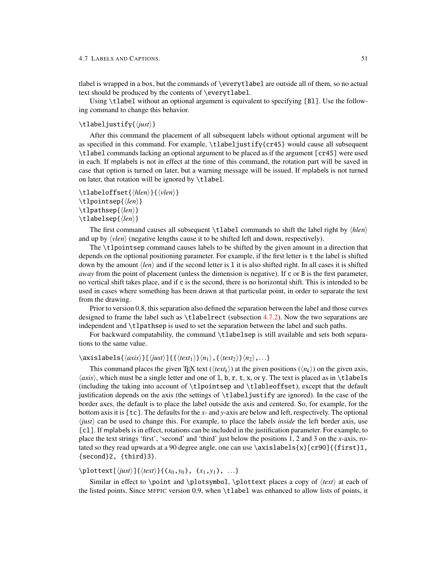tlabel is wrapped in a box, but the commands of \everytlabel are outside all of them, so no actual text should be produced by the contents of \everytlabel.

Using \tlabel without an optional argument is equivalent to specifying [Bl]. Use the following command to change this behavior.

## \tlabeljustify{\*just*}}

After this command the placement of all subsequent labels without optional argument will be as specified in this command. For example, \tlabeljustify{cr45} would cause all subsequent \tlabel commands lacking an optional argument to be placed as if the argument [cr45] were used in each. If mplabels is not in effect at the time of this command, the rotation part will be saved in case that option is turned on later, but a warning message will be issued. If mplabels is not turned on later, that rotation will be ignored by  $\tilde{\text{label}}$ .

\tlabeloffset{*\hlen*}}{*\vlen*}}  $\theta$ intsep{ $\langle len \rangle$ }  $\{\langle len \rangle\}$  $\tilde{\langle len \rangle}$ 

The first command causes all subsequent  $\tilde{\text{label}}$  commands to shift the label right by  $\langle h \rangle$ and up by  $\langle$ *vlen* $\rangle$  (negative lengths cause it to be shifted left and down, respectively).

The \tlpointsep command causes labels to be shifted by the given amount in a direction that depends on the optional positioning parameter. For example, if the first letter is t the label is shifted down by the amount  $\langle len \rangle$  and if the second letter is 1 it is also shifted right. In all cases it is shifted *away* from the point of placement (unless the dimension is negative). If c or B is the first parameter, no vertical shift takes place, and if c is the second, there is no horizontal shift. This is intended to be used in cases where something has been drawn at that particular point, in order to separate the text from the drawing.

Prior to version 0.8, this separation also defined the separation between the label and those curves designed to frame the label such as  $\tilde{\text{t}}$  absection [4.7.2\)](#page-55-0). Now the two separations are independent and \tlpathsep is used to set the separation between the label and such paths.

For backward compatability, the command \tlabelsep is still available and sets both separations to the same value.

## $\langle \text{axislabels}\{\langle axis \rangle\}[\langle just \rangle]\{\{\langle text_1 \rangle\}\langle n_1 \rangle,\{\langle text_2 \rangle\}\langle n_2 \rangle,...\}$

This command places the given T<sub>EX</sub> text ( $\langle \text{text}_k \rangle$ ) at the given positions ( $\langle \text{ln}_k \rangle$ ) on the given axis,  $\langle axis \rangle$ , which must be a single letter and one of 1, b, r, t, x, or y. The text is placed as in \tlabels (including the taking into account of \tlpointsep and \tlableoffset), except that the default justification depends on the axis (the settings of \tlabeljustify are ignored). In the case of the border axes, the default is to place the label outside the axis and centered. So, for example, for the bottom axis it is [tc]. The defaults for the *x*- and *y*-axis are below and left, respectively. The optional  $\langle just \rangle$  can be used to change this. For example, to place the labels *inside* the left border axis, use [cl]. If mplabels is in effect, rotations can be included in the justification parameter. For example, to place the text strings 'first', 'second' and 'third' just below the positions 1, 2 and 3 on the *x*-axis, rotated so they read upwards at a 90 degree angle, one can use \axislabels{x}[cr90]{{first}1, {second}2, {third}3}.

## $\displaystyle{\frac{\langle \text{just}\rangle}{\langle \text{text}\rangle}}$ { $\langle x_0, y_0\rangle$ ,  $(x_1, y_1)$ , ...}

Similar in effect to \point and \plotsymbol, \plottext places a copy of  $\langle \text{text} \rangle$  at each of the listed points. Since MFPIC version 0.9, when \tlabel was enhanced to allow lists of points, it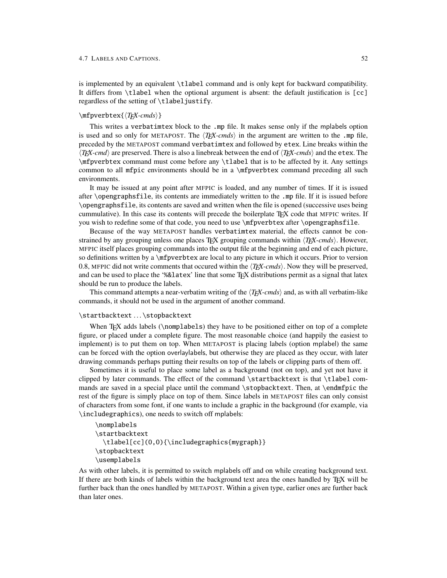is implemented by an equivalent \tlabel command and is only kept for backward compatibility. It differs from \tlabel when the optional argument is absent: the default justification is [cc] regardless of the setting of \tlabeljustify.

## \mfpverbtex{ $\langle TFX-cmds\rangle$ }

This writes a verbatimtex block to the .mp file. It makes sense only if the mplabels option is used and so only for METAPOST. The  $\langle T_{F}X\text{-}cmds\rangle$  in the argument are written to the .mp file, preceded by the METAPOST command verbatimtex and followed by etex. Line breaks within the  $\langle T_{E}X-cmd\rangle$  are preserved. There is also a linebreak between the end of  $\langle T_{E}X-cmd\rangle$  and the etex. The \mfpverbtex command must come before any \tlabel that is to be affected by it. Any settings common to all mfpic environments should be in a \mfpverbtex command preceding all such environments.

It may be issued at any point after MFPIC is loaded, and any number of times. If it is issued after \opengraphsfile, its contents are immediately written to the .mp file. If it is issued before \opengraphsfile, its contents are saved and written when the file is opened (successive uses being cummulative). In this case its contents will precede the boilerplate TEX code that MFPIC writes. If you wish to redefine some of that code, you need to use \mfpverbtex after \opengraphsfile.

Because of the way METAPOST handles verbatimtex material, the effects cannot be constrained by any grouping unless one places T<sub>EX</sub> grouping commands within  $\langle T_{EX-cmds} \rangle$ . However, MFPIC itself places grouping commands into the output file at the beginning and end of each picture, so definitions written by a \mfpverbtex are local to any picture in which it occurs. Prior to version 0.8, MFPIC did not write comments that occured within the  $\langle T_{E}X\text{-}cmds\rangle$ . Now they will be preserved, and can be used to place the '%&latex' line that some T<sub>EX</sub> distributions permit as a signal that latex should be run to produce the labels.

This command attempts a near-verbatim writing of the  $\langle T_{F}X\text{-}cmds\rangle$  and, as with all verbatim-like commands, it should not be used in the argument of another command.

### \startbacktext ...\stopbacktext

When TEX adds labels (\nomplabels) they have to be positioned either on top of a complete figure, or placed under a complete figure. The most reasonable choice (and happily the easiest to implement) is to put them on top. When METAPOST is placing labels (option mplabel) the same can be forced with the option overlaylabels, but otherwise they are placed as they occur, with later drawing commands perhaps putting their results on top of the labels or clipping parts of them off.

Sometimes it is useful to place some label as a background (not on top), and yet not have it clipped by later commands. The effect of the command \startbacktext is that \tlabel commands are saved in a special place until the command \stopbacktext. Then, at \endmfpic the rest of the figure is simply place on top of them. Since labels in METAPOST files can only consist of characters from some font, if one wants to include a graphic in the background (for example, via \includegraphics), one needs to switch off mplabels:

```
\nomplabels
\startbacktext
  \tlabel[cc](0,0){\includegraphics{mygraph}}
\stopbacktext
\usemplabels
```
As with other labels, it is permitted to switch mplabels off and on while creating background text. If there are both kinds of labels within the background text area the ones handled by TEX will be further back than the ones handled by METAPOST. Within a given type, earlier ones are further back than later ones.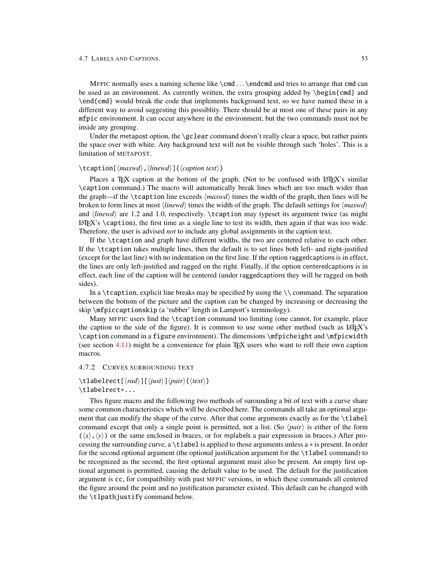MFPIC normally uses a naming scheme like  $\end{math}$ .  $\end{math}$  and tries to arrange that cmd can be used as an environment. As currently written, the extra grouping added by \begin{cmd} and \end{cmd} would break the code that implements background text, so we have named these in a different way to avoid suggesting this possiblity. There should be at most one of these pairs in any mfpic environment. It can occur anywhere in the environment, but the two commands must not be inside any grouping.

Under the metapost option, the \gclear command doesn't really clear a space, but rather paints the space over with white. Any background text will not be visible through such 'holes'. This is a limitation of METAPOST.

## \tcaption[ $\langle maxwd \rangle$ ,  $\langle inewd \rangle$ ]{ $\langle caption \text{ text} \rangle$ }

Places a T<sub>EX</sub> caption at the bottom of the graph. (Not to be confused with LATEX's similar \caption command.) The macro will automatically break lines which are too much wider than the graph—if the  $\text{tcaption}$  time exceeds  $\langle \text{maxwd} \rangle$  times the width of the graph, then lines will be broken to form lines at most  $\langle linear \rangle$  times the width of the graph. The default settings for  $\langle maxwd \rangle$ and  $\langle linear \rangle$  are 1.2 and 1.0, respectively. \tcaption may typeset its argument twice (as might  $LATEX's \ \text{right}$ , the first time as a single line to test its width, then again if that was too wide. Therefore, the user is advised *not* to include any global assignments in the caption text.

If the \tcaption and graph have different widths, the two are centered relative to each other. If the \tcaption takes multiple lines, then the default is to set lines both left- and right-justified (except for the last line) with no indentation on the first line. If the option raggedcaptions is in effect, the lines are only left-justified and ragged on the right. Finally, if the option centeredcaptions is in effect, each line of the caption will be centered (under raggedcaptions they will be ragged on both sides).

In a  $\text{t}$  a  $\text{t}$  is explicit line breaks may be specified by using the  $\text{t}$  command. The separation between the bottom of the picture and the caption can be changed by increasing or decreasing the skip \mfpiccaptionskip (a 'rubber' length in Lamport's terminology).

Many MFPIC users find the \tcaption command too limiting (one cannot, for example, place the caption to the side of the figure). It is common to use some other method (such as LATEX's \caption command in a figure environment). The dimensions \mfpicheight and \mfpicwidth (see section [4.11\)](#page-61-1) might be a convenience for plain TEX users who want to roll their own caption macros.

#### <span id="page-55-0"></span>4.7.2 CURVES SURROUNDING TEXT

## \tlabelrect[ $\langle rad \rangle$ ][ $\langle just \rangle$ ] $\langle pair \rangle$ { $\langle text \rangle$ } \tlabelrect\*...

This figure macro and the following two methods of surounding a bit of text with a curve share some common characteristics which will be described here. The commands all take an optional argument that can modify the shape of the curve. After that come arguments exactly as for the \tlabel command except that only a single point is permitted, not a list. (So  $\langle pair \rangle$  is either of the form  $(\langle x \rangle, \langle y \rangle)$  or the same enclosed in braces, or for mplabels a pair expression in braces.) After processing the surrounding curve, a \tlabel is applied to those arguments unless a \* is present. In order for the second optional argument (the optional justification argument for the \tlabel command) to be recognized as the second, the first optional argument must also be present. An empty first optional argument is permitted, causing the default value to be used. The default for the justification argument is cc, for compatibility with past MFPIC versions, in which these commands all centered the figure around the point and no justification parameter existed. This default can be changed with the \tlpathjustify command below.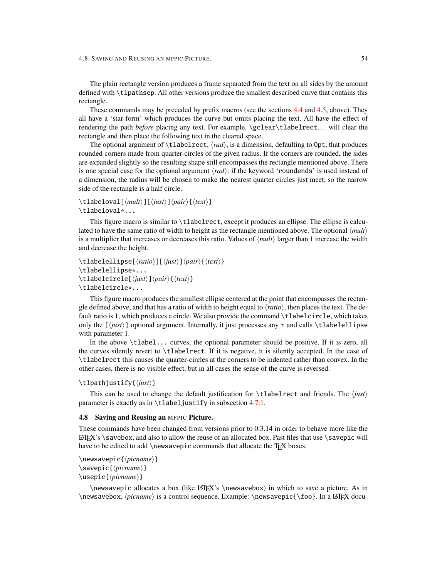4.8 SAVING AND REUSING AN MFPIC PICTURE. 54

The plain rectangle version produces a frame separated from the text on all sides by the amount defined with \tlpathsep. All other versions produce the smallest described curve that contains this rectangle.

These commands may be preceded by prefix macros (see the sections [4.4](#page-31-1) and [4.5,](#page-37-0) above). They all have a 'star-form' which produces the curve but omits placing the text. All have the effect of rendering the path *before* placing any text. For example, \gclear\tlabelrect... will clear the rectangle and then place the following text in the cleared space.

The optional argument of  $\theta$ , tlabelrect,  $\langle rad \rangle$ , is a dimension, defaulting to 0pt, that produces rounded corners made from quarter-circles of the given radius. If the corners are rounded, the sides are expanded slightly so the resulting shape still encompasses the rectangle mentioned above. There is one special case for the optional argument  $\langle rad \rangle$ : if the keyword 'roundends' is used instead of a dimension, the radius will be chosen to make the nearest quarter circles just meet, so the narrow side of the rectangle is a half circle.

## $\tilde{\tau}$  \tlabeloval[ $\langle \text{mult} \rangle$ ][ $\langle \text{post} \rangle$ ] $\langle \text{next} \rangle$ } \tlabeloval\*...

This figure macro is similar to \tlabelrect, except it produces an ellipse. The ellipse is calculated to have the same ratio of width to height as the rectangle mentioned above. The optional  $\langle mult \rangle$ is a multiplier that increases or decreases this ratio. Values of  $\langle mult \rangle$  larger than 1 increase the width and decrease the height.

```
\tlabelellipse[\ratio\][\just\]\/pair\{\text\}
\tlabelellipse*...
\tilde{\tau} \tlabelcircle[\langle just \rangle]\langle pair \rangle{\langle text \rangle}
\tlabelcircle*...
```
This figure macro produces the smallest ellipse centered at the point that encompasses the rectangle defined above, and that has a ratio of width to height equal to  $\langle ratio \rangle$ , then places the text. The default ratio is 1, which produces a circle. We also provide the command \tlabelcircle, which takes only the  $[\langle just \rangle]$  optional argument. Internally, it just processes any  $*$  and calls  $\tilde{\lbrace}$  and calls  $\tilde{\lbrace}$ with parameter 1.

In the above \tlabel... curves, the optional parameter should be positive. If it is zero, all the curves silently revert to \tlabelrect. If it is negative, it is silently accepted. In the case of \tlabelrect this causes the quarter-circles at the corners to be indented rather than convex. In the other cases, there is no visible effect, but in all cases the sense of the curve is reversed.

### \tlpathjustify{\*/just*}}

This can be used to change the default justification for  $\tilde{\text{t}}$  absoluted and friends. The  $\langle just \rangle$ parameter is exactly as in \tlabeljustify in subsection [4.7.1.](#page-51-0)

### 4.8 Saving and Reusing an MFPIC Picture.

These commands have been changed from versions prior to 0.3.14 in order to behave more like the LATEX's \savebox, and also to allow the reuse of an allocated box. Past files that use \savepic will have to be edited to add \newsavepic commands that allocate the TEX boxes.

```
\newsavepic{\picname\}
\savepic{\picname}}
\usepic{\picname\}
```
\newsavepic allocates a box (like LATEX's \newsavebox) in which to save a picture. As in \newsavebox,  $\prime$  is a control sequence. Example: \newsavepic{\foo}. In a LATEX docu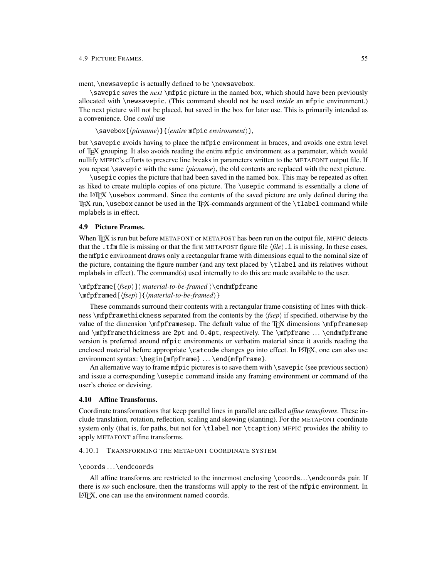ment, \newsavepic is actually defined to be \newsavebox.

\savepic saves the *next* \mfpic picture in the named box, which should have been previously allocated with \newsavepic. (This command should not be used *inside* an mfpic environment.) The next picture will not be placed, but saved in the box for later use. This is primarily intended as a convenience. One *could* use

\savebox{h*picname*i}{h*entire* mfpic *environment*i},

but \savepic avoids having to place the mfpic environment in braces, and avoids one extra level of TEX grouping. It also avoids reading the entire mfpic environment as a parameter, which would nullify MFPIC's efforts to preserve line breaks in parameters written to the METAFONT output file. If you repeat \savepic with the same  $\langle p$ *icname*}, the old contents are replaced with the next picture.

\usepic copies the picture that had been saved in the named box. This may be repeated as often as liked to create multiple copies of one picture. The \usepic command is essentially a clone of the LATEX \usebox command. Since the contents of the saved picture are only defined during the TEX run, \usebox cannot be used in the TEX-commands argument of the \tlabel command while mplabels is in effect.

#### 4.9 Picture Frames.

When T<sub>EX</sub> is run but before METAFONT or METAPOST has been run on the output file, MFPIC detects that the .tfm file is missing or that the first METAPOST figure file  $\langle f \mid l e \rangle$ .1 is missing. In these cases, the mfpic environment draws only a rectangular frame with dimensions equal to the nominal size of the picture, containing the figure number (and any text placed by \tlabel and its relatives without mplabels in effect). The command(s) used internally to do this are made available to the user.

## \mfpframe[ $\frac{\frac{\delta}{\epsilon}}{\mathbf{m}}$ }  $\frac{\delta}{\epsilon}$  $\m{\mathbf{fpramed}[\langle fsep \rangle]\{\langle material-to-be-framed \rangle\}$

These commands surround their contents with a rectangular frame consisting of lines with thickness \mfpframethickness separated from the contents by the  $\langle fsep \rangle$  if specified, otherwise by the value of the dimension \mfpframesep. The default value of the T<sub>EX</sub> dimensions \mfpframesep and \mfpframethickness are 2pt and 0.4pt, respectively. The \mfpframe ... \endmfpframe version is preferred around mfpic environments or verbatim material since it avoids reading the enclosed material before appropriate \catcode changes go into effect. In LATEX, one can also use environment syntax: \begin{mfpframe} ... \end{mfpframe}.

An alternative way to frame mfpic pictures is to save them with  $\simeq$  (see previous section) and issue a corresponding \usepic command inside any framing environment or command of the user's choice or devising.

### 4.10 Affine Transforms.

Coordinate transformations that keep parallel lines in parallel are called *affine transforms*. These include translation, rotation, reflection, scaling and skewing (slanting). For the METAFONT coordinate system only (that is, for paths, but not for \tlabel nor \tcaption) MFPIC provides the ability to apply METAFONT affine transforms.

#### 4.10.1 TRANSFORMING THE METAFONT COORDINATE SYSTEM

#### \coords ...\endcoords

All affine transforms are restricted to the innermost enclosing \coords...\endcoords pair. If there is *no* such enclosure, then the transforms will apply to the rest of the mfpic environment. In LATEX, one can use the environment named coords.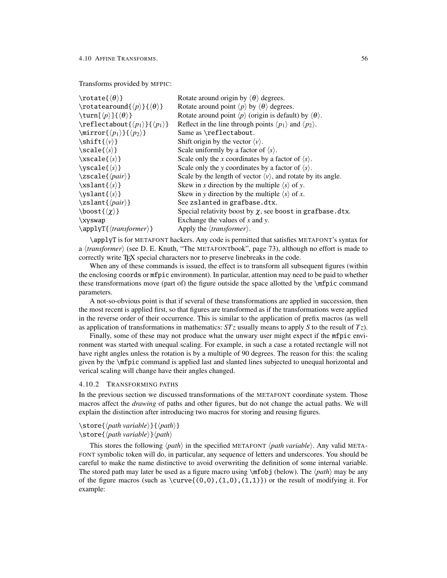## Transforms provided by MFPIC:

| $\text{totate}(\theta)$                                          | Rotate around origin by $\langle \theta \rangle$ degrees.                                 |
|------------------------------------------------------------------|-------------------------------------------------------------------------------------------|
| \rotatearound{ $\langle p \rangle$ }{ $\langle \theta \rangle$ } | Rotate around point $\langle p \rangle$ by $\langle \theta \rangle$ degrees.              |
| \turn[ $\langle p \rangle$ ]{ $\langle \theta \rangle$ }         | Rotate around point $\langle p \rangle$ (origin is default) by $\langle \theta \rangle$ . |
| $\reflect about {\langle p_1 \rangle}{\langle p_1 \rangle}$      | Reflect in the line through points $\langle p_1 \rangle$ and $\langle p_2 \rangle$ .      |
| \mirror{ $\langle p_1 \rangle$ }{ $\langle p_2 \rangle$ }        | Same as \reflectabout.                                                                    |
| $\hbox{shift}\{\langle\nu\rangle\}$                              | Shift origin by the vector $\langle v \rangle$ .                                          |
| $\setminus scale\{\langle s\rangle\}$                            | Scale uniformly by a factor of $\langle s \rangle$ .                                      |
| $\xscale\{\langle s \rangle\}$                                   | Scale only the x coordinates by a factor of $\langle s \rangle$ .                         |
| $\setminus$ yscale $\{\langle s \rangle\}$                       | Scale only the y coordinates by a factor of $\langle s \rangle$ .                         |
| $\xscale{\langle pair\rangle\}$                                  | Scale by the length of vector $\langle v \rangle$ , and rotate by its angle.              |
| $xslant\{\langle s\rangle\}$                                     | Skew in x direction by the multiple $\langle s \rangle$ of y.                             |
| \yslant{ $\langle s \rangle$ }                                   | Skew in y direction by the multiple $\langle s \rangle$ of x.                             |
| $\zeta$ \zslant $\{\langle pair \rangle\}$                       | See zslanted in grafbase.dtx.                                                             |
| \boost $\{\langle \chi \rangle\}$                                | Special relativity boost by $\chi$ , see boost in grafbase.dtx.                           |
| \xyswap                                                          | Exchange the values of $x$ and $y$ .                                                      |
| $\apph{\gamma {\langle} transformer{\rangle}}$                   | Apply the $\langle transformer \rangle$ .                                                 |
|                                                                  |                                                                                           |

\applyT is for METAFONT hackers. Any code is permitted that satisfies METAFONT's syntax for a *\transformer*} (see D. E. Knuth, "The METAFONTbook", page 73), although no effort is made to correctly write T<sub>E</sub>X special characters nor to preserve linebreaks in the code.

When any of these commands is issued, the effect is to transform all subsequent figures (within the enclosing coords or mfpic environment). In particular, attention may need to be paid to whether these transformations move (part of) the figure outside the space allotted by the \mfpic command parameters.

A not-so-obvious point is that if several of these transformations are applied in succession, then the most recent is applied first, so that figures are transformed as if the transformations were applied in the reverse order of their occurrence. This is similar to the application of prefix macros (as well as application of transformations in mathematics: *ST z* usually means to apply *S* to the result of *T z*).

Finally, some of these may not produce what the unwary user might expect if the mfpic environment was started with unequal scaling. For example, in such a case a rotated rectangle will not have right angles unless the rotation is by a multiple of 90 degrees. The reason for this: the scaling given by the \mfpic command is applied last and slanted lines subjected to unequal horizontal and verical scaling will change have their angles changed.

### <span id="page-58-0"></span>4.10.2 TRANSFORMING PATHS

In the previous section we discussed transformations of the METAFONT coordinate system. Those macros affect the *drawing* of paths and other figures, but do not change the actual paths. We will explain the distinction after introducing two macros for storing and reusing figures.

## \store{*\path variable*}}{*\path*}}

## $\setminus$ store $\{\langle path\ variable \rangle\}\langle path \rangle$

This stores the following  $\langle path \rangle$  in the specified METAFONT  $\langle path \rangle$  *variable*). Any valid META-FONT symbolic token will do, in particular, any sequence of letters and underscores. You should be careful to make the name distinctive to avoid overwriting the definition of some internal variable. The stored path may later be used as a figure macro using  $\mathcal{m}$ fobj (below). The  $\langle path \rangle$  may be any of the figure macros (such as  $\curlyvee(\lbrace 0,0 \rbrace, \lbrace 1,0 \rbrace, \lbrace 1,1 \rbrace)$  or the result of modifying it. For example: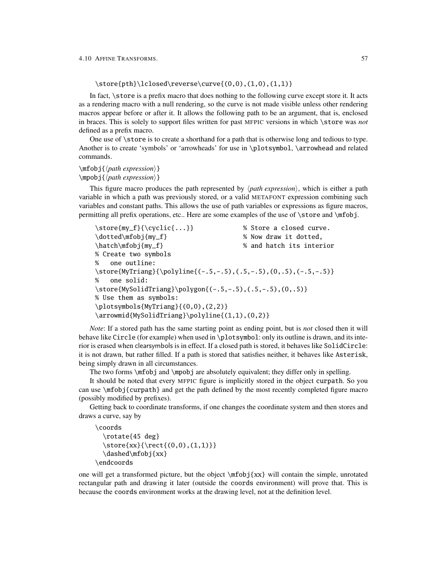## $\store{pth}\lclose\$ reverse $curve{(0,0),(1,0),(1,1)}$

In fact, \store is a prefix macro that does nothing to the following curve except store it. It acts as a rendering macro with a null rendering, so the curve is not made visible unless other rendering macros appear before or after it. It allows the following path to be an argument, that is, enclosed in braces. This is solely to support files written for past MFPIC versions in which \store was *not* defined as a prefix macro.

One use of \store is to create a shorthand for a path that is otherwise long and tedious to type. Another is to create 'symbols' or 'arrowheads' for use in \plotsymbol, \arrowhead and related commands.

## $\in$ fobj $\{\phi\}$ *k*  $\m{path expression}$

This figure macro produces the path represented by  $\langle path \, expression \rangle$ , which is either a path variable in which a path was previously stored, or a valid METAFONT expression combining such variables and constant paths. This allows the use of path variables or expressions as figure macros, permitting all prefix operations, etc.. Here are some examples of the use of \store and \mfobj.

```
\store{my_f}{\cyclic{...}} % Store a closed curve.
\dotted\mfobj{my_f} % Now draw it dotted,
\hatch\mfobj{my_f} % and hatch its interior
% Create two symbols
% one outline:
\store{MyTriang}{\polyline{(-.5,-.5),(.5,-.5),(0,.5),(-.5,-.5)}
% one solid:
\store{MySolidTriang}\polygon{(-.5,-.5),(.5,-.5),(0,.5)}
% Use them as symbols:
\plotsymbols{MyTriang}{(0,0),(2,2)}
\arrowmid{MySolidTriang}\polyline{(1,1),(0,2)}
```
*Note*: If a stored path has the same starting point as ending point, but is *not* closed then it will behave like Circle (for example) when used in \plotsymbol: only its outline is drawn, and its interior is erased when clearsymbols is in effect. If a closed path is stored, it behaves like SolidCircle: it is not drawn, but rather filled. If a path is stored that satisfies neither, it behaves like Asterisk, being simply drawn in all circumstances.

The two forms \mfobj and \mpobj are absolutely equivalent; they differ only in spelling.

It should be noted that every MFPIC figure is implicitly stored in the object curpath. So you can use \mfobj{curpath} and get the path defined by the most recently completed figure macro (possibly modified by prefixes).

Getting back to coordinate transforms, if one changes the coordinate system and then stores and draws a curve, say by

```
\coords
  \rotate{45 deg}
  \left\{xx\{\text{(0,0), (1,1)}\}\right\}\dashed\mfobj{xx}
\endcoords
```
one will get a transformed picture, but the object  $\m{xx}$  will contain the simple, unrotated rectangular path and drawing it later (outside the coords environment) will prove that. This is because the coords environment works at the drawing level, not at the definition level.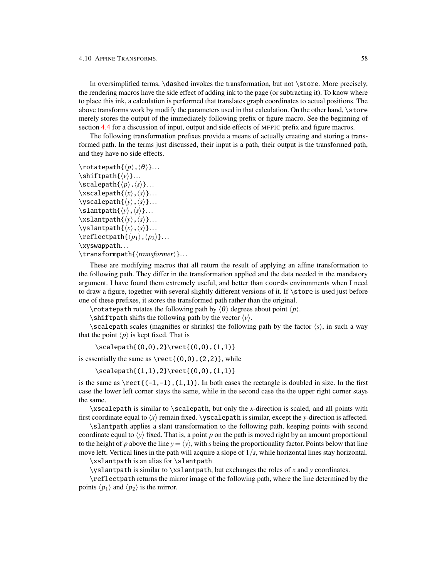In oversimplified terms, \dashed invokes the transformation, but not \store. More precisely, the rendering macros have the side effect of adding ink to the page (or subtracting it). To know where to place this ink, a calculation is performed that translates graph coordinates to actual positions. The above transforms work by modify the parameters used in that calculation. On the other hand, \store merely stores the output of the immediately following prefix or figure macro. See the beginning of section [4.4](#page-31-1) for a discussion of input, output and side effects of MFPIC prefix and figure macros.

The following transformation prefixes provide a means of actually creating and storing a transformed path. In the terms just discussed, their input is a path, their output is the transformed path, and they have no side effects.

```
\cdot \cdot \cdot \cdot h\{\langle p\rangle, \langle \theta \rangle\}.\shiftpath{\langle v \rangle}...
\setminusscalepath\{\langle p\rangle, \langle s\rangle\}....
\xscalepath{\langle x\rangle, \langle s\rangle}....
\forallyscalepath\{\langle y \rangle, \langle s \rangle\}....
\lambda\slantpath{\langle y \rangle,\langle s \rangle}...
\x\s1antpath\{\langle y\rangle, \langle s\rangle\}....
\yslantslantpath\{\langle x\rangle, \langle s\rangle\}....
\reflectpath{\langle p_1\rangle, \langle p_2\rangle}....
\xyswappath...
```
\transformpath{\*transformer*}}...

These are modifying macros that all return the result of applying an affine transformation to the following path. They differ in the transformation applied and the data needed in the mandatory argument. I have found them extremely useful, and better than coords environments when I need to draw a figure, together with several slightly different versions of it. If \store is used just before one of these prefixes, it stores the transformed path rather than the original.

\rotatepath rotates the following path by  $\langle \theta \rangle$  degrees about point  $\langle p \rangle$ .

\shiftpath shifts the following path by the vector  $\langle v \rangle$ .

\scalepath scales (magnifies or shrinks) the following path by the factor  $\langle s \rangle$ , in such a way that the point  $\langle p \rangle$  is kept fixed. That is

\scalepath{(0,0),2}\rect{(0,0),(1,1)}

is essentially the same as  $\rect{(0,0), (2,2)}$ , while

\scalepath{(1,1),2}\rect{(0,0),(1,1)}

is the same as  $\rect{(-1,-1),(1,1)}$ . In both cases the rectangle is doubled in size. In the first case the lower left corner stays the same, while in the second case the the upper right corner stays the same.

\xscalepath is similar to \scalepath, but only the *x*-direction is scaled, and all points with first coordinate equal to  $\langle x \rangle$  remain fixed. \yscalepath is similar, except the *y*-direction is affected.

\slantpath applies a slant transformation to the following path, keeping points with second coordinate equal to  $\langle y \rangle$  fixed. That is, a point p on the path is moved right by an amount proportional to the height of *p* above the line  $y = \langle y \rangle$ , with *s* being the proportionality factor. Points below that line move left. Vertical lines in the path will acquire a slope of 1/*s*, while horizontal lines stay horizontal.

\xslantpath is an alias for \slantpath

\yslantpath is similar to \xslantpath, but exchanges the roles of *x* and *y* coordinates.

\reflectpath returns the mirror image of the following path, where the line determined by the points  $\langle p_1 \rangle$  and  $\langle p_2 \rangle$  is the mirror.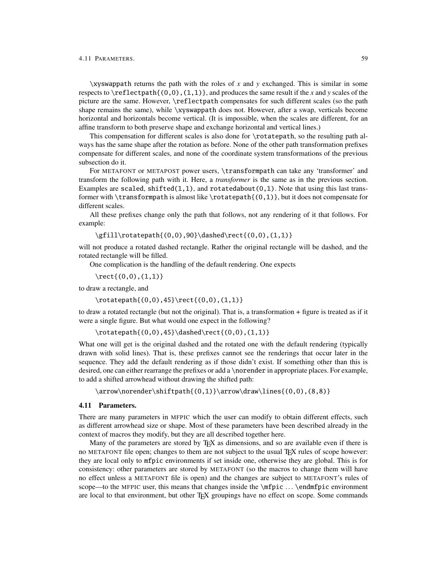\xyswappath returns the path with the roles of *x* and *y* exchanged. This is similar in some respects to  $\refleftarrow(0,0)$ ,  $(1,1)$ , and produces the same result if the *x* and *y* scales of the picture are the same. However, \reflectpath compensates for such different scales (so the path shape remains the same), while \xyswappath does not. However, after a swap, verticals become horizontal and horizontals become vertical. (It is impossible, when the scales are different, for an affine transform to both preserve shape and exchange horizontal and vertical lines.)

This compensation for different scales is also done for \rotatepath, so the resulting path always has the same shape after the rotation as before. None of the other path transformation prefixes compensate for different scales, and none of the coordinate system transformations of the previous subsection do it.

For METAFONT or METAPOST power users, \transformpath can take any 'transformer' and transform the following path with it. Here, a *transformer* is the same as in the previous section. Examples are scaled, shifted $(1,1)$ , and rotatedabout $(0,1)$ . Note that using this last transformer with \transformpath is almost like \rotatepath{ $(0,1)$ }, but it does not compensate for different scales.

All these prefixes change only the path that follows, not any rendering of it that follows. For example:

\gfill\rotatepath{(0,0),90}\dashed\rect{(0,0),(1,1)}

will not produce a rotated dashed rectangle. Rather the original rectangle will be dashed, and the rotated rectangle will be filled.

One complication is the handling of the default rendering. One expects

 $\text{(0,0),(1,1)}$ 

to draw a rectangle, and

```
\rotatepath{(0,0),45}\rect{(0,0),(1,1)}
```
to draw a rotated rectangle (but not the original). That is, a transformation + figure is treated as if it were a single figure. But what would one expect in the following?

\rotatepath{(0,0),45}\dashed\rect{(0,0),(1,1)}

What one will get is the original dashed and the rotated one with the default rendering (typically drawn with solid lines). That is, these prefixes cannot see the renderings that occur later in the sequence. They add the default rendering as if those didn't exist. If something other than this is desired, one can either rearrange the prefixes or add a \norender in appropriate places. For example, to add a shifted arrowhead without drawing the shifted path:

<span id="page-61-0"></span>\arrow\norender\shiftpath{(0,1)}\arrow\draw\lines{(0,0),(8,8)}

#### <span id="page-61-1"></span>4.11 Parameters.

There are many parameters in MFPIC which the user can modify to obtain different effects, such as different arrowhead size or shape. Most of these parameters have been described already in the context of macros they modify, but they are all described together here.

Many of the parameters are stored by TEX as dimensions, and so are available even if there is no METAFONT file open; changes to them are not subject to the usual TEX rules of scope however: they are local only to mfpic environments if set inside one, otherwise they are global. This is for consistency: other parameters are stored by METAFONT (so the macros to change them will have no effect unless a METAFONT file is open) and the changes are subject to METAFONT's rules of scope—to the MFPIC user, this means that changes inside the \mfpic ... \endmfpic environment are local to that environment, but other T<sub>EX</sub> groupings have no effect on scope. Some commands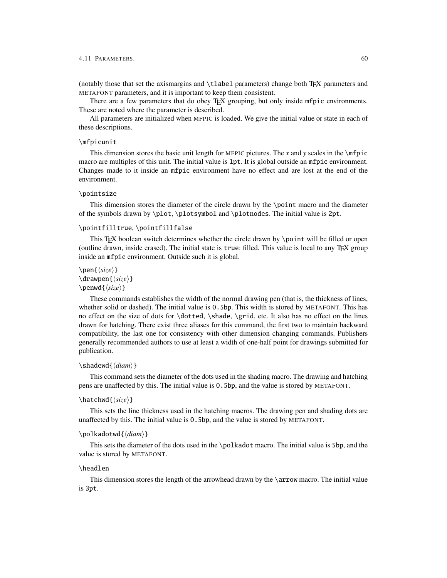#### 4.11 PARAMETERS. 60

(notably those that set the axismargins and \tlabel parameters) change both TEX parameters and METAFONT parameters, and it is important to keep them consistent.

There are a few parameters that do obey T<sub>EX</sub> grouping, but only inside mfpic environments. These are noted where the parameter is described.

All parameters are initialized when MFPIC is loaded. We give the initial value or state in each of these descriptions.

### \mfpicunit

This dimension stores the basic unit length for MFPIC pictures. The *x* and *y* scales in the \mfpic macro are multiples of this unit. The initial value is 1pt. It is global outside an mfpic environment. Changes made to it inside an mfpic environment have no effect and are lost at the end of the environment.

## \pointsize

This dimension stores the diameter of the circle drawn by the \point macro and the diameter of the symbols drawn by \plot, \plotsymbol and \plotnodes. The initial value is 2pt.

### \pointfilltrue, \pointfillfalse

This TEX boolean switch determines whether the circle drawn by \point will be filled or open (outline drawn, inside erased). The initial state is true: filled. This value is local to any TEX group inside an mfpic environment. Outside such it is global.

```
\pen\langle size \rangle}
\langledrawpen\{\langle size \rangle\}\penwd{\langle size \rangle}
```
These commands establishes the width of the normal drawing pen (that is, the thickness of lines, whether solid or dashed). The initial value is 0.5bp. This width is stored by METAFONT. This has no effect on the size of dots for \dotted, \shade, \grid, etc. It also has no effect on the lines drawn for hatching. There exist three aliases for this command, the first two to maintain backward compatibility, the last one for consistency with other dimension changing commands. Publishers generally recommended authors to use at least a width of one-half point for drawings submitted for publication.

#### \shadewd{\diam\}

This command sets the diameter of the dots used in the shading macro. The drawing and hatching pens are unaffected by this. The initial value is 0.5bp, and the value is stored by METAFONT.

#### $\hat{\langle size \rangle}$

This sets the line thickness used in the hatching macros. The drawing pen and shading dots are unaffected by this. The initial value is 0.5bp, and the value is stored by METAFONT.

## \polkadotwd{\*diam*}}

This sets the diameter of the dots used in the \polkadot macro. The initial value is 5bp, and the value is stored by METAFONT.

### \headlen

This dimension stores the length of the arrowhead drawn by the \arrow macro. The initial value is 3pt.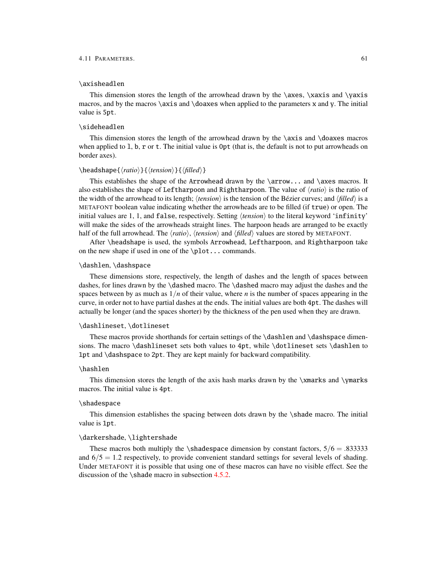#### 4.11 PARAMETERS. 61

## \axisheadlen

This dimension stores the length of the arrowhead drawn by the  $\a$ xes,  $\x$ xis and  $\ya$ xis macros, and by the macros  $\a$ xis and  $\do$ axes when applied to the parameters x and y. The initial value is 5pt.

#### \sideheadlen

This dimension stores the length of the arrowhead drawn by the  $\a$ xis and  $\da$ xes macros when applied to 1, b, r or t. The initial value is 0pt (that is, the default is not to put arrowheads on border axes).

## $\begin{cases} \frac{\langle ratio \rangle}{\langle tension \rangle}{\langle filled \rangle}$

This establishes the shape of the Arrowhead drawn by the \arrow... and \axes macros. It also establishes the shape of Leftharpoon and Rightharpoon. The value of  $\langle ratio \rangle$  is the ratio of the width of the arrowhead to its length;  $\langle tension \rangle$  is the tension of the Bézier curves; and  $\langle filled \rangle$  is a METAFONT boolean value indicating whether the arrowheads are to be filled (if true) or open. The initial values are 1, 1, and false, respectively. Setting  $\langle tension \rangle$  to the literal keyword 'infinity' will make the sides of the arrowheads straight lines. The harpoon heads are arranged to be exactly half of the full arrowhead. The  $\langle ratio \rangle$ ,  $\langle tension \rangle$  and  $\langle filled \rangle$  values are stored by METAFONT.

After \headshape is used, the symbols Arrowhead, Leftharpoon, and Rightharpoon take on the new shape if used in one of the \plot... commands.

#### \dashlen, \dashspace

These dimensions store, respectively, the length of dashes and the length of spaces between dashes, for lines drawn by the \dashed macro. The \dashed macro may adjust the dashes and the spaces between by as much as  $1/n$  of their value, where *n* is the number of spaces appearing in the curve, in order not to have partial dashes at the ends. The initial values are both 4pt. The dashes will actually be longer (and the spaces shorter) by the thickness of the pen used when they are drawn.

#### \dashlineset, \dotlineset

These macros provide shorthands for certain settings of the \dashlen and \dashspace dimensions. The macro \dashlineset sets both values to 4pt, while \dotlineset sets \dashlen to 1pt and \dashspace to 2pt. They are kept mainly for backward compatibility.

### \hashlen

This dimension stores the length of the axis hash marks drawn by the  $\times$  and  $\times$ macros. The initial value is 4pt.

#### \shadespace

This dimension establishes the spacing between dots drawn by the \shade macro. The initial value is 1pt.

### \darkershade, \lightershade

These macros both multiply the \shadespace dimension by constant factors,  $5/6 = .833333$ and  $6/5 = 1.2$  respectively, to provide convenient standard settings for several levels of shading. Under METAFONT it is possible that using one of these macros can have no visible effect. See the discussion of the \shade macro in subsection [4.5.2.](#page-39-0)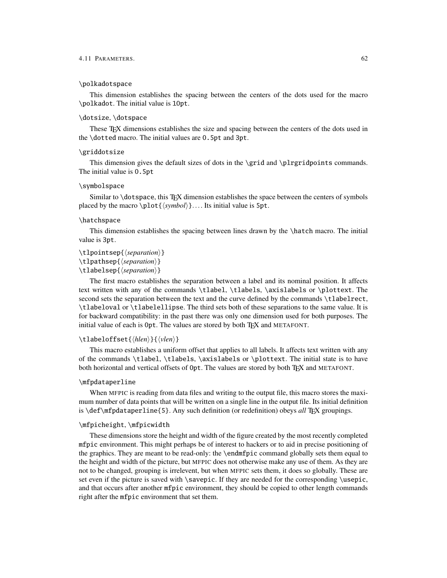### \polkadotspace

This dimension establishes the spacing between the centers of the dots used for the macro \polkadot. The initial value is 10pt.

## \dotsize, \dotspace

These TEX dimensions establishes the size and spacing between the centers of the dots used in the \dotted macro. The initial values are 0.5pt and 3pt.

### \griddotsize

This dimension gives the default sizes of dots in the \grid and \plrgridpoints commands. The initial value is 0.5pt

#### \symbolspace

Similar to \dotspace, this TEX dimension establishes the space between the centers of symbols placed by the macro \plot { $\langle symbol \rangle$  }.... Its initial value is 5pt.

## \hatchspace

This dimension establishes the spacing between lines drawn by the \hatch macro. The initial value is 3pt.

```
\tlpointsep{\langle separation \rangle}
```
\tlpathsep{ $\langle separation \rangle$ }

\tlabelsep{*\separation*}}

The first macro establishes the separation between a label and its nominal position. It affects text written with any of the commands \tlabel, \tlabels, \axislabels or \plottext. The second sets the separation between the text and the curve defined by the commands \tlabelrect, \tlabeloval or \tlabelellipse. The third sets both of these separations to the same value. It is for backward compatibility: in the past there was only one dimension used for both purposes. The initial value of each is 0pt. The values are stored by both TEX and METAFONT.

### \tlabeloffset{*\hlen*}}{*\vlen*}}

This macro establishes a uniform offset that applies to all labels. It affects text written with any of the commands \tlabel, \tlabels, \axislabels or \plottext. The initial state is to have both horizontal and vertical offsets of 0pt. The values are stored by both T<sub>EX</sub> and METAFONT.

## \mfpdataperline

When MFPIC is reading from data files and writing to the output file, this macro stores the maximum number of data points that will be written on a single line in the output file. Its initial definition is \def\mfpdataperline{5}. Any such definition (or redefinition) obeys *all* TEX groupings.

#### \mfpicheight, \mfpicwidth

These dimensions store the height and width of the figure created by the most recently completed mfpic environment. This might perhaps be of interest to hackers or to aid in precise positioning of the graphics. They are meant to be read-only: the \endmfpic command globally sets them equal to the height and width of the picture, but MFPIC does not otherwise make any use of them. As they are not to be changed, grouping is irrelevent, but when MFPIC sets them, it does so globally. These are set even if the picture is saved with  $\simeq$  If they are needed for the corresponding  $\u$ epic, and that occurs after another mfpic environment, they should be copied to other length commands right after the mfpic environment that set them.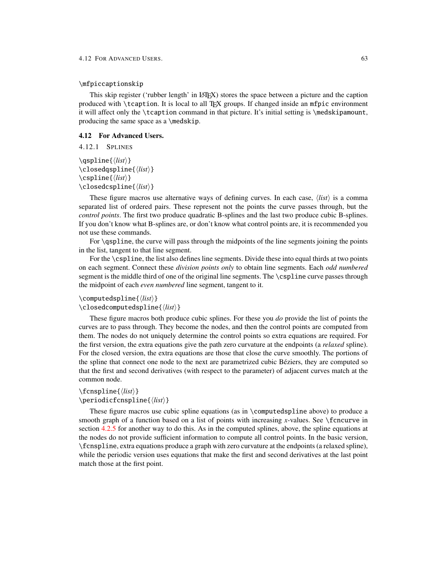## \mfpiccaptionskip

This skip register ('rubber length' in LATEX) stores the space between a picture and the caption produced with \tcaption. It is local to all TEX groups. If changed inside an mfpic environment it will affect only the \tcaption command in that picture. It's initial setting is \medskipamount, producing the same space as a \medskip.

### 4.12 For Advanced Users.

4.12.1 SPLINES

 $\qquad$ \closedqspline{ $\langle$ *list*}}  $\cosh\left(\frac{llist}{\right)}$  $\label{cl}$  \closedcspline{ $\langle$ *list*}}

These figure macros use alternative ways of defining curves. In each case,  $\langle list \rangle$  is a comma separated list of ordered pairs. These represent not the points the curve passes through, but the *control points*. The first two produce quadratic B-splines and the last two produce cubic B-splines. If you don't know what B-splines are, or don't know what control points are, it is recommended you not use these commands.

For \qspline, the curve will pass through the midpoints of the line segments joining the points in the list, tangent to that line segment.

For the \cspline, the list also defines line segments. Divide these into equal thirds at two points on each segment. Connect these *division points only* to obtain line segments. Each *odd numbered* segment is the middle third of one of the original line segments. The \cspline curve passes through the midpoint of each *even numbered* line segment, tangent to it.

## $\text{computedspline}\{\langle list \rangle\}$  $\label{cl}$  \closedcomputedspline{ $\langle list \rangle$  }

These figure macros both produce cubic splines. For these you *do* provide the list of points the curves are to pass through. They become the nodes, and then the control points are computed from them. The nodes do not uniquely determine the control points so extra equations are required. For the first version, the extra equations give the path zero curvature at the endpoints (a *relaxed* spline). For the closed version, the extra equations are those that close the curve smoothly. The portions of the spline that connect one node to the next are parametrized cubic Béziers, they are computed so that the first and second derivatives (with respect to the parameter) of adjacent curves match at the common node.

## $\frac{\langle list \rangle}{\langle}$  $\perp$ eriodicfcnspline{ $\langle$ *list*}}

These figure macros use cubic spline equations (as in \computedspline above) to produce a smooth graph of a function based on a list of points with increasing *x*-values. See \function in section [4.2.5](#page-25-0) for another way to do this. As in the computed splines, above, the spline equations at the nodes do not provide sufficient information to compute all control points. In the basic version, \fcnspline, extra equations produce a graph with zero curvature at the endpoints (a relaxed spline), while the periodic version uses equations that make the first and second derivatives at the last point match those at the first point.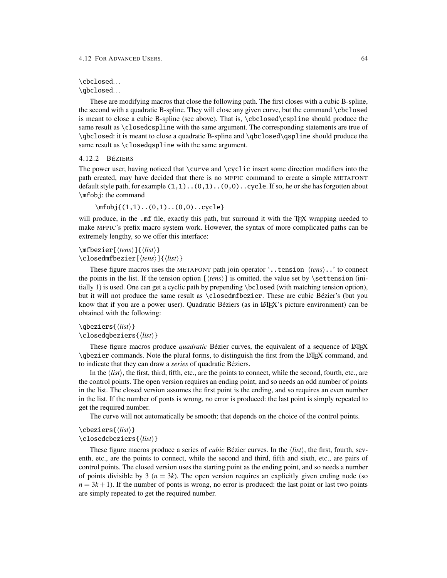#### 4.12 FOR ADVANCED USERS. 64

### \cbclosed...

\qbclosed...

These are modifying macros that close the following path. The first closes with a cubic B-spline, the second with a quadratic B-spline. They will close any given curve, but the command \cbclosed is meant to close a cubic B-spline (see above). That is, \cbclosed\cspline should produce the same result as \closedcspline with the same argument. The corresponding statements are true of \qbclosed: it is meant to close a quadratic B-spline and \qbclosed\qspline should produce the same result as \closedqspline with the same argument.

## 4.12.2 BÉZIERS

The power user, having noticed that \curve and \cyclic insert some direction modifiers into the path created, may have decided that there is no MFPIC command to create a simple METAFONT default style path, for example  $(1,1)$ .. $(0,1)$ ... $(0,0)$ ...cycle. If so, he or she has forgotten about \mfobj: the command

 $\mbox{mb}_i$ {(1,1)..(0,1)..(0,0)..cycle}

will produce, in the .mf file, exactly this path, but surround it with the T<sub>E</sub>X wrapping needed to make MFPIC's prefix macro system work. However, the syntax of more complicated paths can be extremely lengthy, so we offer this interface:

## $\in$ fbezier[ $\langle tens \rangle$ ]{ $\langle list \rangle$ } \closedmfbezier[\*tens*\]{\*list*\}

These figure macros uses the METAFONT path join operator  $\cdot$ ...tension  $\langle tens \rangle$ ...' to connect the points in the list. If the tension option  $\langle \text{tens} \rangle$  is omitted, the value set by  $\setminus$  settension (initially 1) is used. One can get a cyclic path by prepending \bclosed (with matching tension option), but it will not produce the same result as \closedmfbezier. These are cubic Bézier's (but you know that if you are a power user). Quadratic Béziers (as in LATEX's picture environment) can be obtained with the following:

\qbeziers{\*list*}}

\closedqbeziers{ $\langle$ *list*}}

These figure macros produce *quadratic* Bézier curves, the equivalent of a sequence of LATEX \qbezier commands. Note the plural forms, to distinguish the first from the LATEX command, and to indicate that they can draw a *series* of quadratic Béziers.

In the  $\langle list \rangle$ , the first, third, fifth, etc., are the points to connect, while the second, fourth, etc., are the control points. The open version requires an ending point, and so needs an odd number of points in the list. The closed version assumes the first point is the ending, and so requires an even number in the list. If the number of ponts is wrong, no error is produced: the last point is simply repeated to get the required number.

The curve will not automatically be smooth; that depends on the choice of the control points.

\cbeziers{\*list*}}

## \closedcbeziers{\*list*}}

These figure macros produce a series of *cubic* Bézier curves. In the  $\langle list \rangle$ , the first, fourth, seventh, etc., are the points to connect, while the second and third, fifth and sixth, etc., are pairs of control points. The closed version uses the starting point as the ending point, and so needs a number of points divisible by 3 ( $n = 3k$ ). The open version requires an explicitly given ending node (so  $n = 3k + 1$ ). If the number of ponts is wrong, no error is produced: the last point or last two points are simply repeated to get the required number.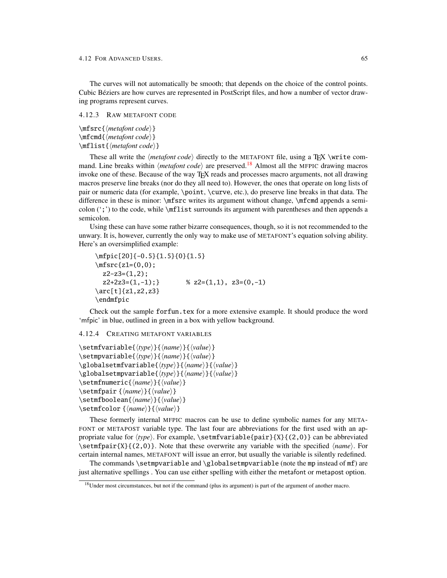The curves will not automatically be smooth; that depends on the choice of the control points. Cubic Béziers are how curves are represented in PostScript files, and how a number of vector drawing programs represent curves.

4.12.3 RAW METAFONT CODE

 $\{\mathsf{} \cdot \mathsf{code}\}$  $\mathbf{h}$  (*metafont code*) }  $\mathbf{h}$ flist $\mathbf{h}$ *mf*list $\mathbf{h}$ 

These all write the  $\langle \text{metafont code} \rangle$  directly to the METAFONT file, using a T<sub>EX</sub> \write command. Line breaks within *(metafont code)* are preserved.<sup>[18](#page-67-1)</sup> Almost all the MFPIC drawing macros invoke one of these. Because of the way T<sub>EX</sub> reads and processes macro arguments, not all drawing macros preserve line breaks (nor do they all need to). However, the ones that operate on long lists of pair or numeric data (for example, \point, \curve, etc.), do preserve line breaks in that data. The difference in these is minor: \mfsrc writes its argument without change, \mfcmd appends a semicolon  $(\cdot;')$  to the code, while \mflist surrounds its argument with parentheses and then appends a semicolon.

Using these can have some rather bizarre consequences, though, so it is not recommended to the unwary. It is, however, currently the only way to make use of METAFONT's equation solving ability. Here's an oversimplified example:

```
\mfpic[20]{-0.5}{1.5}{0}{1.5}
\infsrc{z1=(0,0)};
 z2-z3=(1,2);
 z2+2z3=(1,-1); % z2=(1,1), z3=(0,-1)\arc[t]{z1,z2,z3}
\endmfpic
```
Check out the sample forfun.tex for a more extensive example. It should produce the word 'mfpic' in blue, outlined in green in a box with yellow background.

#### <span id="page-67-0"></span>4.12.4 CREATING METAFONT VARIABLES

```
\setmfvariable{\type}}{\name}}{\value}}
\setmpvariable{\langle type \rangle}{\langle name \rangle}{\langle value \rangle}
\globalsetmfvariable{\langle type \rangle}{\langle name \rangle}{\langle value \rangle}
\globalsetmpvariable{\langle type \rangle}{\langle name \rangle}{\langle value \rangle}
\setmfnumeric{\name}}{\value}}
\setminussetmfpair {\langle name \rangle}{\langle value \rangle}
\setmfboolean{\name}}{\value}}
\setmfcolor {\name}}{\value}}
```
These formerly internal MFPIC macros can be use to define symbolic names for any META-FONT or METAPOST variable type. The last four are abbreviations for the first used with an appropriate value for  $\langle type \rangle$ . For example,  $\setminus \setminus \{ \geq p$ air}{X}{(2,0)} can be abbreviated \setmfpair{X}{(2,0)}. Note that these overwrite any variable with the specified h*name*i. For certain internal names, METAFONT will issue an error, but usually the variable is silently redefined.

The commands \setmpvariable and \globalsetmpvariable (note the mp instead of mf) are just alternative spellings . You can use either spelling with either the metafont or metapost option.

<span id="page-67-1"></span><sup>&</sup>lt;sup>18</sup>Under most circumstances, but not if the command (plus its argument) is part of the argument of another macro.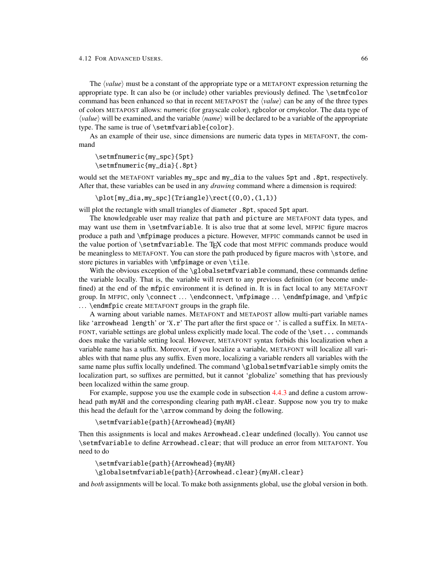The *(value)* must be a constant of the appropriate type or a METAFONT expression returning the appropriate type. It can also be (or include) other variables previously defined. The \setmfcolor command has been enhanced so that in recent METAPOST the  $\langle value \rangle$  can be any of the three types of colors METAPOST allows: numeric (for grayscale color), rgbcolor or cmykcolor. The data type of  $\langle value \rangle$  will be examined, and the variable  $\langle name \rangle$  will be declared to be a variable of the appropriate type. The same is true of \setmfvariable{color}.

As an example of their use, since dimensions are numeric data types in METAFONT, the command

```
\setmfnumeric{my_spc}{5pt}
\setmfnumeric{my_dia}{.8pt}
```
would set the METAFONT variables my\_spc and my\_dia to the values 5pt and .8pt, respectively. After that, these variables can be used in any *drawing* command where a dimension is required:

\plot[my\_dia,my\_spc]{Triangle}\rect{(0,0),(1,1)}

will plot the rectangle with small triangles of diameter .8pt, spaced 5pt apart.

The knowledgeable user may realize that path and picture are METAFONT data types, and may want use them in \setmfvariable. It is also true that at some level, MFPIC figure macros produce a path and \mfpimage produces a picture. However, MFPIC commands cannot be used in the value portion of \setmfvariable. The TFX code that most MFPIC commands produce would be meaningless to METAFONT. You can store the path produced by figure macros with \store, and store pictures in variables with \mfpimage or even \tile.

With the obvious exception of the  $\qquad$ clobalsetmfvariable command, these commands define the variable locally. That is, the variable will revert to any previous definition (or become undefined) at the end of the mfpic environment it is defined in. It is in fact local to any METAFONT group. In MFPIC, only \connect ... \endconnect, \mfpimage ... \endmfpimage, and \mfpic ... \endmfpic create METAFONT groups in the graph file.

A warning about variable names. METAFONT and METAPOST allow multi-part variable names like 'arrowhead length' or 'X.r' The part after the first space or '.' is called a suffix. In META-FONT, variable settings are global unless explicitly made local. The code of the \set... commands does make the variable setting local. However, METAFONT syntax forbids this localization when a variable name has a suffix. Moreover, if you localize a variable, METAFONT will localize all variables with that name plus any suffix. Even more, localizing a variable renders all variables with the same name plus suffix locally undefined. The command \globalsetmfvariable simply omits the localization part, so suffixes are permitted, but it cannot 'globalize' something that has previously been localized within the same group.

For example, suppose you use the example code in subsection [4.4.3](#page-35-0) and define a custom arrowhead path myAH and the corresponding clearing path myAH.clear. Suppose now you try to make this head the default for the \arrow command by doing the following.

\setmfvariable{path}{Arrowhead}{myAH}

Then this assignments is local and makes Arrowhead.clear undefined (locally). You cannot use \setmfvariable to define Arrowhead.clear; that will produce an error from METAFONT. You need to do

\setmfvariable{path}{Arrowhead}{myAH}

\globalsetmfvariable{path}{Arrowhead.clear}{myAH.clear}

and *both* assignments will be local. To make both assignments global, use the global version in both.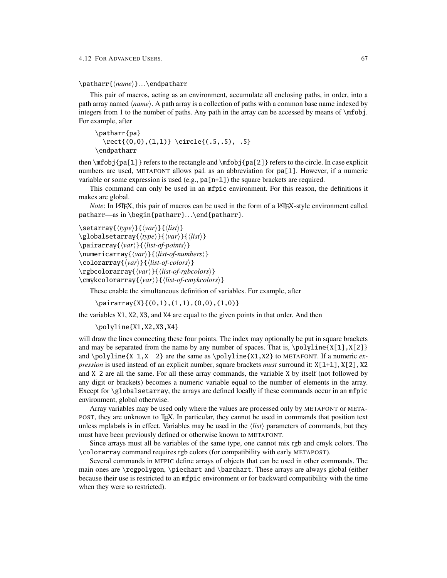\patharr{\*name*}}...\endpatharr

This pair of macros, acting as an environment, accumulate all enclosing paths, in order, into a path array named  $\langle name \rangle$ . A path array is a collection of paths with a common base name indexed by integers from 1 to the number of paths. Any path in the array can be accessed by means of \mfobj. For example, after

```
\patharr{pa}
  \text{(0,0),(1,1)} \; \circle{(.5,.5), .5}\endpatharr
```
then \mfobj{pa[1]} refers to the rectangle and \mfobj{pa[2]} refers to the circle. In case explicit numbers are used, METAFONT allows pa1 as an abbreviation for pa[1]. However, if a numeric variable or some expression is used (e.g., pa[n+1]) the square brackets are required.

This command can only be used in an mfpic environment. For this reason, the definitions it makes are global.

*Note*: In LATEX, this pair of macros can be used in the form of a LATEX-style environment called patharr—as in \begin{patharr}...\end{patharr}.

```
\setminussetarray{\langle type \rangle}{\langle var \rangle}{\langle list \rangle}
\globalsetarray{\langle type \rangle}{\langle var \rangle}{\langle list \rangle}
\pairarray{\langle var \rangle}{\langle list-of-points \rangle}
\numericarray{\langle var \rangle}{\langle list-of-numbers \rangle}
\colorarray{\langle var \rangle}{\langle list-of-colors \rangle}
\rgbcolorarray{hvari}{hlist-of-rgbcolorsi}
\cmykcolorarray{\langle var \rangle}{\langle list-of-cmykcolors \rangle}
```
These enable the simultaneous definition of variables. For example, after

\pairarray{X}{(0,1),(1,1),(0,0),(1,0)}

the variables X1, X2, X3, and X4 are equal to the given points in that order. And then

\polyline{X1,X2,X3,X4}

will draw the lines connecting these four points. The index may optionally be put in square brackets and may be separated from the name by any number of spaces. That is,  $\pi\leq X[1], X[2]$ and \polyline{X 1,X 2} are the same as \polyline{X1,X2} to METAFONT. If a numeric *expression* is used instead of an explicit number, square brackets *must* surround it: X[1+1], X[2], X2 and X 2 are all the same. For all these array commands, the variable X by itself (not followed by any digit or brackets) becomes a numeric variable equal to the number of elements in the array. Except for \globalsetarray, the arrays are defined locally if these commands occur in an mfpic environment, global otherwise.

Array variables may be used only where the values are processed only by METAFONT or META-POST, they are unknown to TEX. In particular, they cannot be used in commands that position text unless mplabels is in effect. Variables may be used in the  $\langle list \rangle$  parameters of commands, but they must have been previously defined or otherwise known to METAFONT.

Since arrays must all be variables of the same type, one cannot mix rgb and cmyk colors. The \colorarray command requires rgb colors (for compatibility with early METAPOST).

Several commands in MFPIC define arrays of objects that can be used in other commands. The main ones are \regpolygon, \piechart and \barchart. These arrays are always global (either because their use is restricted to an mfpic environment or for backward compatibility with the time when they were so restricted).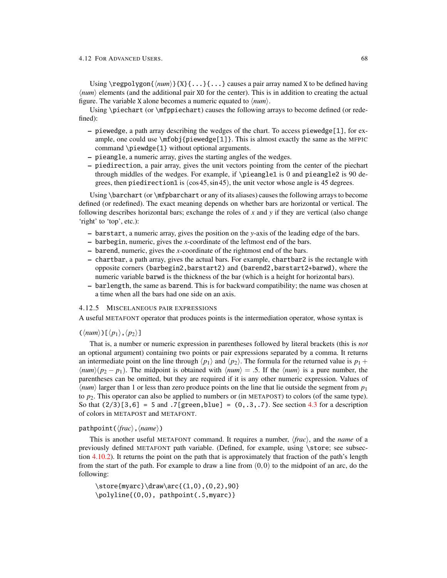Using \regpolygon{ $\{num\}$ {X}{...}{...} causes a pair array named X to be defined having  $\langle num \rangle$  elements (and the additional pair X0 for the center). This is in addition to creating the actual figure. The variable X alone becomes a numeric equated to  $\langle num \rangle$ .

Using \piechart (or \mfppiechart) causes the following arrays to become defined (or redefined):

- $-$  piewedge, a path array describing the wedges of the chart. To access piewedge [1], for example, one could use  $\m{piewedge[1]}$ . This is almost exactly the same as the MFPIC command \piewdge{1} without optional arguments.
- pieangle, a numeric array, gives the starting angles of the wedges.
- piedirection, a pair array, gives the unit vectors pointing from the center of the piechart through middles of the wedges. For example, if \pieangle1 is 0 and pieangle2 is 90 degrees, then piedirection1 is (cos 45,sin 45), the unit vector whose angle is 45 degrees.

Using \barchart (or \mfpbarchart or any of its aliases) causes the following arrays to become defined (or redefined). The exact meaning depends on whether bars are horizontal or vertical. The following describes horizontal bars; exchange the roles of *x* and *y* if they are vertical (also change 'right' to 'top', etc.):

- barstart, a numeric array, gives the position on the *y*-axis of the leading edge of the bars.
- barbegin, numeric, gives the *x*-coordinate of the leftmost end of the bars.
- barend, numeric, gives the *x*-coordinate of the rightmost end of the bars.
- chartbar, a path array, gives the actual bars. For example, chartbar2 is the rectangle with opposite corners (barbegin2,barstart2) and (barend2,barstart2+barwd), where the numeric variable barwd is the thickness of the bar (which is a height for horizontal bars).
- barlength, the same as barend. This is for backward compatibility; the name was chosen at a time when all the bars had one side on an axis.

#### 4.12.5 MISCELANEOUS PAIR EXPRESSIONS

A useful METAFONT operator that produces points is the intermediation operator, whose syntax is

## $(\langle num \rangle)[\langle p_1 \rangle, \langle p_2 \rangle]$

That is, a number or numeric expression in parentheses followed by literal brackets (this is *not* an optional argument) containing two points or pair expressions separated by a comma. It returns an intermediate point on the line through  $\langle p_1 \rangle$  and  $\langle p_2 \rangle$ . The formula for the returned value is  $p_1 + p_2$  $\langle num \rangle (p_2 - p_1)$ . The midpoint is obtained with  $\langle num \rangle = .5$ . If the  $\langle num \rangle$  is a pure number, the parentheses can be omitted, but they are required if it is any other numeric expression. Values of  $\langle num \rangle$  larger than 1 or less than zero produce points on the line that lie outside the segment from  $p_1$ to *p*2. This operator can also be applied to numbers or (in METAPOST) to colors (of the same type). So that  $(2/3)[3,6] = 5$  and  $.7$ [green,blue] =  $(0,.3,.7)$ . See section [4.3](#page-28-0) for a description of colors in METAPOST and METAFONT.

## pathpoint( $\langle \text{frac} \rangle$ ,  $\langle \text{name} \rangle$ )

This is another useful METAFONT command. It requires a number,  $\langle frac \rangle$ , and the *name* of a previously defined METAFONT path variable. (Defined, for example, using \store; see subsection [4.10.2\)](#page-58-0). It returns the point on the path that is approximately that fraction of the path's length from the start of the path. For example to draw a line from  $(0,0)$  to the midpoint of an arc, do the following:

 $\store{myarc}\draw\arc{(1,0),(0,2),90}$ \polyline{(0,0), pathpoint(.5,myarc)}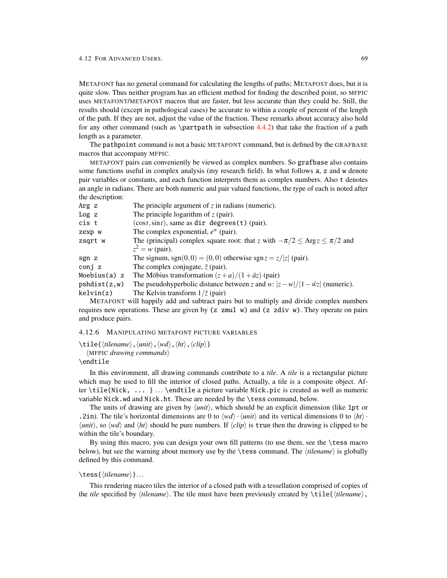METAFONT has no general command for calculating the lengths of paths; METAPOST does, but it is quite slow. Thus neither program has an efficient method for finding the described point, so MFPIC uses METAFONT/METAPOST macros that are faster, but less accurate than they could be. Still, the results should (except in pathological cases) be accurate to within a couple of percent of the length of the path. If they are not, adjust the value of the fraction. These remarks about accuracy also hold for any other command (such as \partpath in subsection  $4.4.2$ ) that take the fraction of a path length as a parameter.

The pathpoint command is not a basic METAFONT command, but is defined by the GRAFBASE macros that accompany MFPIC.

METAFONT pairs can conveniently be viewed as complex numbers. So grafbase also contains some functions useful in complex analysis (my research field). In what follows a, z and w denote pair variables or constants, and each function interprets them as complex numbers. Also t denotes an angle in radians. There are both numeric and pair valued functions, the type of each is noted after the description:

| The principle argument of $z$ in radians (numeric).                                         |
|---------------------------------------------------------------------------------------------|
| The principle logarithm of $z$ (pair).                                                      |
| $(cost, \sin t)$ , same as dir degrees (t) (pair).                                          |
| The complex exponential, $e^w$ (pair).                                                      |
| The (principal) complex square root: that z with $-\pi/2 \leq \text{Arg } z \leq \pi/2$ and |
| $z^2 = w$ (pair).                                                                           |
| The signum, sgn(0,0) = (0,0) otherwise sgn $z = z/ z $ (pair).                              |
| The complex conjugate, $\bar{z}$ (pair).                                                    |
| The Möbius transformation $(z+a)/(1+\bar{a}z)$ (pair)                                       |
| The pseudohyperbolic distance between z and w: $ z-w / 1-\overline{w}z $ (numeric).         |
| The Kelvin transform $1/\overline{z}$ (pair)                                                |
|                                                                                             |

METAFONT will happily add and subtract pairs but to multiply and divide complex numbers requires new operations. These are given by  $(z \text{zmul } w)$  and  $(z \text{zdiv } w)$ . They operate on pairs and produce pairs.

## 4.12.6 MANIPULATING METAFONT PICTURE VARIABLES

```
\tilde{\theta}, \tilde{\theta}, \langle \tilde{\theta} \rangle, \langle \tilde{\theta} \rangle
```

```
\langleMFPIC drawing commands\rangle
```
## \endtile

In this environment, all drawing commands contribute to a *tile*. A *tile* is a rectangular picture which may be used to fill the interior of closed paths. Actually, a tile is a composite object. After \tile{Nick, ... } ... \endtile a picture variable Nick.pic is created as well as numeric variable Nick.wd and Nick.ht. These are needed by the \tess command, below.

The units of drawing are given by  $\langle unit \rangle$ , which should be an explicit dimension (like 1pt or .2in). The tile's horizontal dimensions are 0 to  $\langle wd \rangle \cdot \langle unit \rangle$  and its vertical dimensions 0 to  $\langle ht \rangle \cdot$  $\langle unit \rangle$ , so  $\langle wd \rangle$  and  $\langle ht \rangle$  should be pure numbers. If  $\langle clip \rangle$  is true then the drawing is clipped to be within the tile's boundary.

By using this macro, you can design your own fill patterns (to use them, see the \tess macro below), but see the warning about memory use by the  $\text{tess command}$ . The  $\text{'tilename}$  is globally defined by this command.

## \tess{\*tilename*}}...

This rendering macro tiles the interior of a closed path with a tessellation comprised of copies of the *tile* specified by  $\langle$ *ilename* $\rangle$ . The tile must have been previously created by  $\tilde{\langle}$ *ilename* $\rangle$ ,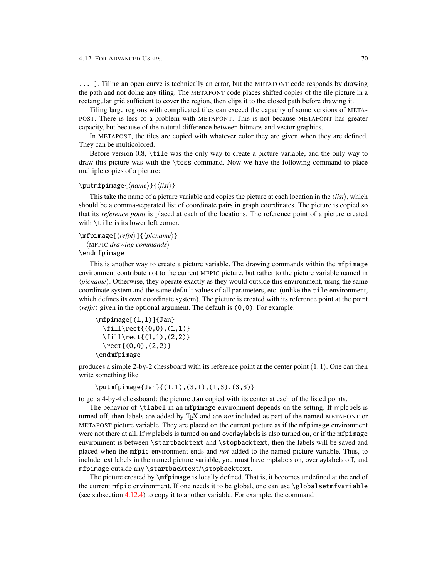#### <span id="page-72-0"></span>4.12 FOR ADVANCED USERS. 70

... }. Tiling an open curve is technically an error, but the METAFONT code responds by drawing the path and not doing any tiling. The METAFONT code places shifted copies of the tile picture in a rectangular grid sufficient to cover the region, then clips it to the closed path before drawing it.

Tiling large regions with complicated tiles can exceed the capacity of some versions of META-POST. There is less of a problem with METAFONT. This is not because METAFONT has greater capacity, but because of the natural difference between bitmaps and vector graphics.

In METAPOST, the tiles are copied with whatever color they are given when they are defined. They can be multicolored.

Before version 0.8, \tile was the only way to create a picture variable, and the only way to draw this picture was with the \tess command. Now we have the following command to place multiple copies of a picture:

### <span id="page-72-1"></span>\putmfpimage{ $\langle name \rangle$ }{ $\langle list \rangle$ }

This take the name of a picture variable and copies the picture at each location in the  $\langle list \rangle$ , which should be a comma-separated list of coordinate pairs in graph coordinates. The picture is copied so that its *reference point* is placed at each of the locations. The reference point of a picture created with \tile is its lower left corner.

```
\mathcal{h}(refpt)]{\phiicname}}
```
 $\langle$ MFPIC *drawing commands* $\rangle$ 

\endmfpimage

This is another way to create a picture variable. The drawing commands within the mfpimage environment contribute not to the current MFPIC picture, but rather to the picture variable named in *(picname)*. Otherwise, they operate exactly as they would outside this environment, using the same coordinate system and the same default values of all parameters, etc. (unlike the tile environment, which defines its own coordinate system). The picture is created with its reference point at the point  $\langle \text{refpt} \rangle$  given in the optional argument. The default is (0,0). For example:

```
\infpimage[(1,1)]{Jan}
  \left\{\left(0,0\right),\left(1,1\right)\right\}\tilde{\tau}(1,1),(2,2)\rect{(0,0),(2,2)}
\endmfpimage
```
produces a simple 2-by-2 chessboard with its reference point at the center point  $(1,1)$ . One can then write something like

\putmfpimage{Jan}{(1,1),(3,1),(1,3),(3,3)}

to get a 4-by-4 chessboard: the picture Jan copied with its center at each of the listed points.

The behavior of \tlabel in an mfpimage environment depends on the setting. If mplabels is turned off, then labels are added by TEX and are *not* included as part of the named METAFONT or METAPOST picture variable. They are placed on the current picture as if the mfpimage environment were not there at all. If mplabels is turned on and overlaylabels is also turned on, or if the mfpimage environment is between \startbacktext and \stopbacktext, then the labels will be saved and placed when the mfpic environment ends and *not* added to the named picture variable. Thus, to include text labels in the named picture variable, you must have mplabels on, overlaylabels off, and mfpimage outside any \startbacktext/\stopbacktext.

The picture created by \mfpimage is locally defined. That is, it becomes undefined at the end of the current mfpic environment. If one needs it to be global, one can use \globalsetmfvariable (see subsection [4.12.4\)](#page-67-0) to copy it to another variable. For example. the command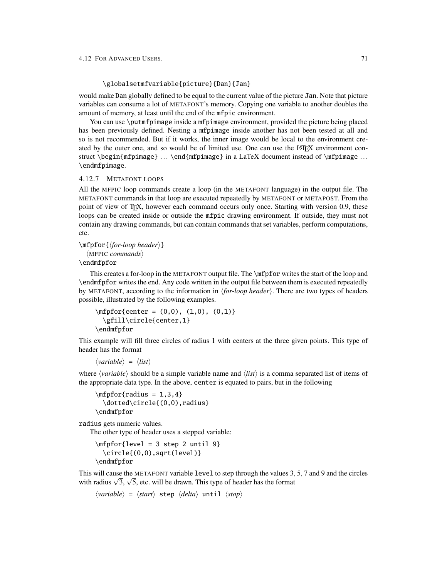### <span id="page-73-0"></span>\globalsetmfvariable{picture}{Dan}{Jan}

would make Dan globally defined to be equal to the current value of the picture Jan. Note that picture variables can consume a lot of METAFONT's memory. Copying one variable to another doubles the amount of memory, at least until the end of the mfpic environment.

You can use \putmfpimage inside a mfpimage environment, provided the picture being placed has been previously defined. Nesting a mfpimage inside another has not been tested at all and so is not recommended. But if it works, the inner image would be local to the environment created by the outer one, and so would be of limited use. One can use the LATEX environment construct \begin{mfpimage} ... \end{mfpimage} in a LaTeX document instead of \mfpimage ... \endmfpimage.

#### 4.12.7 METAFONT LOOPS

All the MFPIC loop commands create a loop (in the METAFONT language) in the output file. The METAFONT commands in that loop are executed repeatedly by METAFONT or METAPOST. From the point of view of T<sub>E</sub>X, however each command occurs only once. Starting with version 0.9, these loops can be created inside or outside the mfpic drawing environment. If outside, they must not contain any drawing commands, but can contain commands that set variables, perform computations, etc.

<span id="page-73-1"></span> $\in$ fpfor $\{for\,loop\,header\}$ 

 $\langle$ MFPIC *commands* $\rangle$ 

### \endmfpfor

This creates a for-loop in the METAFONT output file. The \mfpfor writes the start of the loop and \endmfpfor writes the end. Any code written in the output file between them is executed repeatedly by METAFONT, according to the information in *{for-loop header*}. There are two types of headers possible, illustrated by the following examples.

```
\infpfor{center = (0,0), (1,0), (0,1)}
  \gfill\circle{center,1}
\endmfpfor
```
This example will fill three circles of radius 1 with centers at the three given points. This type of header has the format

```
\langle variable \rangle = \langle list \rangle
```
where  $\langle variable \rangle$  should be a simple variable name and  $\langle list \rangle$  is a comma separated list of items of the appropriate data type. In the above, center is equated to pairs, but in the following

 $\in$ fpfor{radius = 1,3,4} \dotted\circle{(0,0),radius} \endmfpfor

radius gets numeric values.

The other type of header uses a stepped variable:

```
\mfpfor{level = 3 step 2 until 9}
 \circle{(0,0),sqrt(level)}
\endmfpfor
```
This will cause the METAFONT variable level to step through the values 3, 5, 7 and 9 and the circles This will cause the METAFONT variable 1evel to step through the values 3, with radius  $\sqrt{3}$ ,  $\sqrt{5}$ , etc. will be drawn. This type of header has the format

```
\langle variable \rangle = \langle start \rangle step \langle delta \rangle until \langle stop \rangle
```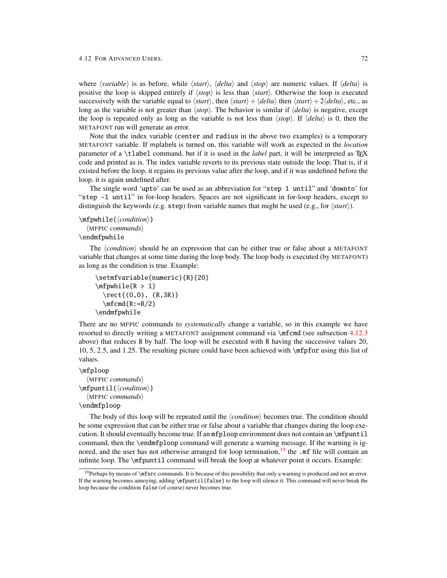<span id="page-74-1"></span>where  $\langle variable \rangle$  is as before, while  $\langle start \rangle$ ,  $\langle delta \rangle$  and  $\langle stop \rangle$  are numeric values. If  $\langle delta \rangle$  is positive the loop is skipped entirely if  $\langle stop \rangle$  is less than  $\langle start \rangle$ . Otherwise the loop is executed successively with the variable equal to  $\langle start \rangle$ , then  $\langle start \rangle + \langle delta \rangle$  then  $\langle start \rangle + 2\langle delta \rangle$ , etc., as long as the variable is not greater than  $\langle stop \rangle$ . The behavior is similar if  $\langle delta \rangle$  is negative, except the loop is repeated only as long as the variable is not less than  $\langle stop \rangle$ . If  $\langle delta \rangle$  is 0, then the METAFONT run will generate an error.

Note that the index variable (center and radius in the above two examples) is a temporary METAFONT variable. If mplabels is turned on, this variable will work as expected in the *location* parameter of a \tlabel command, but if it is used in the *label* part, it will be interpreted as T<sub>EX</sub> code and printed as is. The index variable reverts to its previous state outside the loop. That is, if it existed before the loop, it regains its previous value after the loop, and if it was undefined before the loop, it is again undefined after.

The single word 'upto' can be used as an abbreviation for "step 1 until" and 'downto' for "step -1 until" in for-loop headers. Spaces are not significant in for-loop headers, except to distinguish the keywords (e.g. step) from variable names that might be used (e.g., for  $\langle start \rangle$ ).

```
\mfpwhile{\condition}}
  \langleMFPIC commands\rangle
```
### \endmfpwhile

The *(condition)* should be an expression that can be either true or false about a METAFONT variable that changes at some time during the loop body. The loop body is executed (by METAFONT) as long as the condition is true. Example:

```
\setmfvariable{numeric}{R}{20}
\mphile{R > 1}\text{ (0,0), (R,3R)}\m{R:=R/2}\endmfpwhile
```
There are no MFPIC commands to *systematically* change a variable, so in this example we have resorted to directly writing a METAFONT assignment command via \mfcmd (see subsection [4.12.3](#page-67-1) above) that reduces R by half. The loop will be executed with R having the successive values 20, 10, 5, 2.5, and 1.25. The resulting picture could have been achieved with \mfpfor using this list of values.

#### <span id="page-74-2"></span>\mfploop

```
\langleMFPIC commands\rangle\mfpuntil{(condition)}
  \langleMFPIC commands\rangle\endmfploop
```
The body of this loop will be repeated until the  $\langle condition \rangle$  becomes true. The condition should be some expression that can be either true or false about a variable that changes during the loop execution. It should eventually become true. If an mfploop environment does not contain an \mfpuntil command, then the \endmfploop command will generate a warning message. If the warning is ig-nored, and the user has not otherwise arranged for loop termination,<sup>[19](#page-74-0)</sup> the  $\cdot$ mf file will contain an infinite loop. The \mfpuntil command will break the loop at whatever point it occurs. Example:

<span id="page-74-0"></span> $19$ Perhaps by means of \mfsrc commands. It is because of this possibility that only a warning is produced and not an error. If the warning becomes annoying, adding \mfpuntil{false} to the loop will silence it. This command will never break the loop because the condition false (of course) never becomes true.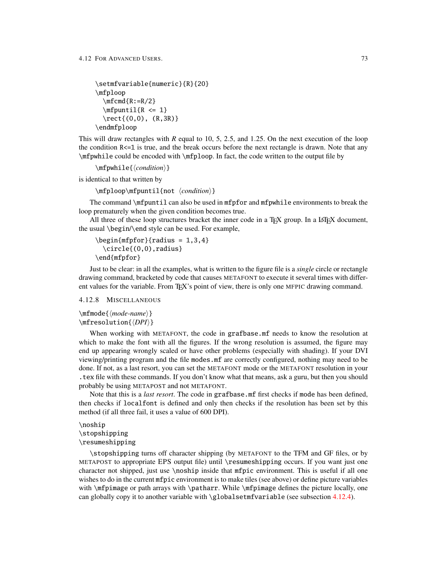```
\setmfvariable{numeric}{R}{20}
\mfploop
 \m{R:=R/2}\mathcal{R} \leq 1\text{ (0,0), (R,3R)}\endmfploop
```
This will draw rectangles with *R* equal to 10, 5, 2.5, and 1.25. On the next execution of the loop the condition R<=1 is true, and the break occurs before the next rectangle is drawn. Note that any \mfpwhile could be encoded with \mfploop. In fact, the code written to the output file by

\mfpwhile{\*condition*}}

is identical to that written by

```
\mfploop\mfpuntil{not \condition}}
```
The command \mfpuntil can also be used in mfpfor and mfpwhile environments to break the loop prematurely when the given condition becomes true.

All three of these loop structures bracket the inner code in a TEX group. In a LATEX document, the usual \begin/\end style can be used. For example,

```
\begin{cases} \frac{mfpfor}{radius = 1, 3, 4} \end{cases}\circle{(0,0),radius}
\end{mfpfor}
```
Just to be clear: in all the examples, what is written to the figure file is a *single* circle or rectangle drawing command, bracketed by code that causes METAFONT to execute it several times with different values for the variable. From T<sub>EX</sub>'s point of view, there is only one MFPIC drawing command.

<span id="page-75-0"></span>4.12.8 MISCELLANEOUS

<span id="page-75-3"></span>\mfmode{*\mode-name*}} \mfresolution{*\DPI*}}

When working with METAFONT, the code in grafbase.mf needs to know the resolution at which to make the font with all the figures. If the wrong resolution is assumed, the figure may end up appearing wrongly scaled or have other problems (especially with shading). If your DVI viewing/printing program and the file modes.mf are correctly configured, nothing may need to be done. If not, as a last resort, you can set the METAFONT mode or the METAFONT resolution in your .tex file with these commands. If you don't know what that means, ask a guru, but then you should probably be using METAPOST and not METAFONT.

Note that this is a *last resort*. The code in grafbase.mf first checks if mode has been defined, then checks if localfont is defined and only then checks if the resolution has been set by this method (if all three fail, it uses a value of 600 DPI).

```
\noship
\stopshipping
\resumeshipping
```
\stopshipping turns off character shipping (by METAFONT to the TFM and GF files, or by METAPOST to appropriate EPS output file) until \resumeshipping occurs. If you want just one character not shipped, just use \noship inside that mfpic environment. This is useful if all one wishes to do in the current mfpic environment is to make tiles (see above) or define picture variables with \mfpimage or path arrays with \patharr. While \mfpimage defines the picture locally, one can globally copy it to another variable with \globalsetmfvariable (see subsection [4.12.4\)](#page-67-0).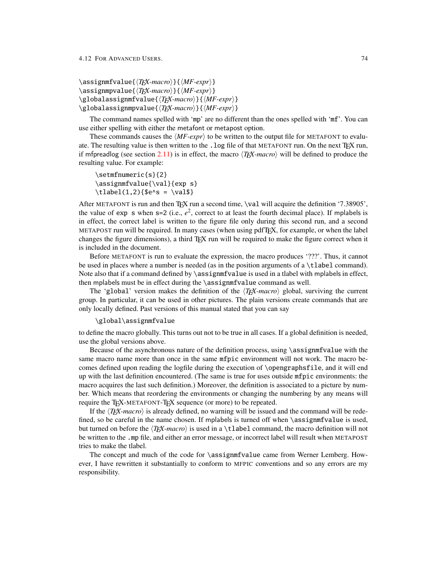<span id="page-76-1"></span><span id="page-76-0"></span>\assignmfvalue{ $\langle TEX\text{-}macro \rangle$ }{ $\langle MF\text{-}expr \rangle$ } \assignmpvalue{ $\langle TEX\text{-}macro \rangle$ }{ $\langle MF\text{-}expr \rangle$ } \globalassignmfvalue{ $\langle T_F X\text{-}macro\rangle$ }{ $\langle MF\text{-}expr\rangle$ } \globalassignmpvalue{ $\langle T_{E}X\text{-}macro\rangle$ }{ $\langle MF\text{-}expr\rangle$ }

The command names spelled with 'mp' are no different than the ones spelled with 'mf'. You can use either spelling with either the metafont or metapost option.

These commands causes the  $\langle MF\text{-}expr\rangle$  to be written to the output file for METAFONT to evaluate. The resulting value is then written to the .log file of that METAFONT run. On the next TEX run, if mfpreadlog (see section [2.11\)](#page-10-0) is in effect, the macro  $\langle T_F X \text{·} \textit{macro} \rangle$  will be defined to produce the resulting value. For example:

```
\setmfnumeric{s}{2}
\assignmfvalue{\val}{exp s}
\tilde(1,2){ {$e^s = \val$}
```
After METAFONT is run and then TFX run a second time, \val will acquire the definition '7.38905', the value of exp s when  $s=2$  (i.e.,  $e^2$ , correct to at least the fourth decimal place). If mplabels is in effect, the correct label is written to the figure file only during this second run, and a second METAPOST run will be required. In many cases (when using pdfTEX, for example, or when the label changes the figure dimensions), a third TEX run will be required to make the figure correct when it is included in the document.

Before METAFONT is run to evaluate the expression, the macro produces '???'. Thus, it cannot be used in places where a number is needed (as in the position arguments of a \tlabel command). Note also that if a command defined by  $\assimplement$  assignmfvalue is used in a tlabel with mplabels in effect, then mplabels must be in effect during the \assignmfvalue command as well.

The 'global' version makes the definition of the  $\langle T_F X \text{·} \textit{macro} \rangle$  global, surviving the current group. In particular, it can be used in other pictures. The plain versions create commands that are only locally defined. Past versions of this manual stated that you can say

### \global\assignmfvalue

to define the macro globally. This turns out not to be true in all cases. If a global definition is needed, use the global versions above.

Because of the asynchronous nature of the definition process, using \assignmfvalue with the same macro name more than once in the same mfpic environment will not work. The macro becomes defined upon reading the logfile during the execution of \opengraphsfile, and it will end up with the last definition encountered. (The same is true for uses outside mfpic environments: the macro acquires the last such definition.) Moreover, the definition is associated to a picture by number. Which means that reordering the environments or changing the numbering by any means will require the T<sub>EX</sub>-METAFONT-T<sub>EX</sub> sequence (or more) to be repeated.

If the  $\langle T_F X \text{-}macro \rangle$  is already defined, no warning will be issued and the command will be redefined, so be careful in the name chosen. If mplabels is turned off when \assignmfvalue is used, but turned on before the  $\langle T_F X\text{-}macro \rangle$  is used in a \tlabel command, the macro definition will not be written to the .mp file, and either an error message, or incorrect label will result when METAPOST tries to make the tlabel.

The concept and much of the code for \assignmfvalue came from Werner Lemberg. However, I have rewritten it substantially to conform to MFPIC conventions and so any errors are my responsibility.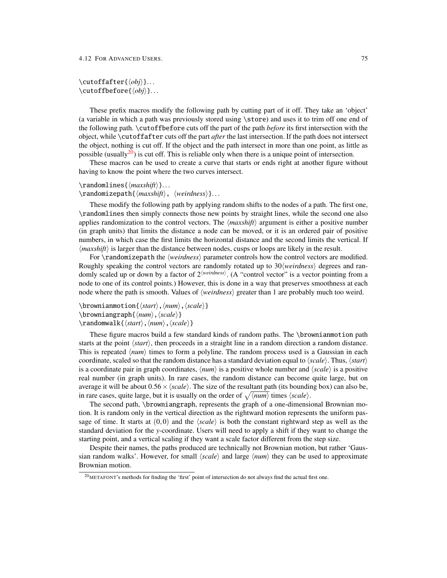```
\cutoffafter{\langle obj \rangle}...
\text{cutoffbefore}\{\langle obj \rangle\}...
```
These prefix macros modify the following path by cutting part of it off. They take an 'object' (a variable in which a path was previously stored using \store) and uses it to trim off one end of the following path. \cutoffbefore cuts off the part of the path *before* its first intersection with the object, while \cutoffafter cuts off the part *after* the last intersection. If the path does not intersect the object, nothing is cut off. If the object and the path intersect in more than one point, as little as possible (usually<sup>[20](#page-77-0)</sup>) is cut off. This is reliable only when there is a unique point of intersection.

These macros can be used to create a curve that starts or ends right at another figure without having to know the point where the two curves intersect.

# <span id="page-77-4"></span> $\mathcal{h}: \mathcal{h}: \mathcal{h}: \mathcal{h}: \mathcal{h}: \mathcal{h}: \mathcal{h}: \mathcal{h}: \mathcal{h}: \mathcal{h}: \mathcal{h}: \mathcal{h}: \mathcal{h}: \mathcal{h}: \mathcal{h}: \mathcal{h}: \mathcal{h}: \mathcal{h}: \mathcal{h}: \mathcal{h}: \mathcal{h}: \mathcal{h}: \mathcal{h}: \mathcal{h}: \mathcal{h}: \mathcal{h}: \mathcal{h}: \mathcal{h}: \mathcal{h}: \mathcal{h}: \mathcal{h}: \mathcal{h}: \mathcal{h}: \mathcal{h}: \mathcal{h}: \mathcal{h}: \mathcal{$ \randomizepath{\*maxshift*}, \weirdness\}...

These modify the following path by applying random shifts to the nodes of a path. The first one, \randomlines then simply connects those new points by straight lines, while the second one also applies randomization to the control vectors. The  $\langle maxshift \rangle$  argument is either a positive number (in graph units) that limits the distance a node can be moved, or it is an ordered pair of positive numbers, in which case the first limits the horizontal distance and the second limits the vertical. If  $\langle maxshift \rangle$  is larger than the distance between nodes, cusps or loops are likely in the result.

For \randomizepath the *\weirdness*} parameter controls how the control vectors are modified. Roughly speaking the control vectors are randomly rotated up to 30/*weirdness*) degrees and randomly scaled up or down by a factor of 2<sup>{*weirdness*}. (A "control vector" is a vector pointing from a</sup> node to one of its control points.) However, this is done in a way that preserves smoothness at each node where the path is smooth. Values of  $\langle weirduess \rangle$  greater than 1 are probably much too weird.

```
\forallbrownianmotion{\langle start \rangle, \langle scale \rangle}
\browniangraph{\langle num \rangle, \langle scale \rangle}
\mathcal{x}\\mathcal{K}\inum\mathcal{x}\, \langle scale \rangle}
```
These figure macros build a few standard kinds of random paths. The \brownianmotion path starts at the point  $\langle start \rangle$ , then proceeds in a straight line in a random direction a random distance. This is repeated  $\langle num \rangle$  times to form a polyline. The random process used is a Gaussian in each coordinate, scaled so that the random distance has a standard deviation equal to  $\langle scale \rangle$ . Thus,  $\langle start \rangle$ is a coordinate pair in graph coordinates,  $\langle num \rangle$  is a positive whole number and  $\langle scale \rangle$  is a positive real number (in graph units). In rare cases, the random distance can become quite large, but on average it will be about  $0.56 \times \langle scale \rangle$ . The size of the resultant path (its bounding box) can also be, in rare cases, quite large, but it is usually on the order of  $\sqrt{\langle num \rangle}$  times  $\langle scale \rangle$ .

The second path, \browniangraph, represents the graph of a one-dimensional Brownian motion. It is random only in the vertical direction as the rightward motion represents the uniform passage of time. It starts at  $(0,0)$  and the  $\langle scale \rangle$  is both the constant rightward step as well as the standard deviation for the *y*-coordinate. Users will need to apply a shift if they want to change the starting point, and a vertical scaling if they want a scale factor different from the step size.

Despite their names, the paths produced are technically not Brownian motion, but rather 'Gaussian random walks'. However, for small  $\langle scale \rangle$  and large  $\langle num \rangle$  they can be used to approximate Brownian motion.

<span id="page-77-0"></span><sup>20</sup>METAFONT's methods for finding the 'first' point of intersection do not always find the actual first one.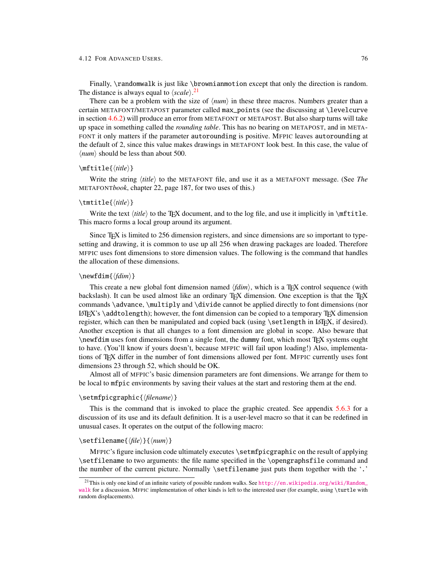<span id="page-78-1"></span>Finally, \randomwalk is just like \brownianmotion except that only the direction is random. The distance is always equal to  $\langle scale \rangle$ .<sup>[21](#page-78-0)</sup>

There can be a problem with the size of  $\langle num \rangle$  in these three macros. Numbers greater than a certain METAFONT/METAPOST parameter called max\_points (see the discussing at \levelcurve in section [4.6.2\)](#page-44-0) will produce an error from METAFONT or METAPOST. But also sharp turns will take up space in something called the *rounding table*. This has no bearing on METAPOST, and in META-FONT it only matters if the parameter autorounding is positive. MFPIC leaves autorounding at the default of 2, since this value makes drawings in METAFONT look best. In this case, the value of  $\langle num \rangle$  should be less than about 500.

### <span id="page-78-3"></span> $\{\tilde{title}\}$

Write the string  $\langle \textit{title} \rangle$  to the METAFONT file, and use it as a METAFONT message. (See *The* METAFONT*book*, chapter 22, page 187, for two uses of this.)

## <span id="page-78-6"></span> $\{\text{title}\}$

Write the text  $\langle \text{title} \rangle$  to the T<sub>EX</sub> document, and to the log file, and use it implicitly in \mftitle. This macro forms a local group around its argument.

Since TEX is limited to 256 dimension registers, and since dimensions are so important to typesetting and drawing, it is common to use up all 256 when drawing packages are loaded. Therefore MFPIC uses font dimensions to store dimension values. The following is the command that handles the allocation of these dimensions.

### <span id="page-78-4"></span>\newfdim{\*fdim*}}

This create a new global font dimension named  $\langle fdim \rangle$ , which is a T<sub>E</sub>X control sequence (with backslash). It can be used almost like an ordinary TEX dimension. One exception is that the TEX commands \advance, \multiply and \divide cannot be applied directly to font dimensions (nor LATEX's \addtolength); however, the font dimension can be copied to a temporary TEX dimension register, which can then be manipulated and copied back (using \setlength in LATEX, if desired). Another exception is that all changes to a font dimension are global in scope. Also beware that \newfdim uses font dimensions from a single font, the dummy font, which most TEX systems ought to have. (You'll know if yours doesn't, because MFPIC will fail upon loading!) Also, implementations of TEX differ in the number of font dimensions allowed per font. MFPIC currently uses font dimensions 23 through 52, which should be OK.

Almost all of MFPIC's basic dimension parameters are font dimensions. We arrange for them to be local to mfpic environments by saving their values at the start and restoring them at the end.

#### <span id="page-78-5"></span>\setmfpicgraphic{\*filename*}}

This is the command that is invoked to place the graphic created. See appendix [5.6.3](#page-85-0) for a discussion of its use and its default definition. It is a user-level macro so that it can be redefined in unusual cases. It operates on the output of the following macro:

## <span id="page-78-2"></span>\setfilename{*\file*}}{*\num*}}

MFPIC's figure inclusion code ultimately executes \setmfpicgraphic on the result of applying \setfilename to two arguments: the file name specified in the \opengraphsfile command and the number of the current picture. Normally \setfilename just puts them together with the '.'

<span id="page-78-0"></span><sup>&</sup>lt;sup>21</sup>This is only one kind of an infinite variety of possible random walks. See [http://en.wikipedia.org/wiki/Random\\_](http://en.wikipedia.org/wiki/Random_walk) [walk](http://en.wikipedia.org/wiki/Random_walk) for a discussion. MFPIC implementation of other kinds is left to the interested user (for example, using \turtle with random displacements).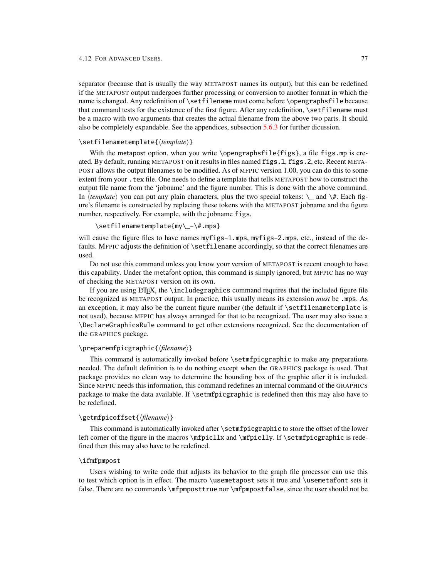<span id="page-79-0"></span>separator (because that is usually the way METAPOST names its output), but this can be redefined if the METAPOST output undergoes further processing or conversion to another format in which the name is changed. Any redefinition of \setfilename must come before \opengraphsfile because that command tests for the existence of the first figure. After any redefinition,  $\setminus$  setfilename must be a macro with two arguments that creates the actual filename from the above two parts. It should also be completely expandable. See the appendices, subsection [5.6.3](#page-85-0) for further dicussion.

### <span id="page-79-1"></span>\setfilenametemplate{\*template*}}

With the metapost option, when you write \opengraphsfile{figs}, a file figs.mp is created. By default, running METAPOST on it results in files named figs.1, figs.2, etc. Recent META-POST allows the output filenames to be modified. As of MFPIC version 1.00, you can do this to some extent from your .tex file. One needs to define a template that tells METAPOST how to construct the output file name from the 'jobname' and the figure number. This is done with the above command. In  $\langle template \rangle$  you can put any plain characters, plus the two special tokens:  $\_\_$  and  $\#$ . Each figure's filename is constructed by replacing these tokens with the METAPOST jobname and the figure number, respectively. For example, with the jobname figs,

#### \setfilenametemplate{my\\_-\#.mps}

will cause the figure files to have names myfigs-1.mps, myfigs-2.mps, etc., instead of the defaults. MFPIC adjusts the definition of \setfilename accordingly, so that the correct filenames are used.

Do not use this command unless you know your version of METAPOST is recent enough to have this capability. Under the metafont option, this command is simply ignored, but MFPIC has no way of checking the METAPOST version on its own.

If you are using  $\Delta T$ , the \includegraphics command requires that the included figure file be recognized as METAPOST output. In practice, this usually means its extension *must* be .mps. As an exception, it may also be the current figure number (the default if  $\setminus$  setfilenametemplate is not used), because MFPIC has always arranged for that to be recognized. The user may also issue a \DeclareGraphicsRule command to get other extensions recognized. See the documentation of the GRAPHICS package.

## <span id="page-79-4"></span>\preparemfpicgraphic{\*filename*}}

This command is automatically invoked before \setmfpicgraphic to make any preparations needed. The default definition is to do nothing except when the GRAPHICS package is used. That package provides no clean way to determine the bounding box of the graphic after it is included. Since MFPIC needs this information, this command redefines an internal command of the GRAPHICS package to make the data available. If \setmfpicgraphic is redefined then this may also have to be redefined.

### <span id="page-79-2"></span>\getmfpicoffset{\*filename*}}

This command is automatically invoked after \setmfpicgraphic to store the offset of the lower left corner of the figure in the macros  $\m{mfpicllx$  and  $\mfpiclly$ . If  $\semfpicgraphic$  is redefined then this may also have to be redefined.

#### <span id="page-79-3"></span>\ifmfpmpost

Users wishing to write code that adjusts its behavior to the graph file processor can use this to test which option is in effect. The macro \usemetapost sets it true and \usemetafont sets it false. There are no commands \mfpmposttrue nor \mfpmpostfalse, since the user should not be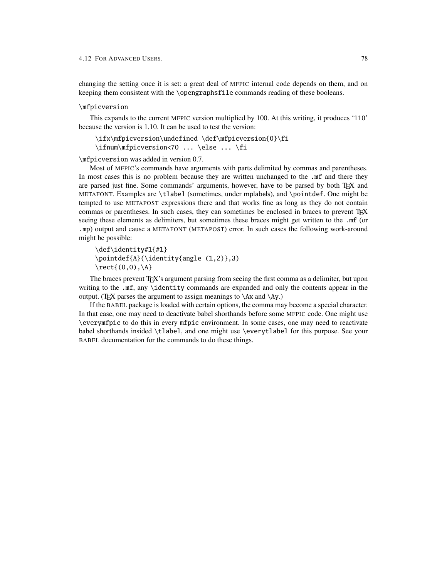<span id="page-80-0"></span>changing the setting once it is set: a great deal of MFPIC internal code depends on them, and on keeping them consistent with the \opengraphsfile commands reading of these booleans.

#### <span id="page-80-1"></span>\mfpicversion

This expands to the current MFPIC version multiplied by 100. At this writing, it produces '110' because the version is 1.10. It can be used to test the version:

\ifx\mfpicversion\undefined \def\mfpicversion{0}\fi \ifnum\mfpicversion<70 ... \else ... \fi

\mfpicversion was added in version 0.7.

Most of MFPIC's commands have arguments with parts delimited by commas and parentheses. In most cases this is no problem because they are written unchanged to the .mf and there they are parsed just fine. Some commands' arguments, however, have to be parsed by both TFX and METAFONT. Examples are \tlabel (sometimes, under mplabels), and \pointdef. One might be tempted to use METAPOST expressions there and that works fine as long as they do not contain commas or parentheses. In such cases, they can sometimes be enclosed in braces to prevent T<sub>EX</sub> seeing these elements as delimiters, but sometimes these braces might get written to the .mf (or .mp) output and cause a METAFONT (METAPOST) error. In such cases the following work-around might be possible:

```
\def\identity#1{#1}
\pointdef{A}(\identity{angle (1,2)},3)
\text{\(0,0),\A\}
```
The braces prevent T<sub>F</sub>X's argument parsing from seeing the first comma as a delimiter, but upon writing to the .mf, any \identity commands are expanded and only the contents appear in the output. (TEX parses the argument to assign meanings to  $\langle Ax \rangle$ )

If the BABEL package is loaded with certain options, the comma may become a special character. In that case, one may need to deactivate babel shorthands before some MFPIC code. One might use \everymfpic to do this in every mfpic environment. In some cases, one may need to reactivate babel shorthands insided \tlabel, and one might use \everytlabel for this purpose. See your BABEL documentation for the commands to do these things.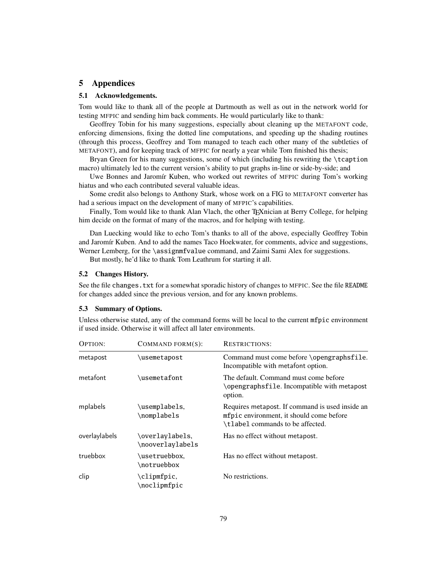# 5 Appendices

## 5.1 Acknowledgements.

Tom would like to thank all of the people at Dartmouth as well as out in the network world for testing MFPIC and sending him back comments. He would particularly like to thank:

Geoffrey Tobin for his many suggestions, especially about cleaning up the METAFONT code, enforcing dimensions, fixing the dotted line computations, and speeding up the shading routines (through this process, Geoffrey and Tom managed to teach each other many of the subtleties of METAFONT), and for keeping track of MFPIC for nearly a year while Tom finished his thesis;

Bryan Green for his many suggestions, some of which (including his rewriting the \tcaption macro) ultimately led to the current version's ability to put graphs in-line or side-by-side; and

Uwe Bonnes and Jaromír Kuben, who worked out rewrites of MFPIC during Tom's working hiatus and who each contributed several valuable ideas.

Some credit also belongs to Anthony Stark, whose work on a FIG to METAFONT converter has had a serious impact on the development of many of MFPIC's capabilities.

Finally, Tom would like to thank Alan Vlach, the other T<sub>E</sub>Xnician at Berry College, for helping him decide on the format of many of the macros, and for helping with testing.

Dan Luecking would like to echo Tom's thanks to all of the above, especially Geoffrey Tobin and Jaromír Kuben. And to add the names Taco Hoekwater, for comments, advice and suggestions, Werner Lemberg, for the \assignmfvalue command, and Zaimi Sami Alex for suggestions.

But mostly, he'd like to thank Tom Leathrum for starting it all.

### 5.2 Changes History.

See the file changes.txt for a somewhat sporadic history of changes to MFPIC. See the file README for changes added since the previous version, and for any known problems.

# 5.3 Summary of Options.

Unless otherwise stated, any of the command forms will be local to the current mfpic environment if used inside. Otherwise it will affect all later environments.

| OPTION:       | COMMAND FORM(S):                    | <b>RESTRICTIONS:</b>                                                                                                            |
|---------------|-------------------------------------|---------------------------------------------------------------------------------------------------------------------------------|
| metapost      | \usemetapost                        | Command must come before \opengraphsfile.<br>Incompatible with metafont option.                                                 |
| metafont      | \usemetafont                        | The default. Command must come before<br>\opengraphsfile. Incompatible with metapost<br>option.                                 |
| mplabels      | \usemplabels,<br>\nomplabels        | Requires metapost. If command is used inside an<br>mfpic environment, it should come before<br>\tlabel commands to be affected. |
| overlaylabels | \overlaylabels.<br>\nooverlavlabels | Has no effect without metapost.                                                                                                 |
| truebbox      | \usetruebbox.<br>\notruebbox        | Has no effect without metapost.                                                                                                 |
| clip          | \clipmfpic,<br>\noclipmfpic         | No restrictions.                                                                                                                |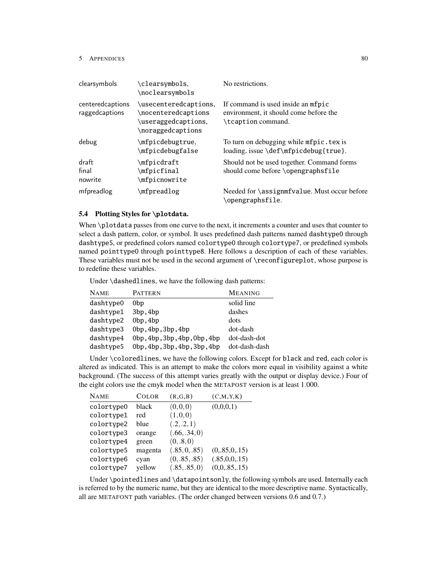| clearsymbols                       | \clearsymbols.<br>\noclearsymbols                                                        | No restrictions.                                                                                   |
|------------------------------------|------------------------------------------------------------------------------------------|----------------------------------------------------------------------------------------------------|
| centeredcaptions<br>raggedcaptions | \usecenteredcaptions.<br>\nocenteredcaptions<br>\useraggedcaptions,<br>\noraggedcaptions | If command is used inside an mfpic<br>environment, it should come before the<br>\tcaption command. |
| debug                              | \mfpicdebugtrue.<br>\mfpicdebugfalse                                                     | To turn on debugging while mfpic. tex is<br>loading, issue \def\mfpicdebug{true}.                  |
| draft<br>final<br>nowrite          | \mfpicdraft<br>\mfpicfinal<br>\mfpicnowrite                                              | Should not be used together. Command forms<br>should come before \opengraphsfile                   |
| mfpreadlog                         | \mfpreadlog                                                                              | Needed for \assignmfvalue. Must occur before<br>opengraphsfile.                                    |

## 5.4 Plotting Styles for **\plotdata**.

When \plotdata passes from one curve to the next, it increments a counter and uses that counter to select a dash pattern, color, or symbol. It uses predefined dash patterns named dashtype0 through dashtype5, or predefined colors named colortype0 through colortype7, or predefined symbols named pointtype0 through pointtype8. Here follows a description of each of these variables. These variables must not be used in the second argument of \reconfigureplot, whose purpose is to redefine these variables.

Under \dashedlines, we have the following dash patterns:

| <b>NAME</b> | <b>PATTERN</b>               | <b>MEANING</b> |
|-------------|------------------------------|----------------|
| dashtype0   | 0bp                          | solid line     |
| dashtvpe1   | 3bp, 4bp                     | dashes         |
| dashtype2   | 0bp, 4bp                     | dots           |
| dashtype3   | 0bp, 4bp, 3bp, 4bp           | dot-dash       |
| dashtype4   | 0bp, 4bp, 3bp, 4bp, 0bp, 4bp | dot-dash-dot   |
| dashtype5   | 0bp, 4bp, 3bp, 4bp, 3bp, 4bp | dot-dash-dash  |

Under \coloredlines, we have the following colors. Except for black and red, each color is altered as indicated. This is an attempt to make the colors more equal in visibility against a white background. (The success of this attempt varies greatly with the output or display device.) Four of the eight colors use the cmyk model when the METAPOST version is at least 1.000.

| <b>NAME</b> | <b>COLOR</b> | (R,G,B)       | (C, M, Y, K)   |
|-------------|--------------|---------------|----------------|
| colortype0  | black        | (0,0,0)       | (0,0,0,1)      |
| colortype1  | red          | (1,0,0)       |                |
| colortype2  | blue         | (.2, .2, 1)   |                |
| colortype3  | orange       | (.66, .34, 0) |                |
| colortype4  | green        | (0, .8, 0)    |                |
| colortype5  | magenta      | (.85, 0, .85) | (0, 85, 0, 15) |
| colortype6  | cyan         | (0, .85, .85) | (.85,0,0,.15)  |
| colortype7  | yellow       | (.85, .85, 0) | (0,0,0.85,15)  |

Under \pointedlines and \datapointsonly, the following symbols are used. Internally each is referred to by the numeric name, but they are identical to the more descriptive name. Syntactically, all are METAFONT path variables. (The order changed between versions 0.6 and 0.7.)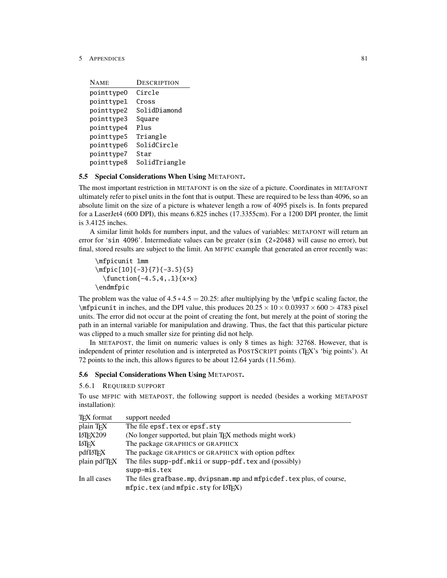| <b>NAME</b> | DESCRIPTION   |
|-------------|---------------|
| pointtype0  | Circle        |
| pointtype1  | Cross         |
| pointtype2  | SolidDiamond  |
| pointtype3  | Square        |
| pointtype4  | Plus          |
| pointtype5  | Triangle      |
| pointtype6  | SolidCircle   |
| pointtype7  | Star          |
| pointtype8  | SolidTriangle |

# 5.5 Special Considerations When Using METAFONT.

The most important restriction in METAFONT is on the size of a picture. Coordinates in METAFONT ultimately refer to pixel units in the font that is output. These are required to be less than 4096, so an absolute limit on the size of a picture is whatever length a row of 4095 pixels is. In fonts prepared for a LaserJet4 (600 DPI), this means 6.825 inches (17.3355cm). For a 1200 DPI pronter, the limit is 3.4125 inches.

A similar limit holds for numbers input, and the values of variables: METAFONT will return an error for 'sin 4096'. Intermediate values can be greater (sin (2\*2048) will cause no error), but final, stored results are subject to the limit. An MFPIC example that generated an error recently was:

```
\mfpicunit 1mm
\mfpic[10]{-3}{7}{-3.5}{5}
  \function{-4.5,4,.1}{x*x}
\endmfpic
```
The problem was the value of  $4.5 \times 4.5 = 20.25$ : after multiplying by the \mfpic scaling factor, the \mfpicunit in inches, and the DPI value, this produces  $20.25 \times 10 \times 0.03937 \times 600 > 4783$  pixel units. The error did not occur at the point of creating the font, but merely at the point of storing the path in an internal variable for manipulation and drawing. Thus, the fact that this particular picture was clipped to a much smaller size for printing did not help.

In METAPOST, the limit on numeric values is only 8 times as high: 32768. However, that is independent of printer resolution and is interpreted as POSTSCRIPT points (TEX's 'big points'). At 72 points to the inch, this allows figures to be about 12.64 yards (11.56m).

### 5.6 Special Considerations When Using METAPOST.

5.6.1 REQUIRED SUPPORT

To use MFPIC with METAPOST, the following support is needed (besides a working METAPOST installation):

| support needed                                                                                                      |
|---------------------------------------------------------------------------------------------------------------------|
| The file epsf.tex or epsf.sty                                                                                       |
| (No longer supported, but plain TFX methods might work)                                                             |
| The package GRAPHICS or GRAPHICX                                                                                    |
| The package GRAPHICS or GRAPHICX with option pdftex                                                                 |
| The files supp-pdf.mkii or supp-pdf.tex and (possibly)                                                              |
| supp-mis.tex                                                                                                        |
| The files grafbase.mp, dvipsnam.mp and mfpicdef.tex plus, of course,<br>$mfpic.$ tex (and $mfpic.$ sty for $LIF(X)$ |
|                                                                                                                     |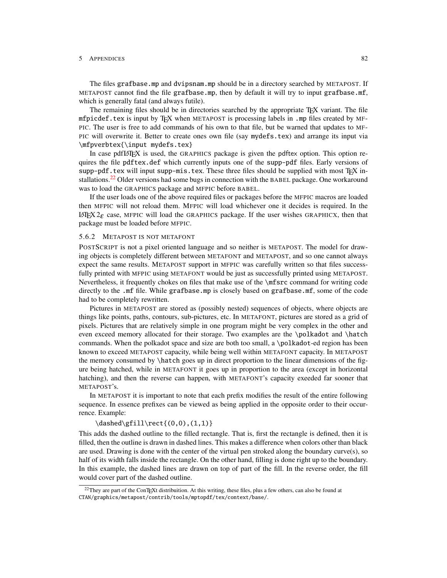The files grafbase.mp and dvipsnam.mp should be in a directory searched by METAPOST. If METAPOST cannot find the file grafbase.mp, then by default it will try to input grafbase.mf, which is generally fatal (and always futile).

The remaining files should be in directories searched by the appropriate TEX variant. The file mfpicdef.tex is input by TEX when METAPOST is processing labels in .mp files created by MF-PIC. The user is free to add commands of his own to that file, but be warned that updates to MF-PIC will overwrite it. Better to create ones own file (say mydefs.tex) and arrange its input via \mfpverbtex{\input mydefs.tex}

In case pdfLATEX is used, the GRAPHICS package is given the pdftex option. This option requires the file pdftex.def which currently inputs one of the supp-pdf files. Early versions of supp-pdf.tex will input supp-mis.tex. These three files should be supplied with most  $T\not\!\!F X$  in-stallations.<sup>[22](#page-84-0)</sup> Older versions had some bugs in connection with the BABEL package. One workaround was to load the GRAPHICS package and MFPIC before BABEL.

If the user loads one of the above required files or packages before the MFPIC macros are loaded then MFPIC will not reload them. MFPIC will load whichever one it decides is required. In the LATEX  $2\varepsilon$  case, MFPIC will load the GRAPHICS package. If the user wishes GRAPHICX, then that package must be loaded before MFPIC.

### 5.6.2 METAPOST IS NOT METAFONT

POSTSCRIPT is not a pixel oriented language and so neither is METAPOST. The model for drawing objects is completely different between METAFONT and METAPOST, and so one cannot always expect the same results. METAPOST support in MFPIC was carefully written so that files successfully printed with MFPIC using METAFONT would be just as successfully printed using METAPOST. Nevertheless, it frequently chokes on files that make use of the \mfsrc command for writing code directly to the .mf file. While grafbase.mp is closely based on grafbase.mf, some of the code had to be completely rewritten.

Pictures in METAPOST are stored as (possibly nested) sequences of objects, where objects are things like points, paths, contours, sub-pictures, etc. In METAFONT, pictures are stored as a grid of pixels. Pictures that are relatively simple in one program might be very complex in the other and even exceed memory allocated for their storage. Two examples are the \polkadot and \hatch commands. When the polkadot space and size are both too small, a \polkadot-ed region has been known to exceed METAPOST capacity, while being well within METAFONT capacity. In METAPOST the memory consumed by \hatch goes up in direct proportion to the linear dimensions of the figure being hatched, while in METAFONT it goes up in proportion to the area (except in horizontal hatching), and then the reverse can happen, with METAFONT's capacity exeeded far sooner that METAPOST's.

In METAPOST it is important to note that each prefix modifies the result of the entire following sequence. In essence prefixes can be viewed as being applied in the opposite order to their occurrence. Example:

#### $\dashed\gfill\rect{(0,0),(1,1)}$

This adds the dashed outline to the filled rectangle. That is, first the rectangle is defined, then it is filled, then the outline is drawn in dashed lines. This makes a difference when colors other than black are used. Drawing is done with the center of the virtual pen stroked along the boundary curve(s), so half of its width falls inside the rectangle. On the other hand, filling is done right up to the boundary. In this example, the dashed lines are drawn on top of part of the fill. In the reverse order, the fill would cover part of the dashed outline.

<span id="page-84-0"></span> $^{22}$ They are part of the ConTEXt distribuition. At this writing, these files, plus a few others, can also be found at CTAN/graphics/metapost/contrib/tools/mptopdf/tex/context/base/.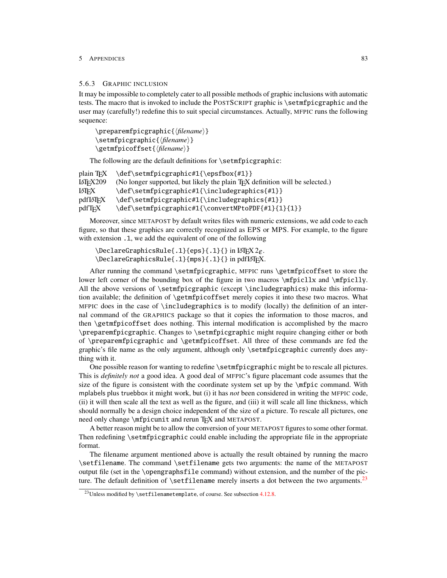### <span id="page-85-2"></span><span id="page-85-0"></span>5.6.3 GRAPHIC INCLUSION

It may be impossible to completely cater to all possible methods of graphic inclusions with automatic tests. The macro that is invoked to include the POSTSCRIPT graphic is \setmfpicgraphic and the user may (carefully!) redefine this to suit special circumstances. Actually, MFPIC runs the following sequence:

\preparemfpicgraphic{\*filename*}} \setmfpicgraphic{\*filename*}} \getmfpicoffset{\*filename*}}

The following are the default definitions for \setmfpicgraphic:

| plain T <sub>FX</sub>      | \def\setmfpicgraphic#1{\epsfbox{#1}}                                                      |
|----------------------------|-------------------------------------------------------------------------------------------|
| <b>LAT<sub>F</sub>X209</b> | (No longer supported, but likely the plain T <sub>F</sub> X definition will be selected.) |
| LATEX                      | \def\setmfpicgraphic#1{\includegraphics{#1}}                                              |
| pdfl#TFX                   | \def\setmfpicgraphic#1{\includegraphics{#1}}                                              |
| pdfTFX                     | \def\setmfpicgraphic#1{\convertMPtoPDF{#1}{1}{1}}                                         |
|                            |                                                                                           |

Moreover, since METAPOST by default writes files with numeric extensions, we add code to each figure, so that these graphics are correctly recognized as EPS or MPS. For example, to the figure with extension 1, we add the equivalent of one of the following

```
\DeltaPeclareGraphicsRule{.1}{eps}{.1}{} in LATEX 2ε.
\DeclareGraphicsRule{.1}{mps}{.1}{} in pdfLATEX.
```
After running the command \setmfpicgraphic, MFPIC runs \getmfpicoffset to store the lower left corner of the bounding box of the figure in two macros \mfpicllx and \mfpiclly. All the above versions of \setmfpicgraphic (except \includegraphics) make this information available; the definition of \getmfpicoffset merely copies it into these two macros. What MFPIC does in the case of \includegraphics is to modify (locally) the definition of an internal command of the GRAPHICS package so that it copies the information to those macros, and then \getmfpicoffset does nothing. This internal modification is accomplished by the macro \preparemfpicgraphic. Changes to \setmfpicgraphic might require changing either or both of \preparemfpicgraphic and \getmfpicoffset. All three of these commands are fed the graphic's file name as the only argument, although only \setmfpicgraphic currently does anything with it.

One possible reason for wanting to redefine \setmfpicgraphic might be to rescale all pictures. This is *definitely not* a good idea. A good deal of MFPIC's figure placemant code assumes that the size of the figure is consistent with the coordinate system set up by the \mfpic command. With mplabels plus truebbox it might work, but (i) it has *not* been considered in writing the MFPIC code, (ii) it will then scale all the text as well as the figure, and (iii) it will scale all line thickness, which should normally be a design choice independent of the size of a picture. To rescale all pictures, one need only change \mfpicunit and rerun T<sub>EX</sub> and METAPOST.

A better reason might be to allow the conversion of your METAPOST figures to some other format. Then redefining \setmfpicgraphic could enable including the appropriate file in the appropriate format.

The filename argument mentioned above is actually the result obtained by running the macro \setfilename. The command \setfilename gets two arguments: the name of the METAPOST output file (set in the \opengraphsfile command) without extension, and the number of the picture. The default definition of  $\setminus$  setfilename merely inserts a dot between the two arguments.<sup>[23](#page-85-1)</sup>

<span id="page-85-1"></span><sup>&</sup>lt;sup>23</sup>Unless modified by \setfilenametemplate, of course. See subsection  $4.12.8$ .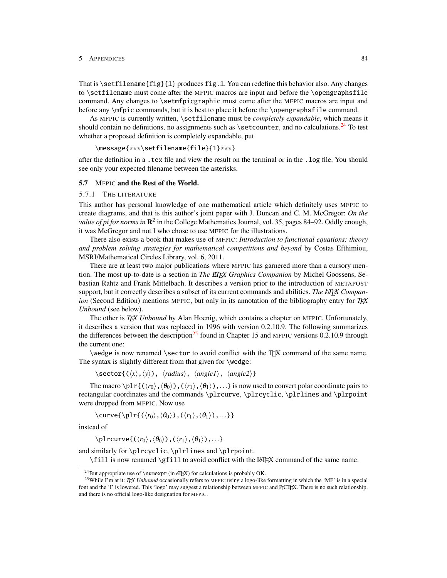That is \setfilename{fig}{1} produces fig.1. You can redefine this behavior also. Any changes to \setfilename must come after the MFPIC macros are input and before the \opengraphsfile command. Any changes to \setmfpicgraphic must come after the MFPIC macros are input and before any \mfpic commands, but it is best to place it before the \opengraphsfile command.

As MFPIC is currently written, \setfilename must be *completely expandable*, which means it should contain no definitions, no assignments such as  $\setminus$  setcounter, and no calculations.<sup>[24](#page-86-0)</sup> To test whether a proposed definition is completely expandable, put

```
\message{***\setfilename{file}{1}***}
```
after the definition in a .tex file and view the result on the terminal or in the .log file. You should see only your expected filename between the asterisks.

### 5.7 MFPIC and the Rest of the World.

#### 5.7.1 THE LITERATURE

This author has personal knowledge of one mathematical article which definitely uses MFPIC to create diagrams, and that is this author's joint paper with J. Duncan and C. M. McGregor: *On the* value of pi for norms in  $\mathbb{R}^2$  in the College Mathematics Journal, vol. 35, pages 84–92. Oddly enough, it was McGregor and not I who chose to use MFPIC for the illustrations.

There also exists a book that makes use of MFPIC: *Introduction to functional equations: theory and problem solving strategies for mathematical competitions and beyond* by Costas Efthimiou, MSRI/Mathematical Circles Library, vol. 6, 2011.

There are at least two major publications where MFPIC has garnered more than a cursory mention. The most up-to-date is a section in *The EIEX Graphics Companion* by Michel Goossens, Sebastian Rahtz and Frank Mittelbach. It describes a version prior to the introduction of METAPOST support, but it correctly describes a subset of its current commands and abilities. The *EIEX Companion* (Second Edition) mentions MFPIC, but only in its annotation of the bibliography entry for *TEX Unbound* (see below).

The other is *TEX Unbound* by Alan Hoenig, which contains a chapter on MFPIC. Unfortunately, it describes a version that was replaced in 1996 with version 0.2.10.9. The following summarizes the differences between the description<sup>[25](#page-86-1)</sup> found in Chapter 15 and MFPIC versions 0.2.10.9 through the current one:

\wedge is now renamed \sector to avoid conflict with the TEX command of the same name. The syntax is slightly different from that given for \wedge:

 $\setminus \text{sector}\{(\langle x\rangle,\langle y\rangle), \langle radius\rangle, \langle angle1\rangle, \langle angle2\rangle\}$ 

The macro  $\phi\Pr\{(\langle r_0\rangle,\langle \theta_0\rangle),(\langle r_1\rangle,\langle \theta_1\rangle),...\}$  is now used to convert polar coordinate pairs to rectangular coordinates and the commands \plrcurve, \plrcyclic, \plrlines and \plrpoint were dropped from MFPIC. Now use

\curve{\plr{( $\langle r_0 \rangle$ ,  $\langle \theta_1 \rangle$ ,  $\langle \theta_1 \rangle$ ,...}}

instead of

\plrcurve{( $\langle r_0 \rangle$ , $\langle \theta_0 \rangle$ ),( $\langle r_1 \rangle$ , $\langle \theta_1 \rangle$ ),...}

and similarly for \plrcyclic, \plrlines and \plrpoint. \fill is now renamed \gfill to avoid conflict with the LATEX command of the same name.

<span id="page-86-1"></span><span id="page-86-0"></span><sup>&</sup>lt;sup>24</sup>But appropriate use of \numexpr (in eTEX) for calculations is probably OK.

<sup>25</sup>While I'm at it: *TEX Unbound* occasionally refers to MFPIC using a logo-like formatting in which the 'MF' is in a special font and the 'I' is lowered. This 'logo' may suggest a relationship between MFPIC and PJCTFX. There is no such relationship, and there is no official logo-like designation for MFPIC.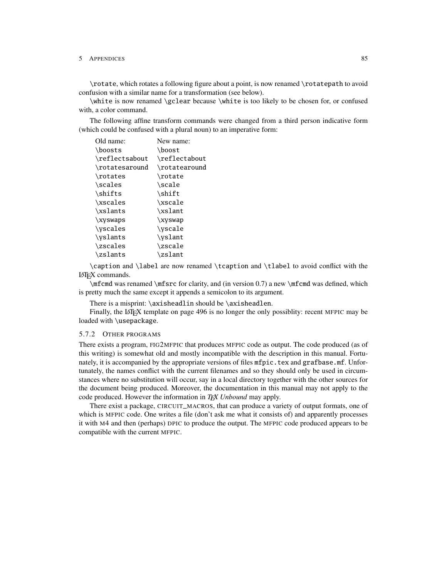\rotate, which rotates a following figure about a point, is now renamed \rotatepath to avoid confusion with a similar name for a transformation (see below).

\white is now renamed \gclear because \white is too likely to be chosen for, or confused with, a color command.

The following affine transform commands were changed from a third person indicative form (which could be confused with a plural noun) to an imperative form:

| Old name:      | New name:     |
|----------------|---------------|
| \boosts        | \boost        |
| \reflectsabout | \reflectabout |
| \rotatesaround | \rotatearound |
| \rotates       | \rotate       |
| \scales        | \scale        |
| \shifts        | \shift        |
| \xscales       | \xscale       |
| \xslants       | \xslant       |
| \xyswaps       | \xyswap       |
| \vscales       | \vscale       |
| \yslants       | \yslant       |
| \zscales       | \zscale       |
| \zslants       | \zslant       |

\caption and \label are now renamed \tcaption and \tlabel to avoid conflict with the LATEX commands.

\mfcmd was renamed \mfsrc for clarity, and (in version 0.7) a new \mfcmd was defined, which is pretty much the same except it appends a semicolon to its argument.

There is a misprint: \axisheadlin should be \axisheadlen.

Finally, the LATEX template on page 496 is no longer the only possiblity: recent MFPIC may be loaded with \usepackage.

#### 5.7.2 OTHER PROGRAMS

There exists a program, FIG2MFPIC that produces MFPIC code as output. The code produced (as of this writing) is somewhat old and mostly incompatible with the description in this manual. Fortunately, it is accompanied by the appropriate versions of files mfpic.tex and grafbase.mf. Unfortunately, the names conflict with the current filenames and so they should only be used in circumstances where no substitution will occur, say in a local directory together with the other sources for the document being produced. Moreover, the documentation in this manual may not apply to the code produced. However the information in *TEX Unbound* may apply.

There exist a package, CIRCUIT\_MACROS, that can produce a variety of output formats, one of which is MFPIC code. One writes a file (don't ask me what it consists of) and apparently processes it with M4 and then (perhaps) DPIC to produce the output. The MFPIC code produced appears to be compatible with the current MFPIC.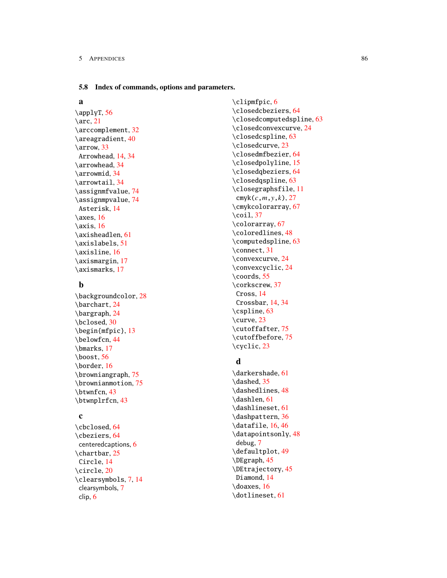#### 5.8 Index of commands, options and parameters.

# a

\applyT, [56](#page-58-0)  $\arc, 21$  $\arc, 21$ \arccomplement, [32](#page-34-0) \areagradient, [40](#page-42-0) \arrow, [33](#page-35-0) Arrowhead, [14,](#page-16-0) [34](#page-36-0) \arrowhead, [34](#page-36-0) \arrowmid, [34](#page-36-0) \arrowtail, [34](#page-36-0) \assignmfvalue, [74](#page-76-0) \assignmpvalue, [74](#page-76-0) Asterisk, [14](#page-16-0)  $\x\$ {as, [16](#page-18-0)}  $\exists$  [16](#page-18-0) \axisheadlen, [61](#page-63-0) \axislabels, [51](#page-53-0) \axisline, [16](#page-18-0) \axismargin, [17](#page-19-0) \axismarks, [17](#page-19-0)

# b

\backgroundcolor, [28](#page-30-0) \barchart, [24](#page-26-0) \bargraph, [24](#page-26-0) \bclosed, [30](#page-32-0) \begin{mfpic}, [13](#page-15-0) \belowfcn, [44](#page-46-0) \bmarks, [17](#page-19-0) \boost, [56](#page-58-0) \border, [16](#page-18-0) \browniangraph, [75](#page-77-1) \brownianmotion, [75](#page-77-1) \btwnfcn, [43](#page-45-0) \btwnplrfcn, [43](#page-45-0)

# c

\cbclosed, [64](#page-66-0) \cbeziers, [64](#page-66-0) centeredcaptions, [6](#page-8-0) \chartbar, [25](#page-27-0) Circle, [14](#page-16-0) \circle, [20](#page-22-0) \clearsymbols, [7,](#page-9-0) [14](#page-16-0) clearsymbols, [7](#page-9-0) clip, [6](#page-8-0)

\clipmfpic, [6](#page-8-0) \closedcbeziers, [64](#page-66-0) \closedcomputedspline, [63](#page-65-0) \closedconvexcurve, [24](#page-26-0) \closedcspline, [63](#page-65-0) \closedcurve, [23](#page-25-0) \closedmfbezier, [64](#page-66-0) \closedpolyline, [15](#page-17-0) \closedqbeziers, [64](#page-66-0) \closedqspline, [63](#page-65-0) \closegraphsfile, [11](#page-13-0) cmyk(*c*,*m*,*y*,*k*), [27](#page-29-0) \cmykcolorarray, [67](#page-69-0)  $\ceil$ , [37](#page-39-0) \colorarray, [67](#page-69-0) \coloredlines, [48](#page-50-0) \computedspline, [63](#page-65-0) \connect, [31](#page-33-0) \convexcurve, [24](#page-26-0) \convexcyclic, [24](#page-26-0) \coords, [55](#page-57-0) \corkscrew, [37](#page-39-0) Cross, [14](#page-16-0) Crossbar, [14,](#page-16-0) [34](#page-36-0) \cspline, [63](#page-65-0) \curve, [23](#page-25-0) \cutoffafter, [75](#page-77-1) \cutoffbefore, [75](#page-77-1) \cyclic, [23](#page-25-0)

# d

\darkershade, [61](#page-63-0) \dashed, [35](#page-37-0) \dashedlines, [48](#page-50-0) \dashlen, [61](#page-63-0) \dashlineset, [61](#page-63-0) \dashpattern, [36](#page-38-0) \datafile, [16,](#page-18-0) [46](#page-48-0) \datapointsonly, [48](#page-50-0) debug, [7](#page-9-0) \defaultplot, [49](#page-51-0) \DEgraph, [45](#page-47-0) \DEtrajectory, [45](#page-47-0) Diamond, [14](#page-16-0) \doaxes, [16](#page-18-0) \dotlineset, [61](#page-63-0)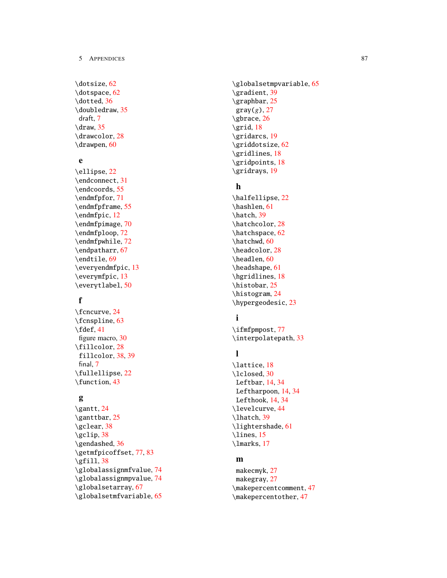\dotsize , [62](#page-64-0) \dotspace , [62](#page-64-0) \dotted , [36](#page-38-0) \doubledraw , [35](#page-37-0) draft , [7](#page-9-0)  $\langle$ draw, [35](#page-37-0) \drawcolor , [28](#page-30-0) \drawpen , [60](#page-62-0)

# e

\ellipse , [22](#page-24-0) \endconnect , [31](#page-33-0) \endcoords , [55](#page-57-0) \endmfpfor , [71](#page-73-0) \endmfpframe , [55](#page-57-0) \endmfpic , [12](#page-14-0) \endmfpimage , [70](#page-72-0) \endmfploop , [72](#page-74-1) \endmfpwhile , [72](#page-74-1) \endpatharr , [67](#page-69-0) \endtile , [69](#page-71-0) \everyendmfpic , [13](#page-15-0) \everymfpic , [13](#page-15-0) \everytlabel , [50](#page-52-0)

# f

\fcncurve , [24](#page-26-0) \fcnspline , [63](#page-65-0) \fdef , [41](#page-43-0) figure macro, [30](#page-32-0) \fillcolor , [28](#page-30-0) fillcolor , [38](#page-40-0) , [39](#page-41-0) final , [7](#page-9-0) \fullellipse , [22](#page-24-0) \function , [43](#page-45-0)

# g

\gantt , [24](#page-26-0) \ganttbar , [25](#page-27-0) \gclear , [38](#page-40-0) \gclip , [38](#page-40-0) \gendashed , [36](#page-38-0) \getmfpicoffset , [77](#page-79-0) , [83](#page-85-2)  $\sqrt{g}$ fill, [38](#page-40-0) \globalassignmfvalue , [74](#page-76-0) \globalassignmpvalue , [74](#page-76-0) \globalsetarray , [67](#page-69-0) \globalsetmfvariable , [65](#page-67-2) \globalsetmpvariable , [65](#page-67-2) \gradient , [39](#page-41-0) \graphbar , [25](#page-27-0)  $gray(g)$ , [27](#page-29-0) \gbrace , [26](#page-28-0)  $\sqrt{grid}$ , [18](#page-20-0) \gridarcs , [19](#page-21-0) \griddotsize , [62](#page-64-0) \gridlines , [18](#page-20-0) \gridpoints , [18](#page-20-0) \gridrays , [19](#page-21-0)

# h

\halfellipse , [22](#page-24-0) \hashlen , [61](#page-63-0) \hatch , [39](#page-41-0) \hatchcolor , [28](#page-30-0) \hatchspace , [62](#page-64-0) \hatchwd , [60](#page-62-0) \headcolor , [28](#page-30-0) \headlen , [60](#page-62-0) \headshape , [61](#page-63-0) \hgridlines , [18](#page-20-0) \histobar , [25](#page-27-0) \histogram , [24](#page-26-0) \hypergeodesic , [23](#page-25-0)

# i

\ifmfpmpost, [77](#page-79-0) \interpolatepath , [33](#page-35-0)

# l

```
\lattice
, 18
\lclosed
, 30
 Leftbar
, 14
, 34
 Leftharpoon
, 14
, 34
 Lefthook
, 14
, 34
\levelcurve
, 44
\lhatch
, 39
\lightershade
, 61
\lines
, 15
\lmarks
, 17
```
# m

makecmyk , [27](#page-29-0) makegray , [27](#page-29-0) \makepercentcomment , [47](#page-49-0) \makepercentother , [47](#page-49-0)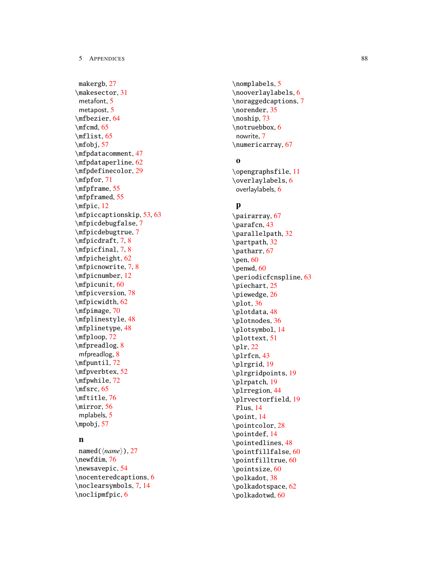makergb , [27](#page-29-0) \makesector , [31](#page-33-0) metafont , [5](#page-7-0) metapost , [5](#page-7-0) \mfbezier , [64](#page-66-0) \mfcmd , [65](#page-67-2) \mflist , [65](#page-67-2) \mfobj , [57](#page-59-0) \mfpdatacomment , [47](#page-49-0) \mfpdataperline , [62](#page-64-0) \mfpdefinecolor , [29](#page-31-0) \mfpfor , [71](#page-73-0) \mfpframe , [55](#page-57-0) \mfpframed , [55](#page-57-0) \mfpic , [12](#page-14-0) \mfpiccaptionskip , [53](#page-55-0) , [63](#page-65-0) \mfpicdebugfalse , [7](#page-9-0) \mfpicdebugtrue , [7](#page-9-0) \mfpicdraft , [7](#page-9-0) , [8](#page-10-1) \mfpicfinal , [7](#page-9-0) , [8](#page-10-1) \mfpicheight , [62](#page-64-0) \mfpicnowrite , [7](#page-9-0) , [8](#page-10-1) \mfpicnumber , [12](#page-14-0) \mfpicunit , [60](#page-62-0) \mfpicversion , [78](#page-80-0) \mfpicwidth , [62](#page-64-0) \mfpimage , [70](#page-72-0) \mfplinestyle , [48](#page-50-0) \mfplinetype , [48](#page-50-0) \mfploop , [72](#page-74-1) \mfpreadlog , [8](#page-10-1) mfpreadlog , [8](#page-10-1) \mfpuntil , [72](#page-74-1) \mfpverbtex , [52](#page-54-0) \mfpwhile , [72](#page-74-1) \mfsrc , [65](#page-67-2) \mftitle , [76](#page-78-1) \mirror , [56](#page-58-0) mplabels , [5](#page-7-0) \mpobj , [57](#page-59-0)

# n

named(*{name}*),[27](#page-29-0) \newfdim , [76](#page-78-1) \newsavepic , [54](#page-56-0) \nocenteredcaptions , [6](#page-8-0) \noclearsymbols , [7](#page-9-0) , [14](#page-16-0) \noclipmfpic , [6](#page-8-0)

\nomplabels , [5](#page-7-0) \nooverlaylabels , [6](#page-8-0) \noraggedcaptions , [7](#page-9-0) \norender , [35](#page-37-0) \noship , [73](#page-75-1) \notruebbox , [6](#page-8-0) nowrite , [7](#page-9-0) \numericarray , [67](#page-69-0)

# o

\opengraphsfile , [11](#page-13-0) \overlaylabels , [6](#page-8-0) overlaylabels , [6](#page-8-0)

# p

\pairarray , [67](#page-69-0) \parafcn , [43](#page-45-0) \parallelpath , [32](#page-34-0) \partpath , [32](#page-34-0) \patharr , [67](#page-69-0)  $\pm 60$  $\pm 60$ \penwd , [60](#page-62-0) \periodicfcnspline , [63](#page-65-0) \piechart , [25](#page-27-0) \piewedge , [26](#page-28-0) \plot , [36](#page-38-0) \plotdata , [48](#page-50-0) \plotnodes , [36](#page-38-0) \plotsymbol , [14](#page-16-0) \plottext , [51](#page-53-0)  $\pi$ , [22](#page-24-0) \plrfcn , [43](#page-45-0) \plrgrid , [19](#page-21-0) \plrgridpoints , [19](#page-21-0) \plrpatch , [19](#page-21-0) \plrregion , [44](#page-46-0) \plrvectorfield , [19](#page-21-0) Plus , [14](#page-16-0) \point , [14](#page-16-0) \pointcolor , [28](#page-30-0) \pointdef , [14](#page-16-0) \pointedlines , [48](#page-50-0) \pointfillfalse , [60](#page-62-0) \pointfilltrue , [60](#page-62-0) \pointsize , [60](#page-62-0) \polkadot , [38](#page-40-0) \polkadotspace , [62](#page-64-0) \polkadotwd , [60](#page-62-0)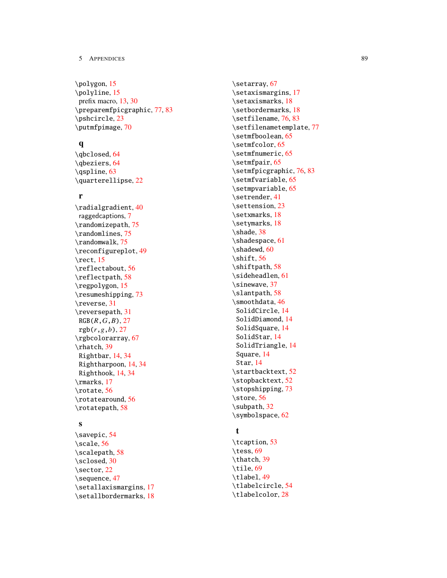\polygon , [15](#page-17-0) \polyline , [15](#page-17-0) prefix macro, [13](#page-15-0) , [30](#page-32-0) \preparemfpicgraphic , [77](#page-79-0) , [83](#page-85-2) \pshcircle , [23](#page-25-0) \putmfpimage , [70](#page-72-0)

# q

 $\lambda$ qbclosed, [64](#page-66-0) \qbeziers , [64](#page-66-0) \qspline , [63](#page-65-0) \quarterellipse , [22](#page-24-0)

# r

\radialgradient , [40](#page-42-0) raggedcaptions , [7](#page-9-0) \randomizepath , [75](#page-77-1) \randomlines , [75](#page-77-1) \randomwalk , [75](#page-77-1) \reconfigureplot , [49](#page-51-0) \rect , [15](#page-17-0) \reflectabout , [56](#page-58-0) \reflectpath , [58](#page-60-0) \regpolygon , [15](#page-17-0) \resumeshipping , [73](#page-75-1) \reverse , [31](#page-33-0) \reversepath , [31](#page-33-0) RGB( *R* , *G* , *B* ) , [27](#page-29-0)  $rgb(r, g, b), 27$  $rgb(r, g, b), 27$ \rgbcolorarray , [67](#page-69-0) \rhatch , [39](#page-41-0) Rightbar , [14](#page-16-0) , [34](#page-36-0) Rightharpoon , [14](#page-16-0) , [34](#page-36-0) Righthook , [14](#page-16-0) , [34](#page-36-0) \rmarks , [17](#page-19-0) \rotate , [56](#page-58-0) \rotatearound , [56](#page-58-0) \rotatepath , [58](#page-60-0)

# s

```
\savepic
, 54
\scale
, 56
\scalepath
, 58
\sclosed
, 30
\sector
, 22
\sequence
, 47
\setallaxismargins
, 17
\setallbordermarks
, 18
```
\setarray , [67](#page-69-0) \setaxismargins , [17](#page-19-0) \setaxismarks , [18](#page-20-0) \setbordermarks , [18](#page-20-0) \setfilename , [76](#page-78-1) , [83](#page-85-2) \setfilenametemplate , [77](#page-79-0) \setmfboolean , [65](#page-67-2) \setmfcolor , [65](#page-67-2) \setmfnumeric , [65](#page-67-2) \setmfpair , [65](#page-67-2) \setmfpicgraphic , [76](#page-78-1) , [83](#page-85-2) \setmfvariable , [65](#page-67-2) \setmpvariable , [65](#page-67-2) \setrender , [41](#page-43-0) \settension , [23](#page-25-0) \setxmarks , [18](#page-20-0) \setymarks , [18](#page-20-0) \shade , [38](#page-40-0) \shadespace , [61](#page-63-0) \shadewd , [60](#page-62-0) \shift , [56](#page-58-0) \shiftpath , [58](#page-60-0) \sideheadlen , [61](#page-63-0) \sinewave , [37](#page-39-0) \slantpath , [58](#page-60-0) \smoothdata , [46](#page-48-0) SolidCircle , [14](#page-16-0) SolidDiamond , [14](#page-16-0) SolidSquare , [14](#page-16-0) SolidStar , [14](#page-16-0) SolidTriangle , [14](#page-16-0) Square , [14](#page-16-0) Star , [14](#page-16-0) \startbacktext , [52](#page-54-0) \stopbacktext , [52](#page-54-0) \stopshipping , [73](#page-75-1) \store , [56](#page-58-0) \subpath , [32](#page-34-0) \symbolspace , [62](#page-64-0)

# t

```
\tcaption
, 53
\tess
, 69
\thatch
, 39
\tile
, 69
\tlabel
, 49
\tlabelcircle
, 54
\tlabelcolor
, 28
```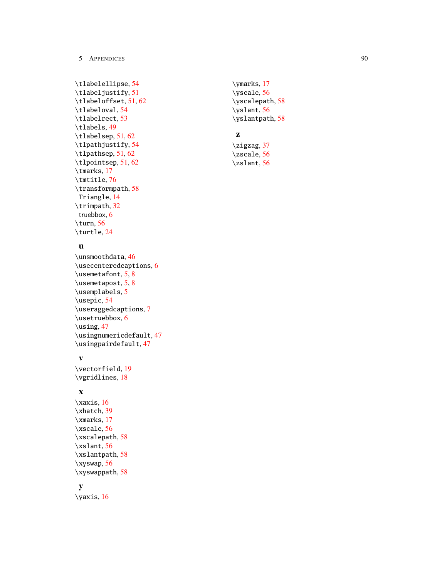```
\tlabelellipse
, 54
\tlabeljustify
, 51
\tlabeloffset
, 51
, 62
\tlabeloval
, 54
\tlabelrect
, 53
\tlabels
, 49
\tlabelsep
, 51
, 62
\tlpathjustify
, 54
\tlpathsep
, 51
, 62
\tlpointsep
, 51
, 62
\tmarks
, 17
\tmtitle
, 76
\transformpath
, 58
 Triangle
, 14
\trimpath
, 32
 truebbox
,
6
\turn
, 56
\turtle
, 24
```
# u

\unsmoothdata , [46](#page-48-0) \usecenteredcaptions , [6](#page-8-0) \usemetafont , [5](#page-7-0) , [8](#page-10-1) \usemetapost , [5](#page-7-0) , [8](#page-10-1) \usemplabels , [5](#page-7-0) \usepic , [54](#page-56-0) \useraggedcaptions , [7](#page-9-0) \usetruebbox , [6](#page-8-0) \using , [47](#page-49-0) \usingnumericdefault , [47](#page-49-0) \usingpairdefault , [47](#page-49-0)

# v

\vectorfield , [19](#page-21-0) \vgridlines , [18](#page-20-0)

# x

```
\xaxis
, 16
\xhatch
, 39
\xmarks
, 17
\xscale
, 56
\xscalepath
, 58
\xslant
, 56
\xslantpath
, 58
\xyswap
, 56
\xyswappath
, 58
```
# y

\yaxis , [16](#page-18-0)

\ymarks , [17](#page-19-0) \yscale , [56](#page-58-0) \yscalepath , [58](#page-60-0) \yslant , [56](#page-58-0) \yslantpath , [58](#page-60-0)

# z

```
\zigzag
, 37
\zscale
, 56
\zslant
, 56
```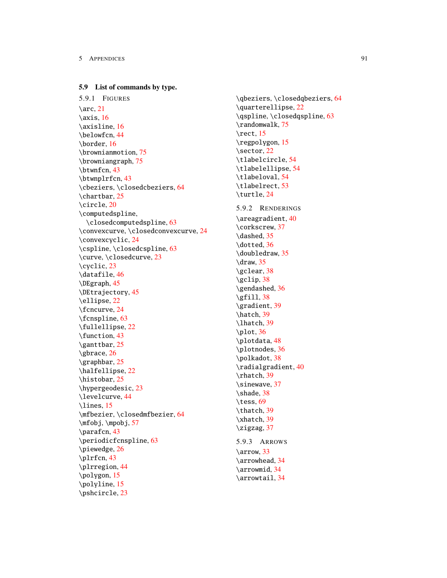## 5.9 List of commands by type.

5.9.1 FIGURES  $\arc, 21$  $\arc, 21$  $\exists$  [16](#page-18-1) \axisline, [16](#page-18-2) \belowfcn, [44](#page-46-1) \border, [16](#page-18-2) \brownianmotion, [75](#page-77-2) \browniangraph, [75](#page-77-2) \btwnfcn, [43](#page-45-1) \btwnplrfcn, [43](#page-45-1) \cbeziers, \closedcbeziers, [64](#page-66-1) \chartbar, [25](#page-27-1) \circle, [20](#page-22-1) \computedspline, \closedcomputedspline, [63](#page-65-1) \convexcurve, \closedconvexcurve, [24](#page-26-1) \convexcyclic, [24](#page-26-1) \cspline, \closedcspline, [63](#page-65-2) \curve, \closedcurve, [23](#page-25-1) \cyclic, [23](#page-25-1) \datafile, [46](#page-48-1) \DEgraph, [45](#page-47-1) \DEtrajectory, [45](#page-47-1) \ellipse, [22](#page-24-1) \fcncurve, [24](#page-26-2) \fcnspline, [63](#page-65-3) \fullellipse, [22](#page-24-2) \function, [43](#page-45-2) \ganttbar, [25](#page-27-1) \gbrace, [26](#page-28-1) \graphbar, [25](#page-27-1) \halfellipse, [22](#page-24-2) \histobar, [25](#page-27-1) \hypergeodesic, [23](#page-25-2) \levelcurve, [44](#page-46-2) \lines, [15](#page-17-1) \mfbezier, \closedmfbezier, [64](#page-66-2) \mfobj, \mpobj, [57](#page-59-1) \parafcn, [43](#page-45-3) \periodicfcnspline, [63](#page-65-3) \piewedge, [26](#page-28-2) \plrfcn, [43](#page-45-4) \plrregion, [44](#page-46-1) \polygon, [15](#page-17-2) \polyline, [15](#page-17-1) \pshcircle, [23](#page-25-3)

\qbeziers, \closedqbeziers, [64](#page-66-3) \quarterellipse, [22](#page-24-2) \qspline, \closedqspline, [63](#page-65-2) \randomwalk, [75](#page-77-2) \rect, [15](#page-17-3) \regpolygon, [15](#page-17-4) \sector, [22](#page-24-3) \tlabelcircle, [54](#page-56-1) \tlabelellipse, [54](#page-56-1) \tlabeloval, [54](#page-56-2) \tlabelrect, [53](#page-55-1) \turtle, [24](#page-26-3) 5.9.2 RENDERINGS \areagradient, [40](#page-42-1) \corkscrew, [37](#page-39-1) \dashed, [35](#page-37-1) \dotted, [36](#page-38-1) \doubledraw, [35](#page-37-2) \draw,  $35$ \gclear, [38](#page-40-1)  $\qquad$ \gendashed, [36](#page-38-2)  $\sqrt{gfill}$ , [38](#page-40-3) \gradient, [39](#page-41-1) \hatch, [39](#page-41-2) \lhatch, [39](#page-41-2)  $\phi$ . [36](#page-38-3) \plotdata, [48](#page-50-1) \plotnodes, [36](#page-38-4) \polkadot, [38](#page-40-4) \radialgradient, [40](#page-42-2) \rhatch, [39](#page-41-2) \sinewave, [37](#page-39-2) \shade, [38](#page-40-5) \tess, [69](#page-71-1) \thatch, [39](#page-41-3) \xhatch, [39](#page-41-2) \zigzag, [37](#page-39-2) 5.9.3 ARROWS \arrow, [33](#page-35-1) \arrowhead, [34](#page-36-1) \arrowmid, [34](#page-36-1) \arrowtail, [34](#page-36-1)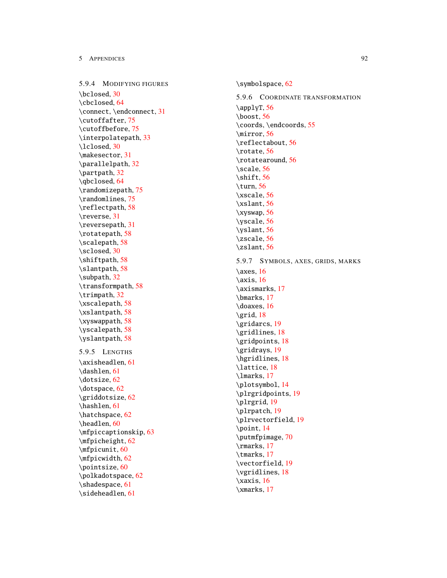5.9.4 MODIFYING FIGURES \bclosed , [30](#page-32-1) \cbclosed , [64](#page-66-4) \connect, \endconnect, [31](#page-33-1) \cutoffafter , [75](#page-77-3) \cutoffbefore , [75](#page-77-3) \interpolatepath , [33](#page-35-2) \lclosed , [30](#page-32-1) \makesector , [31](#page-33-2) \parallelpath , [32](#page-34-1) \partpath , [32](#page-34-2) \qbclosed , [64](#page-66-4) \randomizepath , [75](#page-77-4) \randomlines , [75](#page-77-4) \reflectpath , [58](#page-60-1) \reverse , [31](#page-33-3) \reversepath , [31](#page-33-3) \rotatepath , [58](#page-60-1) \scalepath , [58](#page-60-1) \sclosed , [30](#page-32-1) \shiftpath , [58](#page-60-1) \slantpath , [58](#page-60-1) \subpath , [32](#page-34-2) \transformpath , [58](#page-60-1) \trimpath , [32](#page-34-2) \xscalepath , [58](#page-60-1) \xslantpath , [58](#page-60-1) \xyswappath , [58](#page-60-1) \yscalepath , [58](#page-60-1) \yslantpath , [58](#page-60-1) 5.9.5 LENGTHS \axisheadlen , [61](#page-63-1) \dashlen , [61](#page-63-2) \dotsize , [62](#page-64-1) \dotspace , [62](#page-64-1) \griddotsize , [62](#page-64-2) \hashlen , [61](#page-63-3) \hatchspace , [62](#page-64-3) \headlen , [60](#page-62-1) \mfpiccaptionskip , [63](#page-65-4) \mfpicheight , [62](#page-64-4) \mfpicunit , [60](#page-62-2) \mfpicwidth , [62](#page-64-4) \pointsize , [60](#page-62-3) \polkadotspace , [62](#page-64-5) \shadespace , [61](#page-63-4) \sideheadlen , [61](#page-63-5)

\symbolspace , [62](#page-64-6) 5.9.6 COORDINATE TRANSFORMATION  $\alpha$ pplyT, [56](#page-58-1) \boost , [56](#page-58-1) \coords , \endcoords , [55](#page-57-1) \mirror , [56](#page-58-1) \reflectabout , [56](#page-58-1) \rotate , [56](#page-58-1) \rotatearound , [56](#page-58-1) \scale , [56](#page-58-1) \shift , [56](#page-58-1) \turn , [56](#page-58-1) \xscale , [56](#page-58-1) \xslant , [56](#page-58-1) \xyswap , [56](#page-58-1) \yscale , [56](#page-58-1) \yslant , [56](#page-58-1) \zscale , [56](#page-58-1) \zslant , [56](#page-58-1) 5.9.7 SYMBOLS , AXES , GRIDS , MARKS \axes , [16](#page-18-3)  $\xis, 16$  $\xis, 16$ \axismarks , [17](#page-19-1) \bmarks , [17](#page-19-1) \doaxes , [16](#page-18-1) \grid , [18](#page-20-1) \gridarcs , [19](#page-21-1) \gridlines , [18](#page-20-1) \gridpoints , [18](#page-20-1) \gridrays , [19](#page-21-1) \hgridlines , [18](#page-20-1) \lattice , [18](#page-20-1) \lmarks , [17](#page-19-1) \plotsymbol , [14](#page-16-1) \plrgridpoints , [19](#page-21-1) \plrgrid , [19](#page-21-1) \plrpatch , [19](#page-21-1) \plrvectorfield , [19](#page-21-2) \point , [14](#page-16-2) \putmfpimage , [70](#page-72-1) \rmarks , [17](#page-19-1) \tmarks , [17](#page-19-1) \vectorfield , [19](#page-21-2) \vgridlines , [18](#page-20-1) \xaxis , [16](#page-18-3) \xmarks , [17](#page-19-1)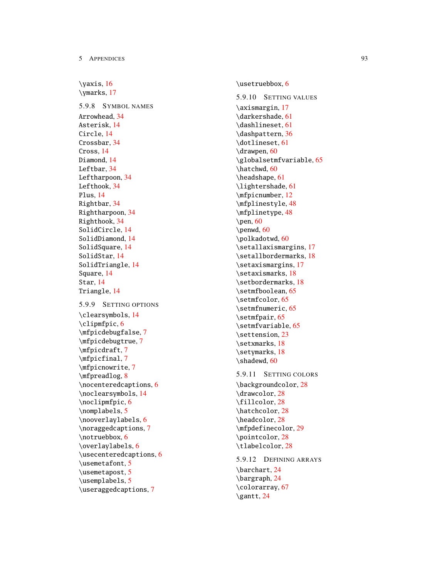\yaxis , [16](#page-18-3) \ymarks , [17](#page-19-1) 5.9.8 SYMBOL NAMES Arrowhead , [34](#page-36-1) Asterisk , [14](#page-16-1) Circle , [14](#page-16-1) Crossbar , [34](#page-36-1) Cross , [14](#page-16-1) Diamond , [14](#page-16-1) Leftbar , [34](#page-36-1) Leftharpoon , [34](#page-36-1) Lefthook , [34](#page-36-1) Plus , [14](#page-16-1) Rightbar , [34](#page-36-1) Rightharpoon , [34](#page-36-1) Righthook , [34](#page-36-1) SolidCircle , [14](#page-16-1) SolidDiamond , [14](#page-16-1) SolidSquare , [14](#page-16-1) SolidStar , [14](#page-16-1) SolidTriangle , [14](#page-16-1) Square , [14](#page-16-1) Star , [14](#page-16-1) Triangle , [14](#page-16-1) 5.9.9 SETTING OPTIONS \clearsymbols , [14](#page-16-3) \clipmfpic , [6](#page-8-1) \mfpicdebugfalse , [7](#page-9-1) \mfpicdebugtrue , [7](#page-9-1) \mfpicdraft , [7](#page-9-2) \mfpicfinal , [7](#page-9-2) \mfpicnowrite , [7](#page-9-2) \mfpreadlog , [8](#page-10-0) \nocenteredcaptions , [6](#page-8-2) \noclearsymbols , [14](#page-16-3) \noclipmfpic , [6](#page-8-1) \nomplabels , [5](#page-7-1) \nooverlaylabels , [6](#page-8-3) \noraggedcaptions , [7](#page-9-3) \notruebbox , [6](#page-8-4) \overlaylabels , [6](#page-8-3) \usecenteredcaptions , [6](#page-8-2) \usemetafont , [5](#page-7-2) \usemetapost , [5](#page-7-2) \usemplabels , [5](#page-7-1) \useraggedcaptions , [7](#page-9-3)

\usetruebbox , [6](#page-8-4) 5.9.10 SETTING VALUES \axismargin , [17](#page-19-2) \darkershade , [61](#page-63-6) \dashlineset , [61](#page-63-7) \dashpattern , [36](#page-38-5) \dotlineset , [61](#page-63-7) \drawpen , [60](#page-62-4) \globalsetmfvariable , [65](#page-67-3) \hatchwd , [60](#page-62-5) \headshape , [61](#page-63-8) \lightershade , [61](#page-63-6) \mfpicnumber , [12](#page-14-1) \mfplinestyle , [48](#page-50-2) \mfplinetype , [48](#page-50-2) \pen , [60](#page-62-4) \penwd , [60](#page-62-4) \polkadotwd , [60](#page-62-6) \setallaxismargins , [17](#page-19-2) \setallbordermarks , [18](#page-20-2) \setaxismargins , [17](#page-19-2) \setaxismarks , [18](#page-20-2) \setbordermarks , [18](#page-20-2) \setmfboolean , [65](#page-67-3) \setmfcolor , [65](#page-67-3) \setmfnumeric , [65](#page-67-3) \setmfpair , [65](#page-67-3) \setmfvariable , [65](#page-67-3) \settension , [23](#page-25-4) \setxmarks , [18](#page-20-2) \setymarks , [18](#page-20-2) \shadewd, [60](#page-62-7) 5.9.11 SETTING COLORS \backgroundcolor , [28](#page-30-1) \drawcolor , [28](#page-30-1) \fillcolor , [28](#page-30-1) \hatchcolor , [28](#page-30-1) \headcolor , [28](#page-30-1) \mfpdefinecolor , [29](#page-31-1) \pointcolor , [28](#page-30-1) \tlabelcolor , [28](#page-30-1) 5.9.12 DEFINING ARRAYS \barchart , [24](#page-26-4) \bargraph , [24](#page-26-4) \colorarray , [67](#page-69-1) \gantt , [24](#page-26-4)